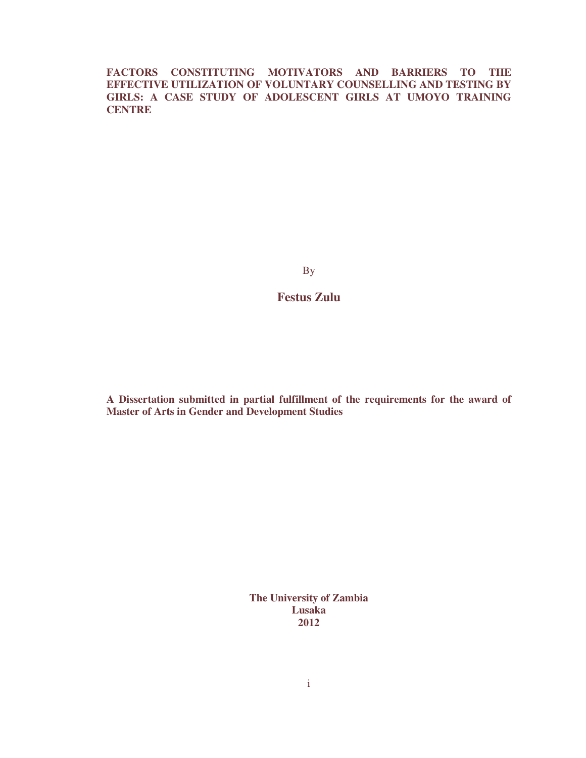**FACTORS CONSTITUTING MOTIVATORS AND BARRIERS TO THE EFFECTIVE UTILIZATION OF VOLUNTARY COUNSELLING AND TESTING BY GIRLS: A CASE STUDY OF ADOLESCENT GIRLS AT UMOYO TRAINING CENTRE** 

By

**Festus Zulu** 

**A Dissertation submitted in partial fulfillment of the requirements for the award of Master of Arts in Gender and Development Studies** 

> **The University of Zambia Lusaka 2012**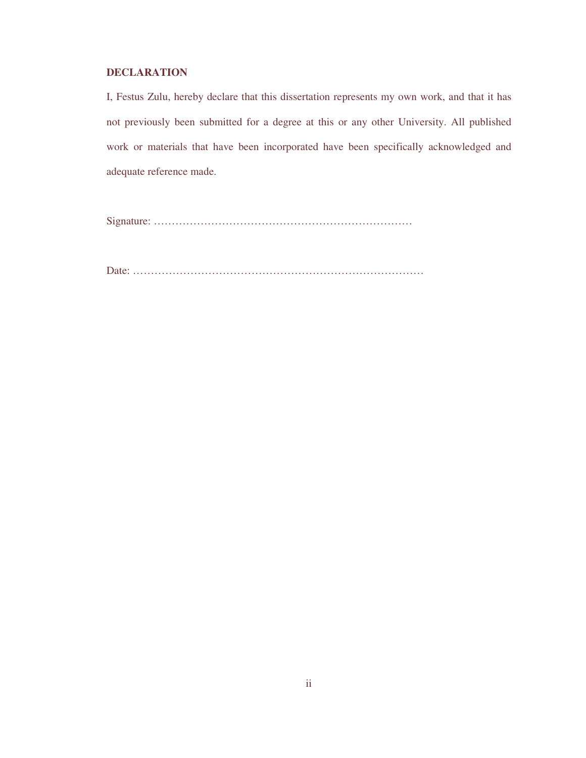# **DECLARATION**

I, Festus Zulu, hereby declare that this dissertation represents my own work, and that it has not previously been submitted for a degree at this or any other University. All published work or materials that have been incorporated have been specifically acknowledged and adequate reference made.

Signature: ………………………………………………………………

Date: ………………………………………………………………………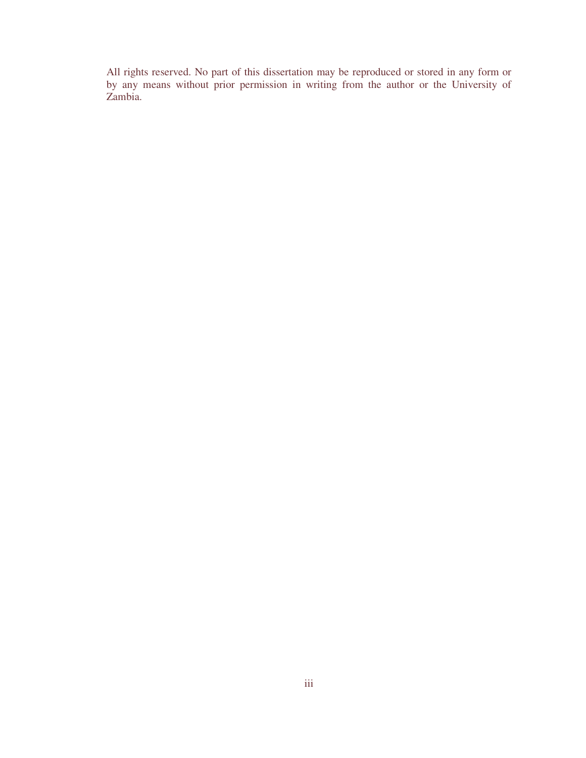All rights reserved. No part of this dissertation may be reproduced or stored in any form or by any means without prior permission in writing from the author or the University of Zambia.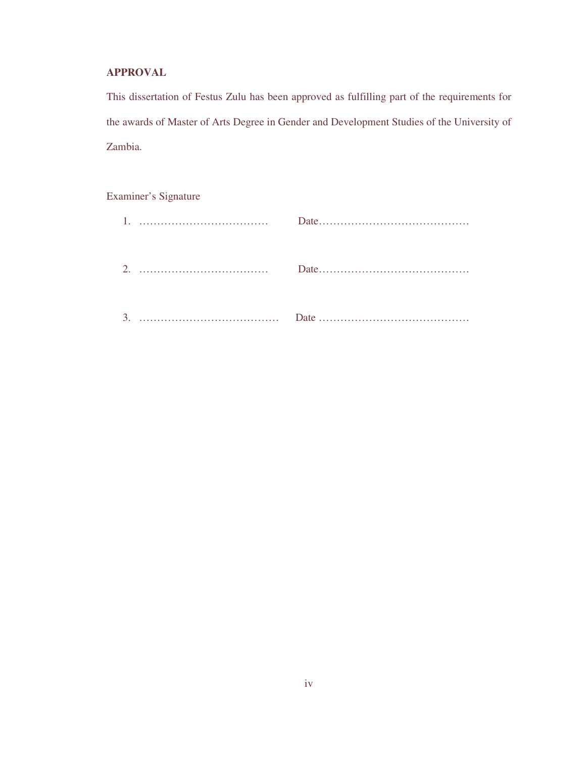# **APPROVAL**

This dissertation of Festus Zulu has been approved as fulfilling part of the requirements for the awards of Master of Arts Degree in Gender and Development Studies of the University of Zambia.

Examiner's Signature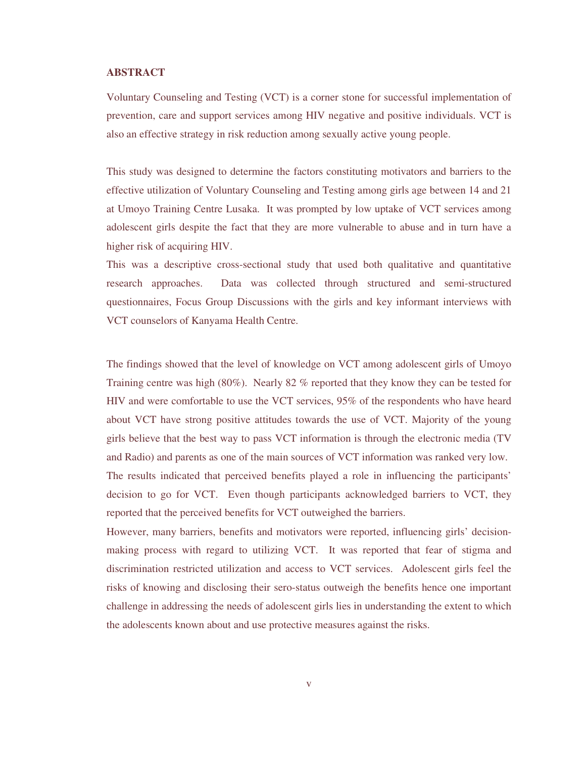### **ABSTRACT**

Voluntary Counseling and Testing (VCT) is a corner stone for successful implementation of prevention, care and support services among HIV negative and positive individuals. VCT is also an effective strategy in risk reduction among sexually active young people.

This study was designed to determine the factors constituting motivators and barriers to the effective utilization of Voluntary Counseling and Testing among girls age between 14 and 21 at Umoyo Training Centre Lusaka. It was prompted by low uptake of VCT services among adolescent girls despite the fact that they are more vulnerable to abuse and in turn have a higher risk of acquiring HIV.

This was a descriptive cross-sectional study that used both qualitative and quantitative research approaches. Data was collected through structured and semi-structured questionnaires, Focus Group Discussions with the girls and key informant interviews with VCT counselors of Kanyama Health Centre.

The findings showed that the level of knowledge on VCT among adolescent girls of Umoyo Training centre was high (80%). Nearly 82 % reported that they know they can be tested for HIV and were comfortable to use the VCT services, 95% of the respondents who have heard about VCT have strong positive attitudes towards the use of VCT. Majority of the young girls believe that the best way to pass VCT information is through the electronic media (TV and Radio) and parents as one of the main sources of VCT information was ranked very low. The results indicated that perceived benefits played a role in influencing the participants' decision to go for VCT. Even though participants acknowledged barriers to VCT, they reported that the perceived benefits for VCT outweighed the barriers.

However, many barriers, benefits and motivators were reported, influencing girls' decisionmaking process with regard to utilizing VCT. It was reported that fear of stigma and discrimination restricted utilization and access to VCT services. Adolescent girls feel the risks of knowing and disclosing their sero-status outweigh the benefits hence one important challenge in addressing the needs of adolescent girls lies in understanding the extent to which the adolescents known about and use protective measures against the risks.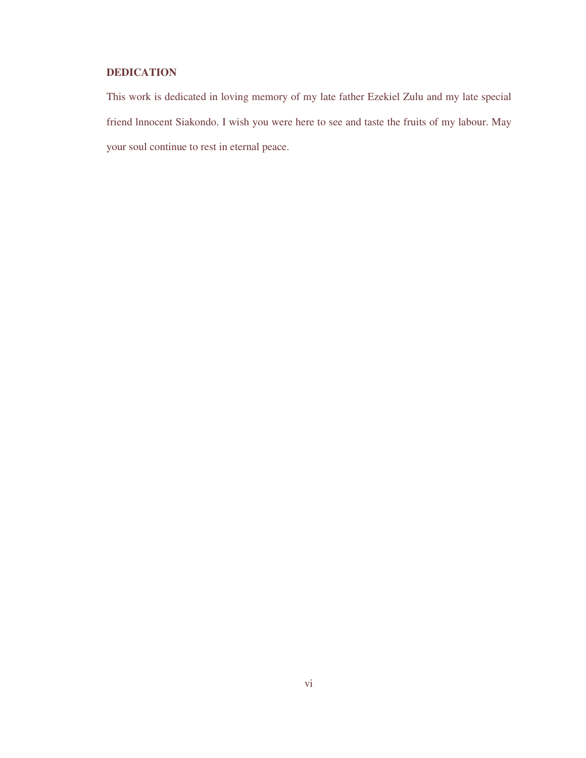# **DEDICATION**

This work is dedicated in loving memory of my late father Ezekiel Zulu and my late special friend lnnocent Siakondo. I wish you were here to see and taste the fruits of my labour. May your soul continue to rest in eternal peace.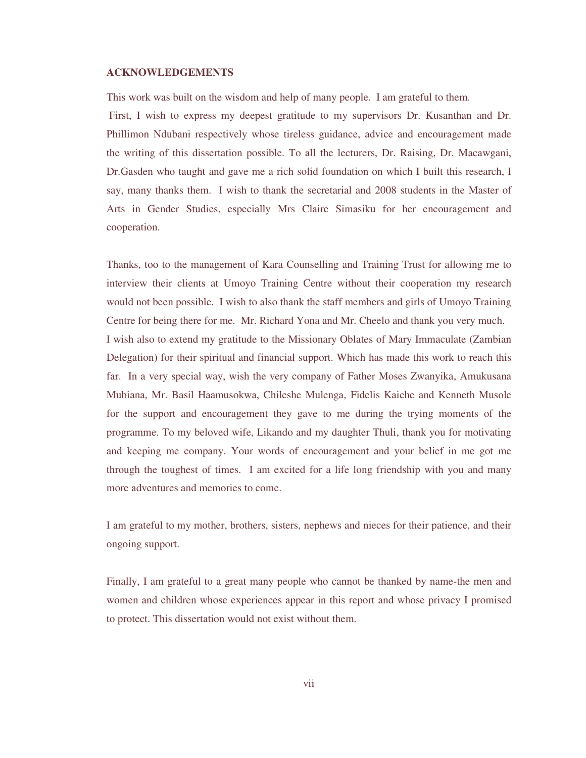## **ACKNOWLEDGEMENTS**

This work was built on the wisdom and help of many people. I am grateful to them.

 First, I wish to express my deepest gratitude to my supervisors Dr. Kusanthan and Dr. Phillimon Ndubani respectively whose tireless guidance, advice and encouragement made the writing of this dissertation possible. To all the lecturers, Dr. Raising, Dr. Macawgani, Dr.Gasden who taught and gave me a rich solid foundation on which I built this research, I say, many thanks them. I wish to thank the secretarial and 2008 students in the Master of Arts in Gender Studies, especially Mrs Claire Simasiku for her encouragement and cooperation.

Thanks, too to the management of Kara Counselling and Training Trust for allowing me to interview their clients at Umoyo Training Centre without their cooperation my research would not been possible. I wish to also thank the staff members and girls of Umoyo Training Centre for being there for me. Mr. Richard Yona and Mr. Cheelo and thank you very much. I wish also to extend my gratitude to the Missionary Oblates of Mary Immaculate (Zambian Delegation) for their spiritual and financial support. Which has made this work to reach this far. In a very special way, wish the very company of Father Moses Zwanyika, Amukusana Mubiana, Mr. Basil Haamusokwa, Chileshe Mulenga, Fidelis Kaiche and Kenneth Musole for the support and encouragement they gave to me during the trying moments of the programme. To my beloved wife, Likando and my daughter Thuli, thank you for motivating and keeping me company. Your words of encouragement and your belief in me got me through the toughest of times. I am excited for a life long friendship with you and many more adventures and memories to come.

I am grateful to my mother, brothers, sisters, nephews and nieces for their patience, and their ongoing support.

Finally, I am grateful to a great many people who cannot be thanked by name-the men and women and children whose experiences appear in this report and whose privacy I promised to protect. This dissertation would not exist without them.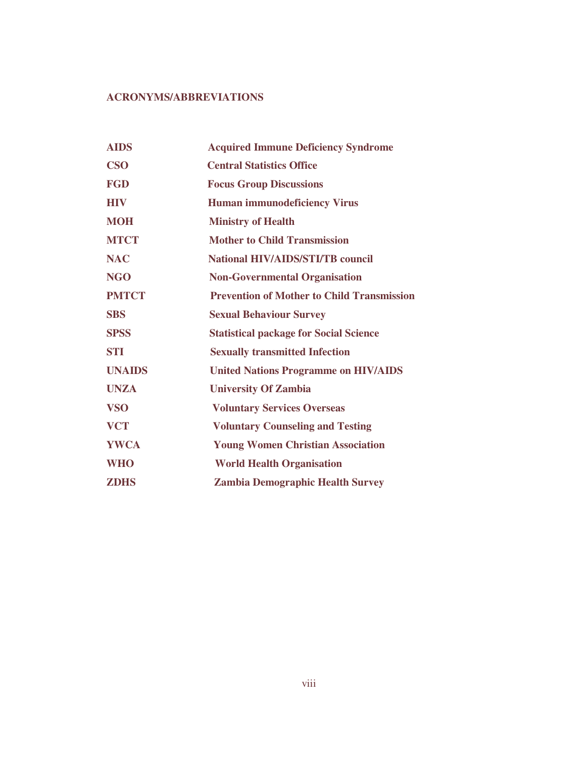# **ACRONYMS/ABBREVIATIONS**

| <b>AIDS</b>   | <b>Acquired Immune Deficiency Syndrome</b>        |
|---------------|---------------------------------------------------|
| <b>CSO</b>    | <b>Central Statistics Office</b>                  |
| <b>FGD</b>    | <b>Focus Group Discussions</b>                    |
| <b>HIV</b>    | <b>Human immunodeficiency Virus</b>               |
| <b>MOH</b>    | <b>Ministry of Health</b>                         |
| <b>MTCT</b>   | <b>Mother to Child Transmission</b>               |
| <b>NAC</b>    | <b>National HIV/AIDS/STI/TB council</b>           |
| <b>NGO</b>    | <b>Non-Governmental Organisation</b>              |
| <b>PMTCT</b>  | <b>Prevention of Mother to Child Transmission</b> |
| <b>SBS</b>    | <b>Sexual Behaviour Survey</b>                    |
| <b>SPSS</b>   | <b>Statistical package for Social Science</b>     |
| <b>STI</b>    | <b>Sexually transmitted Infection</b>             |
| <b>UNAIDS</b> | <b>United Nations Programme on HIV/AIDS</b>       |
| <b>UNZA</b>   | <b>University Of Zambia</b>                       |
| <b>VSO</b>    | <b>Voluntary Services Overseas</b>                |
| <b>VCT</b>    | <b>Voluntary Counseling and Testing</b>           |
| <b>YWCA</b>   | <b>Young Women Christian Association</b>          |
| <b>WHO</b>    | <b>World Health Organisation</b>                  |
| <b>ZDHS</b>   | <b>Zambia Demographic Health Survey</b>           |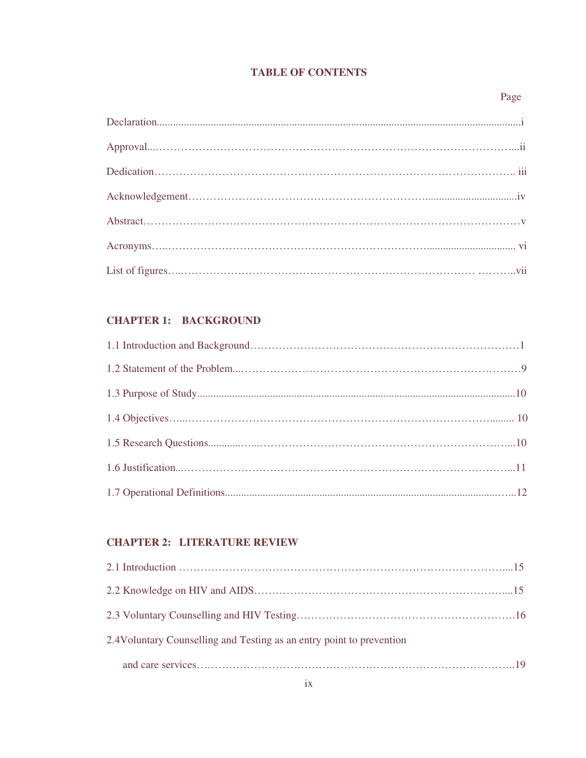# **TABLE OF CONTENTS**

### Page **Page**

# **CHAPTER 1: BACKGROUND**

# **CHAPTER 2: LITERATURE REVIEW**

| 2.4 Voluntary Counselling and Testing as an entry point to prevention |  |
|-----------------------------------------------------------------------|--|
|                                                                       |  |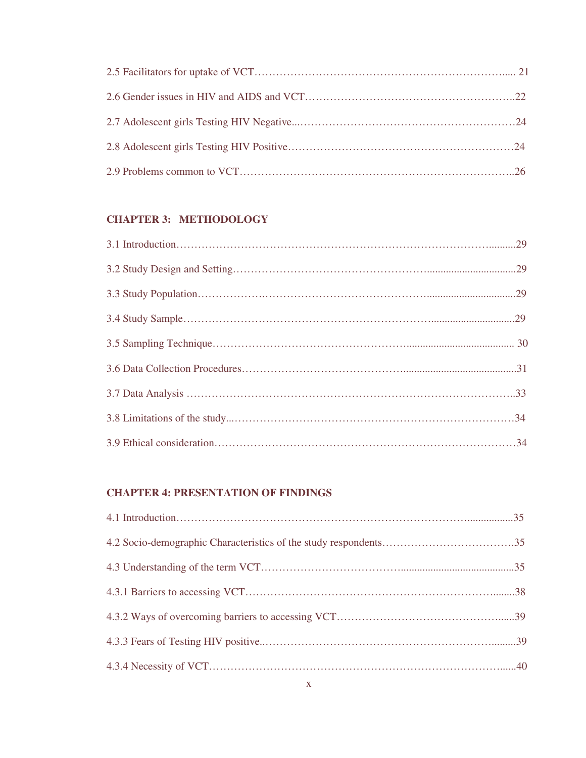# **CHAPTER 3: METHODOLOGY**

# **CHAPTER 4: PRESENTATION OF FINDINGS**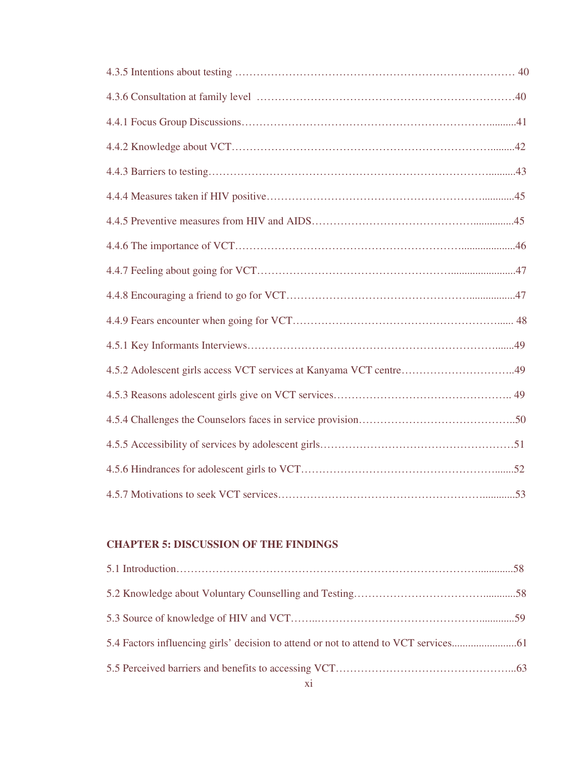# **CHAPTER 5: DISCUSSION OF THE FINDINGS**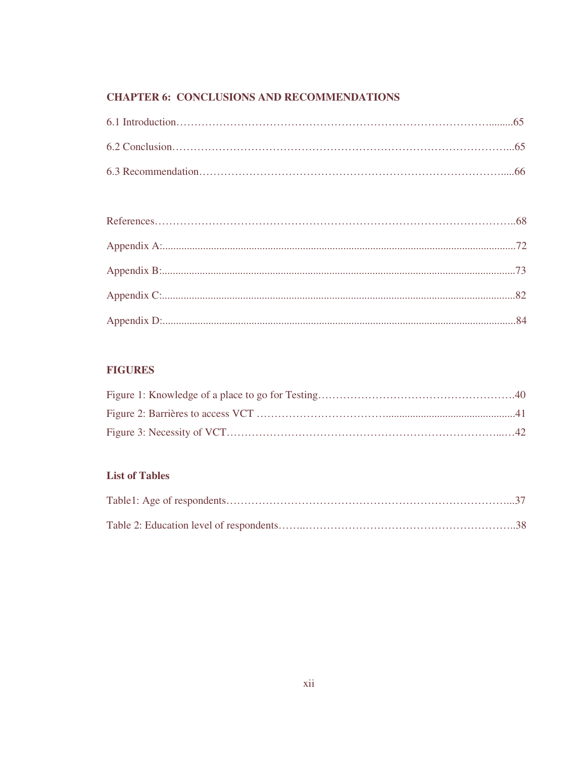# **CHAPTER 6: CONCLUSIONS AND RECOMMENDATIONS**

# **FIGURES**

# **List of Tables**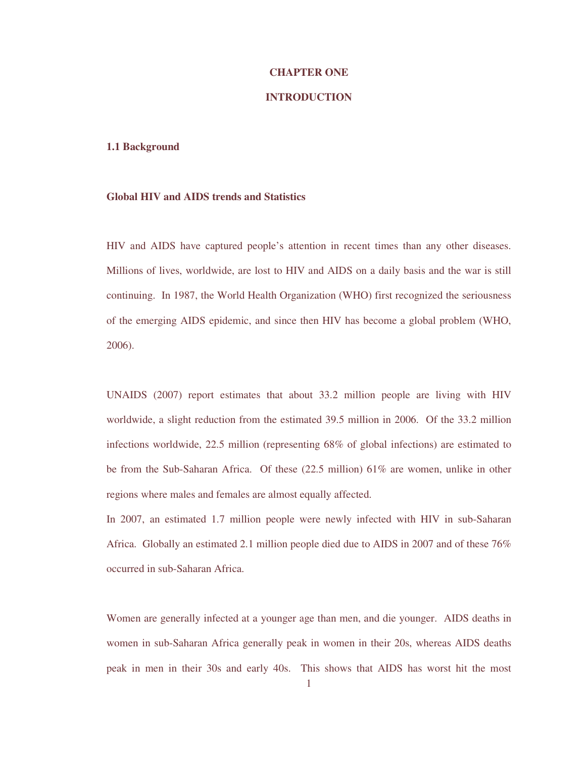### **CHAPTER ONE**

### **INTRODUCTION**

## **1.1 Background**

## **Global HIV and AIDS trends and Statistics**

HIV and AIDS have captured people's attention in recent times than any other diseases. Millions of lives, worldwide, are lost to HIV and AIDS on a daily basis and the war is still continuing. In 1987, the World Health Organization (WHO) first recognized the seriousness of the emerging AIDS epidemic, and since then HIV has become a global problem (WHO, 2006).

UNAIDS (2007) report estimates that about 33.2 million people are living with HIV worldwide, a slight reduction from the estimated 39.5 million in 2006. Of the 33.2 million infections worldwide, 22.5 million (representing 68% of global infections) are estimated to be from the Sub-Saharan Africa. Of these (22.5 million) 61% are women, unlike in other regions where males and females are almost equally affected.

In 2007, an estimated 1.7 million people were newly infected with HIV in sub-Saharan Africa. Globally an estimated 2.1 million people died due to AIDS in 2007 and of these 76% occurred in sub-Saharan Africa.

Women are generally infected at a younger age than men, and die younger. AIDS deaths in women in sub-Saharan Africa generally peak in women in their 20s, whereas AIDS deaths peak in men in their 30s and early 40s. This shows that AIDS has worst hit the most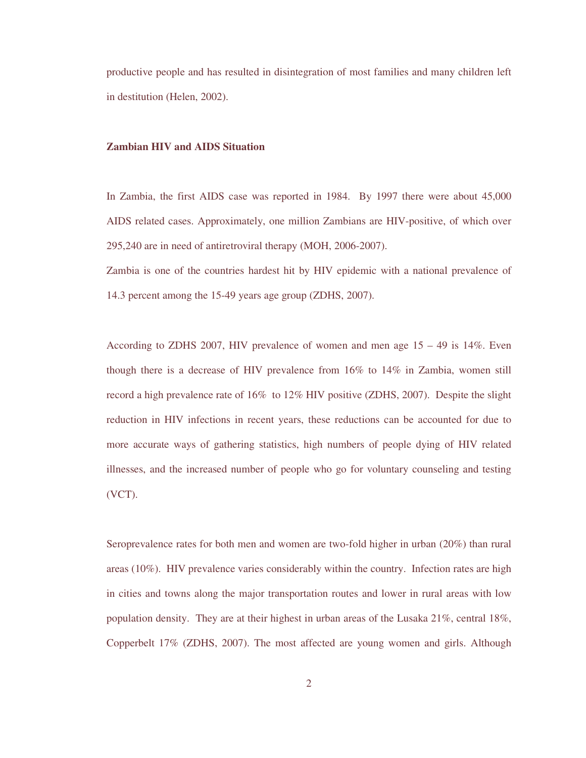productive people and has resulted in disintegration of most families and many children left in destitution (Helen, 2002).

# **Zambian HIV and AIDS Situation**

In Zambia, the first AIDS case was reported in 1984. By 1997 there were about 45,000 AIDS related cases. Approximately, one million Zambians are HIV-positive, of which over 295,240 are in need of antiretroviral therapy (MOH, 2006-2007).

Zambia is one of the countries hardest hit by HIV epidemic with a national prevalence of 14.3 percent among the 15-49 years age group (ZDHS, 2007).

According to ZDHS 2007, HIV prevalence of women and men age  $15 - 49$  is  $14\%$ . Even though there is a decrease of HIV prevalence from 16% to 14% in Zambia, women still record a high prevalence rate of 16% to 12% HIV positive (ZDHS, 2007). Despite the slight reduction in HIV infections in recent years, these reductions can be accounted for due to more accurate ways of gathering statistics, high numbers of people dying of HIV related illnesses, and the increased number of people who go for voluntary counseling and testing (VCT).

Seroprevalence rates for both men and women are two-fold higher in urban (20%) than rural areas (10%). HIV prevalence varies considerably within the country. Infection rates are high in cities and towns along the major transportation routes and lower in rural areas with low population density. They are at their highest in urban areas of the Lusaka 21%, central 18%, Copperbelt 17% (ZDHS, 2007). The most affected are young women and girls. Although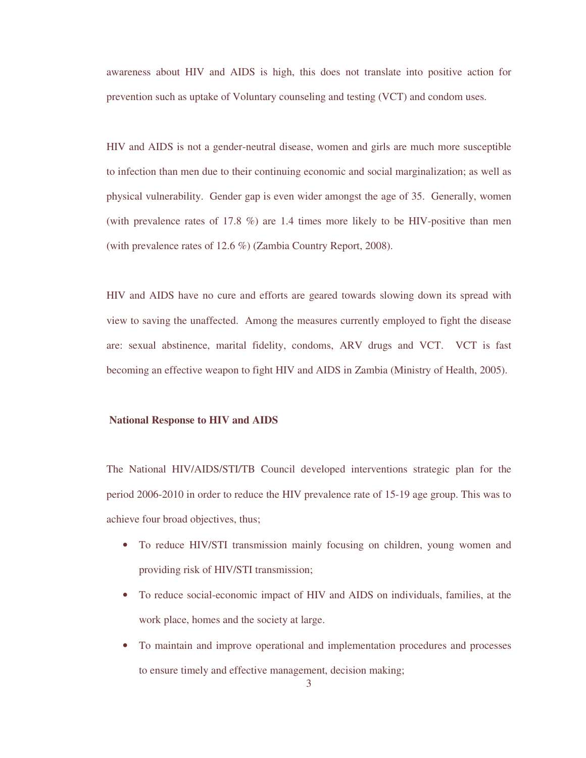awareness about HIV and AIDS is high, this does not translate into positive action for prevention such as uptake of Voluntary counseling and testing (VCT) and condom uses.

HIV and AIDS is not a gender-neutral disease, women and girls are much more susceptible to infection than men due to their continuing economic and social marginalization; as well as physical vulnerability. Gender gap is even wider amongst the age of 35. Generally, women (with prevalence rates of 17.8 %) are 1.4 times more likely to be HIV-positive than men (with prevalence rates of 12.6 %) (Zambia Country Report, 2008).

HIV and AIDS have no cure and efforts are geared towards slowing down its spread with view to saving the unaffected. Among the measures currently employed to fight the disease are: sexual abstinence, marital fidelity, condoms, ARV drugs and VCT. VCT is fast becoming an effective weapon to fight HIV and AIDS in Zambia (Ministry of Health, 2005).

### **National Response to HIV and AIDS**

The National HIV/AIDS/STI/TB Council developed interventions strategic plan for the period 2006-2010 in order to reduce the HIV prevalence rate of 15-19 age group. This was to achieve four broad objectives, thus;

- To reduce HIV/STI transmission mainly focusing on children, young women and providing risk of HIV/STI transmission;
- To reduce social-economic impact of HIV and AIDS on individuals, families, at the work place, homes and the society at large.
- To maintain and improve operational and implementation procedures and processes to ensure timely and effective management, decision making;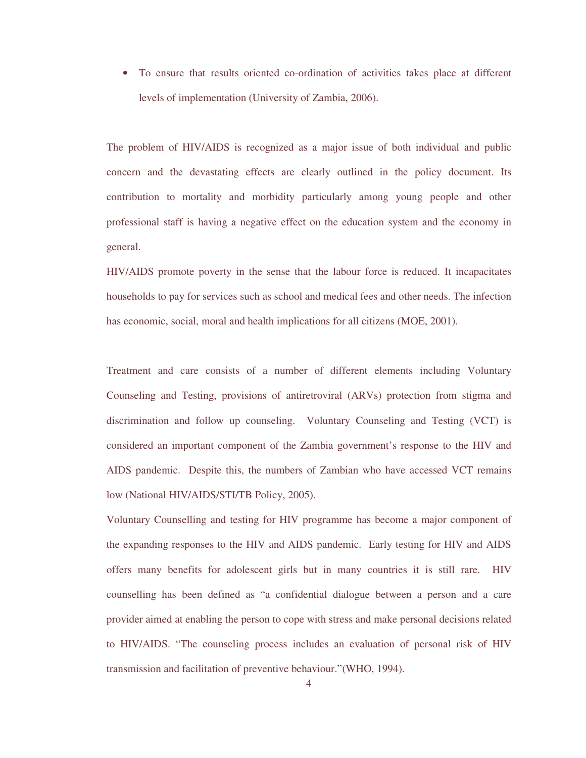• To ensure that results oriented co-ordination of activities takes place at different levels of implementation (University of Zambia, 2006).

The problem of HIV/AIDS is recognized as a major issue of both individual and public concern and the devastating effects are clearly outlined in the policy document. Its contribution to mortality and morbidity particularly among young people and other professional staff is having a negative effect on the education system and the economy in general.

HIV/AIDS promote poverty in the sense that the labour force is reduced. It incapacitates households to pay for services such as school and medical fees and other needs. The infection has economic, social, moral and health implications for all citizens (MOE, 2001).

Treatment and care consists of a number of different elements including Voluntary Counseling and Testing, provisions of antiretroviral (ARVs) protection from stigma and discrimination and follow up counseling. Voluntary Counseling and Testing (VCT) is considered an important component of the Zambia government's response to the HIV and AIDS pandemic. Despite this, the numbers of Zambian who have accessed VCT remains low (National HIV/AIDS/STI/TB Policy, 2005).

Voluntary Counselling and testing for HIV programme has become a major component of the expanding responses to the HIV and AIDS pandemic. Early testing for HIV and AIDS offers many benefits for adolescent girls but in many countries it is still rare. HIV counselling has been defined as "a confidential dialogue between a person and a care provider aimed at enabling the person to cope with stress and make personal decisions related to HIV/AIDS. "The counseling process includes an evaluation of personal risk of HIV transmission and facilitation of preventive behaviour."(WHO, 1994).

4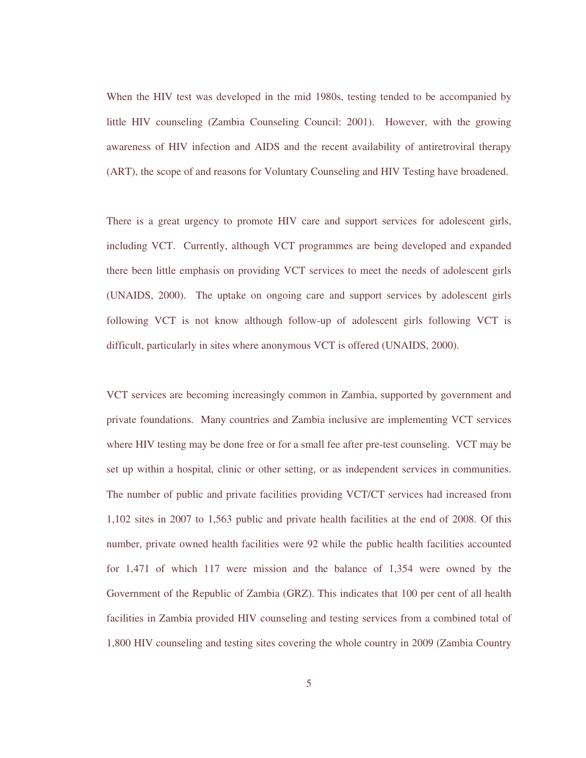When the HIV test was developed in the mid 1980s, testing tended to be accompanied by little HIV counseling (Zambia Counseling Council: 2001). However, with the growing awareness of HIV infection and AIDS and the recent availability of antiretroviral therapy (ART), the scope of and reasons for Voluntary Counseling and HIV Testing have broadened.

There is a great urgency to promote HIV care and support services for adolescent girls, including VCT. Currently, although VCT programmes are being developed and expanded there been little emphasis on providing VCT services to meet the needs of adolescent girls (UNAIDS, 2000). The uptake on ongoing care and support services by adolescent girls following VCT is not know although follow-up of adolescent girls following VCT is difficult, particularly in sites where anonymous VCT is offered (UNAIDS, 2000).

VCT services are becoming increasingly common in Zambia, supported by government and private foundations. Many countries and Zambia inclusive are implementing VCT services where HIV testing may be done free or for a small fee after pre-test counseling. VCT may be set up within a hospital, clinic or other setting, or as independent services in communities. The number of public and private facilities providing VCT/CT services had increased from 1,102 sites in 2007 to 1,563 public and private health facilities at the end of 2008. Of this number, private owned health facilities were 92 while the public health facilities accounted for 1,471 of which 117 were mission and the balance of 1,354 were owned by the Government of the Republic of Zambia (GRZ). This indicates that 100 per cent of all health facilities in Zambia provided HIV counseling and testing services from a combined total of 1,800 HIV counseling and testing sites covering the whole country in 2009 (Zambia Country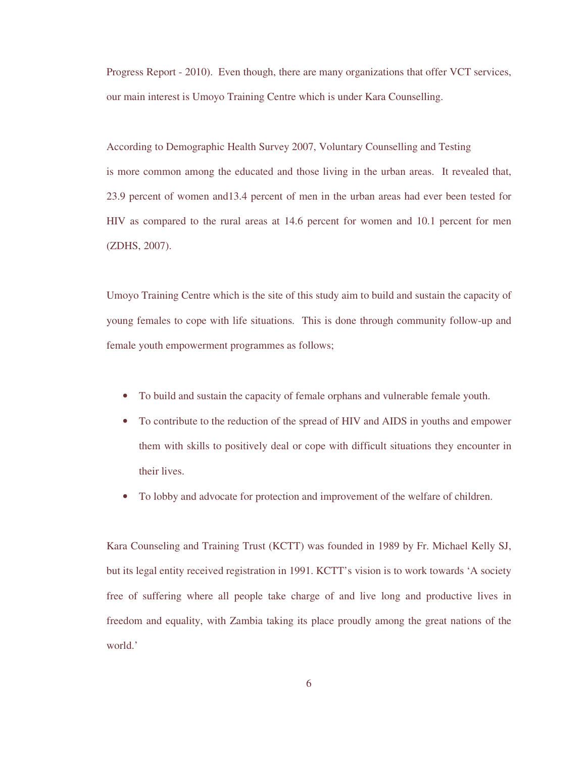Progress Report - 2010). Even though, there are many organizations that offer VCT services, our main interest is Umoyo Training Centre which is under Kara Counselling.

According to Demographic Health Survey 2007, Voluntary Counselling and Testing is more common among the educated and those living in the urban areas. It revealed that, 23.9 percent of women and13.4 percent of men in the urban areas had ever been tested for HIV as compared to the rural areas at 14.6 percent for women and 10.1 percent for men (ZDHS, 2007).

Umoyo Training Centre which is the site of this study aim to build and sustain the capacity of young females to cope with life situations. This is done through community follow-up and female youth empowerment programmes as follows;

- To build and sustain the capacity of female orphans and vulnerable female youth.
- To contribute to the reduction of the spread of HIV and AIDS in youths and empower them with skills to positively deal or cope with difficult situations they encounter in their lives.
- To lobby and advocate for protection and improvement of the welfare of children.

Kara Counseling and Training Trust (KCTT) was founded in 1989 by Fr. Michael Kelly SJ, but its legal entity received registration in 1991. KCTT's vision is to work towards 'A society free of suffering where all people take charge of and live long and productive lives in freedom and equality, with Zambia taking its place proudly among the great nations of the world.'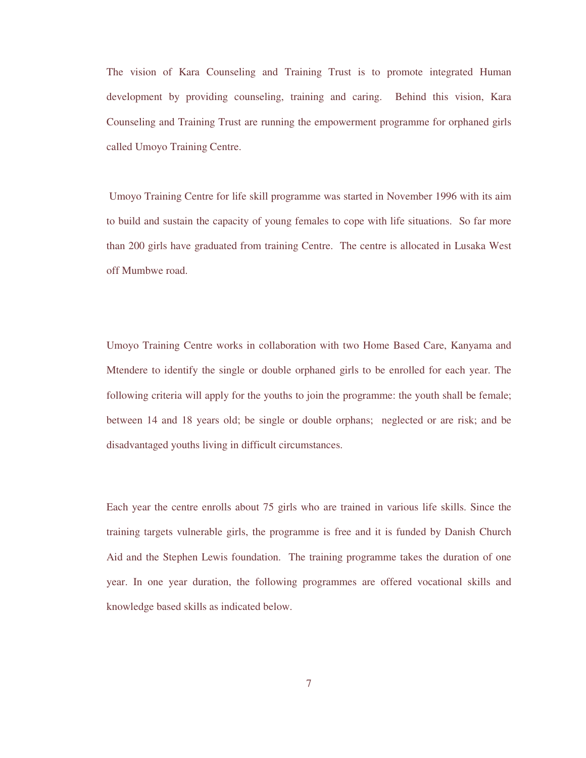The vision of Kara Counseling and Training Trust is to promote integrated Human development by providing counseling, training and caring. Behind this vision, Kara Counseling and Training Trust are running the empowerment programme for orphaned girls called Umoyo Training Centre.

 Umoyo Training Centre for life skill programme was started in November 1996 with its aim to build and sustain the capacity of young females to cope with life situations. So far more than 200 girls have graduated from training Centre. The centre is allocated in Lusaka West off Mumbwe road.

Umoyo Training Centre works in collaboration with two Home Based Care, Kanyama and Mtendere to identify the single or double orphaned girls to be enrolled for each year. The following criteria will apply for the youths to join the programme: the youth shall be female; between 14 and 18 years old; be single or double orphans; neglected or are risk; and be disadvantaged youths living in difficult circumstances.

Each year the centre enrolls about 75 girls who are trained in various life skills. Since the training targets vulnerable girls, the programme is free and it is funded by Danish Church Aid and the Stephen Lewis foundation. The training programme takes the duration of one year. In one year duration, the following programmes are offered vocational skills and knowledge based skills as indicated below.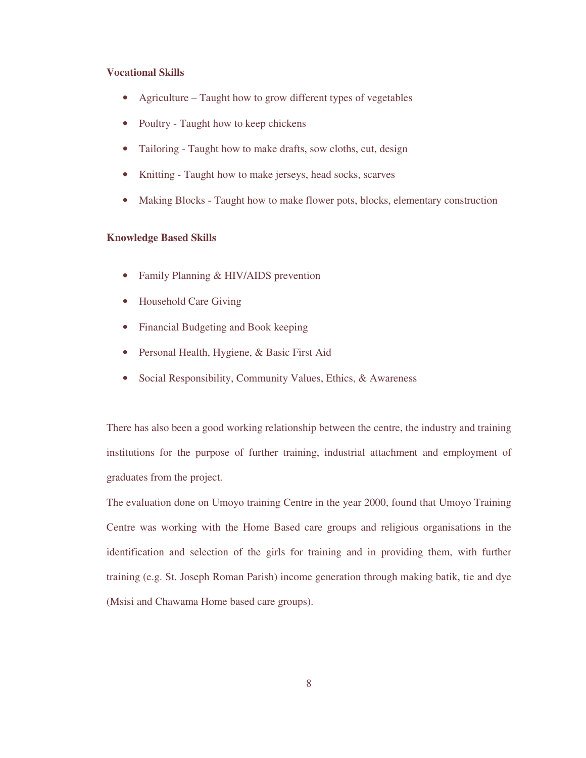## **Vocational Skills**

- Agriculture Taught how to grow different types of vegetables
- Poultry Taught how to keep chickens
- Tailoring Taught how to make drafts, sow cloths, cut, design
- Knitting Taught how to make jerseys, head socks, scarves
- Making Blocks Taught how to make flower pots, blocks, elementary construction

# **Knowledge Based Skills**

- Family Planning & HIV/AIDS prevention
- Household Care Giving
- Financial Budgeting and Book keeping
- Personal Health, Hygiene, & Basic First Aid
- Social Responsibility, Community Values, Ethics, & Awareness

There has also been a good working relationship between the centre, the industry and training institutions for the purpose of further training, industrial attachment and employment of graduates from the project.

The evaluation done on Umoyo training Centre in the year 2000, found that Umoyo Training Centre was working with the Home Based care groups and religious organisations in the identification and selection of the girls for training and in providing them, with further training (e.g. St. Joseph Roman Parish) income generation through making batik, tie and dye (Msisi and Chawama Home based care groups).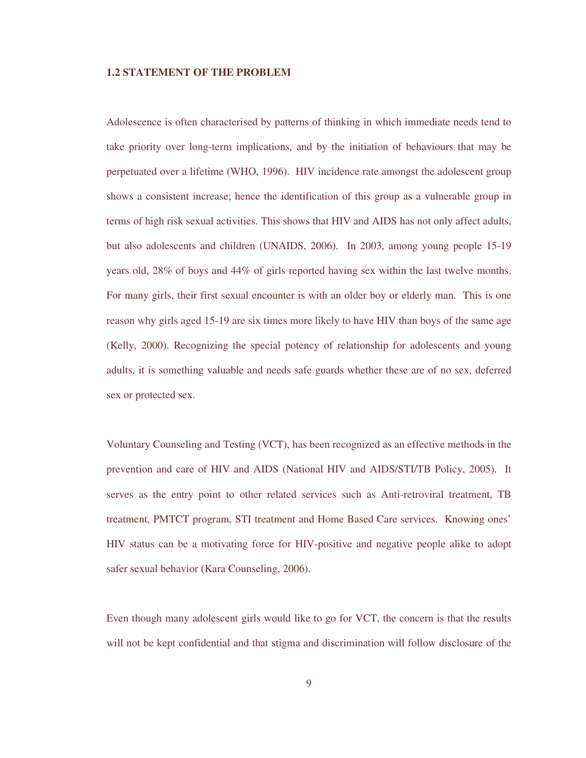### **1.2 STATEMENT OF THE PROBLEM**

Adolescence is often characterised by patterns of thinking in which immediate needs tend to take priority over long-term implications, and by the initiation of behaviours that may be perpetuated over a lifetime (WHO, 1996). HIV incidence rate amongst the adolescent group shows a consistent increase; hence the identification of this group as a vulnerable group in terms of high risk sexual activities. This shows that HIV and AIDS has not only affect adults, but also adolescents and children (UNAIDS, 2006). In 2003, among young people 15-19 years old, 28% of boys and 44% of girls reported having sex within the last twelve months. For many girls, their first sexual encounter is with an older boy or elderly man. This is one reason why girls aged 15-19 are six times more likely to have HIV than boys of the same age (Kelly, 2000). Recognizing the special potency of relationship for adolescents and young adults, it is something valuable and needs safe guards whether these are of no sex, deferred sex or protected sex.

Voluntary Counseling and Testing (VCT), has been recognized as an effective methods in the prevention and care of HIV and AIDS (National HIV and AIDS/STI/TB Policy, 2005). It serves as the entry point to other related services such as Anti-retroviral treatment, TB treatment, PMTCT program, STI treatment and Home Based Care services. Knowing ones' HIV status can be a motivating force for HIV-positive and negative people alike to adopt safer sexual behavior (Kara Counseling, 2006).

Even though many adolescent girls would like to go for VCT, the concern is that the results will not be kept confidential and that stigma and discrimination will follow disclosure of the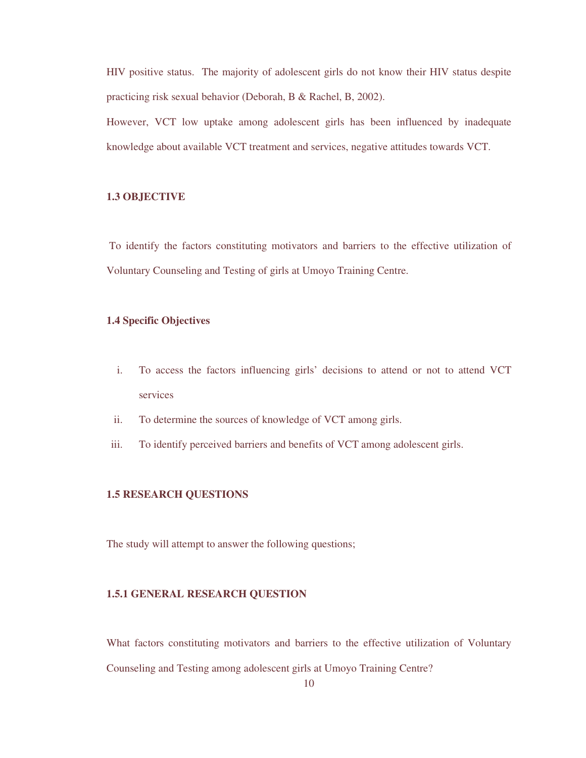HIV positive status. The majority of adolescent girls do not know their HIV status despite practicing risk sexual behavior (Deborah, B & Rachel, B, 2002).

However, VCT low uptake among adolescent girls has been influenced by inadequate knowledge about available VCT treatment and services, negative attitudes towards VCT.

# **1.3 OBJECTIVE**

 To identify the factors constituting motivators and barriers to the effective utilization of Voluntary Counseling and Testing of girls at Umoyo Training Centre.

# **1.4 Specific Objectives**

- i. To access the factors influencing girls' decisions to attend or not to attend VCT services
- ii. To determine the sources of knowledge of VCT among girls.
- iii. To identify perceived barriers and benefits of VCT among adolescent girls.

### **1.5 RESEARCH QUESTIONS**

The study will attempt to answer the following questions;

## **1.5.1 GENERAL RESEARCH QUESTION**

What factors constituting motivators and barriers to the effective utilization of Voluntary Counseling and Testing among adolescent girls at Umoyo Training Centre?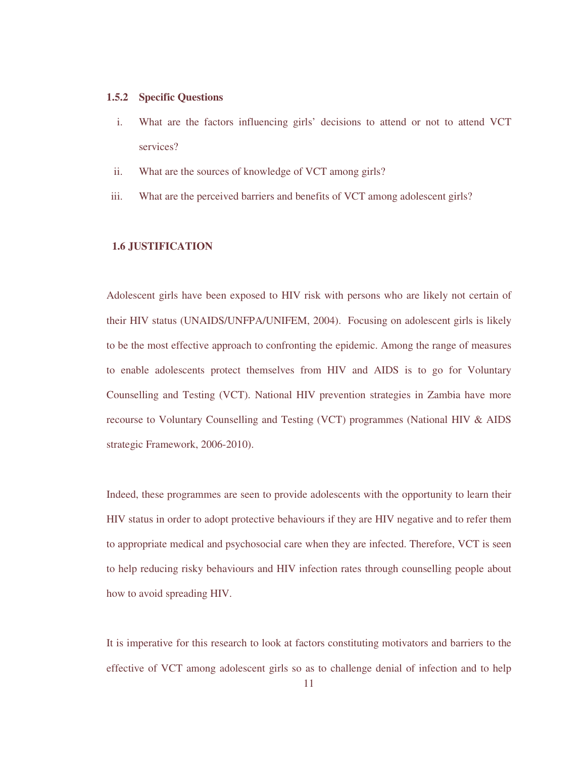### **1.5.2 Specific Questions**

- i. What are the factors influencing girls' decisions to attend or not to attend VCT services?
- ii. What are the sources of knowledge of VCT among girls?
- iii. What are the perceived barriers and benefits of VCT among adolescent girls?

## **1.6 JUSTIFICATION**

Adolescent girls have been exposed to HIV risk with persons who are likely not certain of their HIV status (UNAIDS/UNFPA/UNIFEM, 2004). Focusing on adolescent girls is likely to be the most effective approach to confronting the epidemic. Among the range of measures to enable adolescents protect themselves from HIV and AIDS is to go for Voluntary Counselling and Testing (VCT). National HIV prevention strategies in Zambia have more recourse to Voluntary Counselling and Testing (VCT) programmes (National HIV & AIDS strategic Framework, 2006-2010).

Indeed, these programmes are seen to provide adolescents with the opportunity to learn their HIV status in order to adopt protective behaviours if they are HIV negative and to refer them to appropriate medical and psychosocial care when they are infected. Therefore, VCT is seen to help reducing risky behaviours and HIV infection rates through counselling people about how to avoid spreading HIV.

It is imperative for this research to look at factors constituting motivators and barriers to the effective of VCT among adolescent girls so as to challenge denial of infection and to help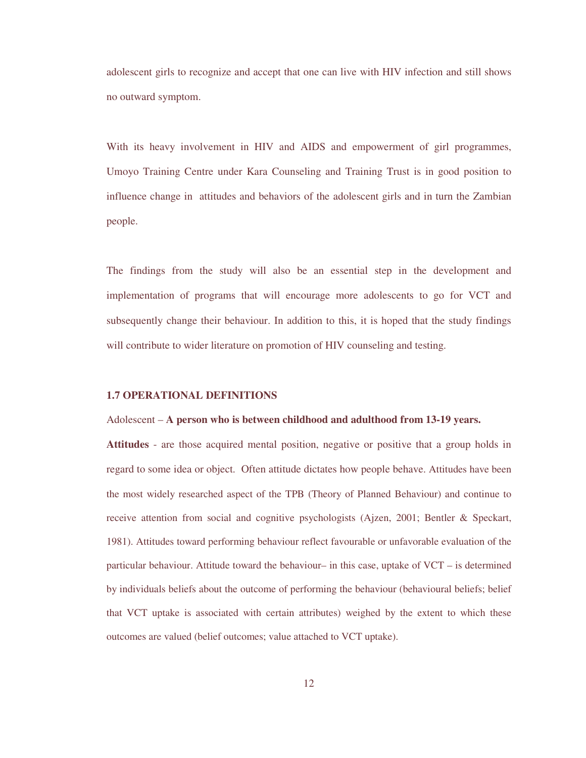adolescent girls to recognize and accept that one can live with HIV infection and still shows no outward symptom.

With its heavy involvement in HIV and AIDS and empowerment of girl programmes, Umoyo Training Centre under Kara Counseling and Training Trust is in good position to influence change in attitudes and behaviors of the adolescent girls and in turn the Zambian people.

The findings from the study will also be an essential step in the development and implementation of programs that will encourage more adolescents to go for VCT and subsequently change their behaviour. In addition to this, it is hoped that the study findings will contribute to wider literature on promotion of HIV counseling and testing.

# **1.7 OPERATIONAL DEFINITIONS**

### Adolescent – **A person who is between childhood and adulthood from 13-19 years.**

**Attitudes** - are those acquired mental position, negative or positive that a group holds in regard to some idea or object. Often attitude dictates how people behave. Attitudes have been the most widely researched aspect of the TPB (Theory of Planned Behaviour) and continue to receive attention from social and cognitive psychologists (Ajzen, 2001; Bentler & Speckart, 1981). Attitudes toward performing behaviour reflect favourable or unfavorable evaluation of the particular behaviour. Attitude toward the behaviour– in this case, uptake of VCT – is determined by individuals beliefs about the outcome of performing the behaviour (behavioural beliefs; belief that VCT uptake is associated with certain attributes) weighed by the extent to which these outcomes are valued (belief outcomes; value attached to VCT uptake).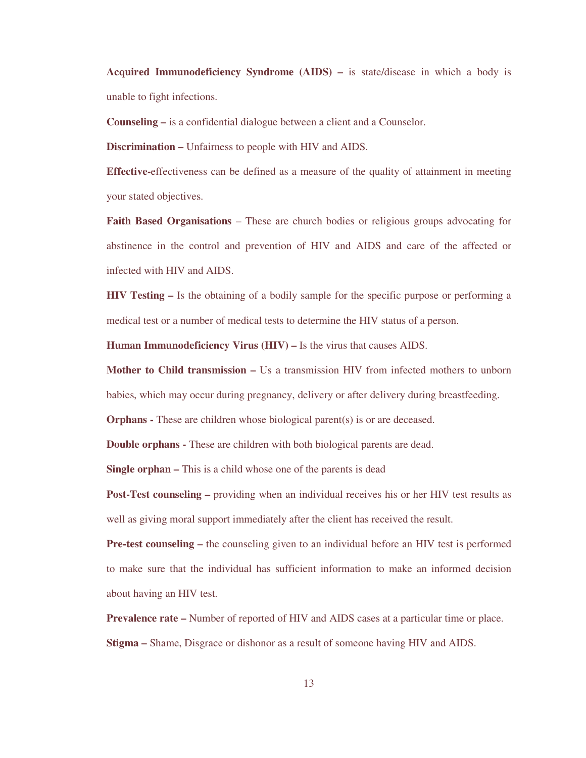**Acquired Immunodeficiency Syndrome (AIDS) –** is state/disease in which a body is unable to fight infections.

**Counseling –** is a confidential dialogue between a client and a Counselor.

**Discrimination –** Unfairness to people with HIV and AIDS.

**Effective-**effectiveness can be defined as a measure of the quality of attainment in meeting your stated objectives.

**Faith Based Organisations** – These are church bodies or religious groups advocating for abstinence in the control and prevention of HIV and AIDS and care of the affected or infected with HIV and AIDS.

**HIV Testing –** Is the obtaining of a bodily sample for the specific purpose or performing a medical test or a number of medical tests to determine the HIV status of a person.

**Human Immunodeficiency Virus (HIV) –** Is the virus that causes AIDS.

**Mother to Child transmission –** Us a transmission HIV from infected mothers to unborn babies, which may occur during pregnancy, delivery or after delivery during breastfeeding.

**Orphans -** These are children whose biological parent(s) is or are deceased.

**Double orphans -** These are children with both biological parents are dead.

**Single orphan –** This is a child whose one of the parents is dead

**Post-Test counseling –** providing when an individual receives his or her HIV test results as well as giving moral support immediately after the client has received the result.

**Pre-test counseling –** the counseling given to an individual before an HIV test is performed to make sure that the individual has sufficient information to make an informed decision about having an HIV test.

**Prevalence rate –** Number of reported of HIV and AIDS cases at a particular time or place. **Stigma –** Shame, Disgrace or dishonor as a result of someone having HIV and AIDS.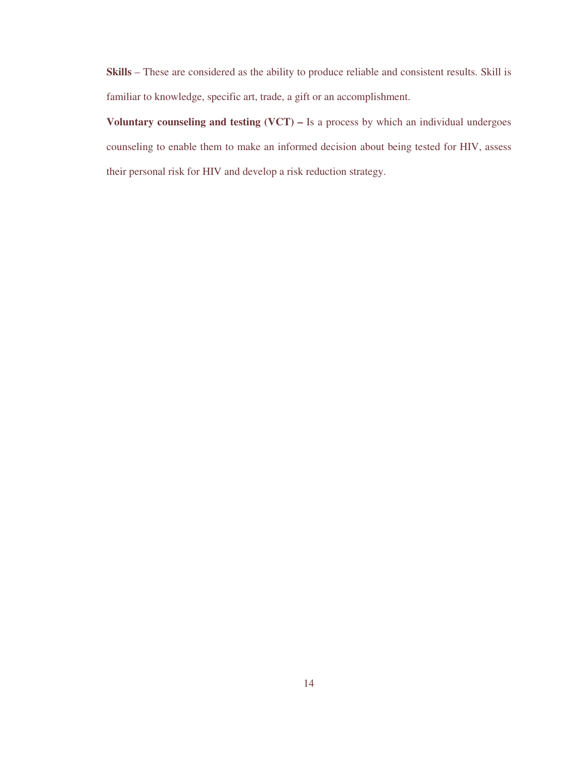**Skills** – These are considered as the ability to produce reliable and consistent results. Skill is familiar to knowledge, specific art, trade, a gift or an accomplishment.

**Voluntary counseling and testing (VCT) –** Is a process by which an individual undergoes counseling to enable them to make an informed decision about being tested for HIV, assess their personal risk for HIV and develop a risk reduction strategy.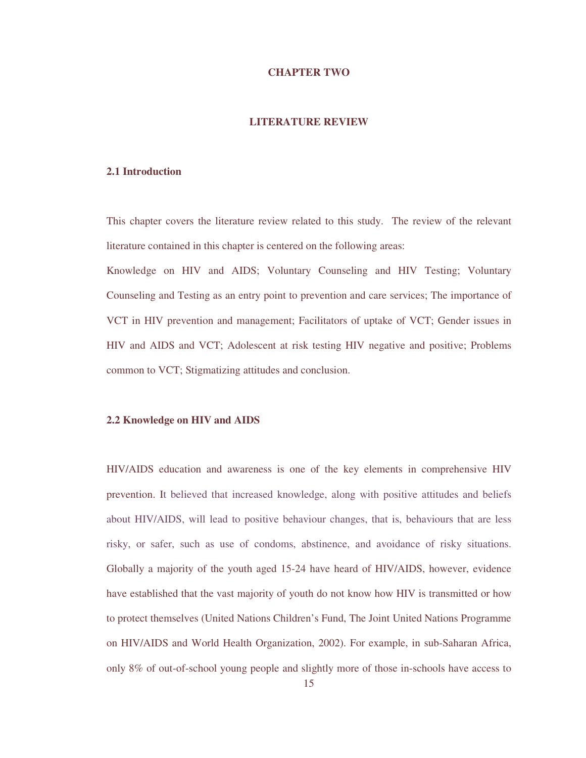### **CHAPTER TWO**

## **LITERATURE REVIEW**

## **2.1 Introduction**

This chapter covers the literature review related to this study. The review of the relevant literature contained in this chapter is centered on the following areas:

Knowledge on HIV and AIDS; Voluntary Counseling and HIV Testing; Voluntary Counseling and Testing as an entry point to prevention and care services; The importance of VCT in HIV prevention and management; Facilitators of uptake of VCT; Gender issues in HIV and AIDS and VCT; Adolescent at risk testing HIV negative and positive; Problems common to VCT; Stigmatizing attitudes and conclusion.

### **2.2 Knowledge on HIV and AIDS**

HIV/AIDS education and awareness is one of the key elements in comprehensive HIV prevention. It believed that increased knowledge, along with positive attitudes and beliefs about HIV/AIDS, will lead to positive behaviour changes, that is, behaviours that are less risky, or safer, such as use of condoms, abstinence, and avoidance of risky situations. Globally a majority of the youth aged 15-24 have heard of HIV/AIDS, however, evidence have established that the vast majority of youth do not know how HIV is transmitted or how to protect themselves (United Nations Children's Fund, The Joint United Nations Programme on HIV/AIDS and World Health Organization, 2002). For example, in sub-Saharan Africa, only 8% of out-of-school young people and slightly more of those in-schools have access to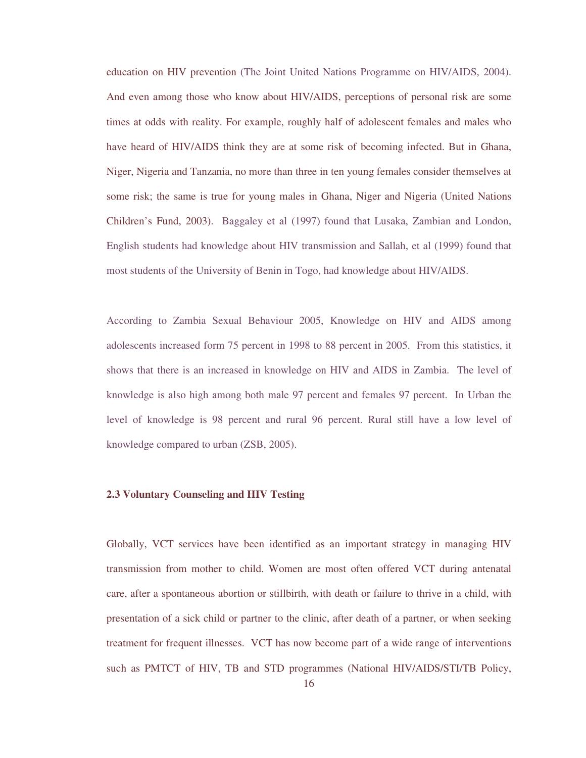education on HIV prevention (The Joint United Nations Programme on HIV/AIDS, 2004). And even among those who know about HIV/AIDS, perceptions of personal risk are some times at odds with reality. For example, roughly half of adolescent females and males who have heard of HIV/AIDS think they are at some risk of becoming infected. But in Ghana, Niger, Nigeria and Tanzania, no more than three in ten young females consider themselves at some risk; the same is true for young males in Ghana, Niger and Nigeria (United Nations Children's Fund, 2003). Baggaley et al (1997) found that Lusaka, Zambian and London, English students had knowledge about HIV transmission and Sallah, et al (1999) found that most students of the University of Benin in Togo, had knowledge about HIV/AIDS.

According to Zambia Sexual Behaviour 2005, Knowledge on HIV and AIDS among adolescents increased form 75 percent in 1998 to 88 percent in 2005. From this statistics, it shows that there is an increased in knowledge on HIV and AIDS in Zambia. The level of knowledge is also high among both male 97 percent and females 97 percent. In Urban the level of knowledge is 98 percent and rural 96 percent. Rural still have a low level of knowledge compared to urban (ZSB, 2005).

## **2.3 Voluntary Counseling and HIV Testing**

Globally, VCT services have been identified as an important strategy in managing HIV transmission from mother to child. Women are most often offered VCT during antenatal care, after a spontaneous abortion or stillbirth, with death or failure to thrive in a child, with presentation of a sick child or partner to the clinic, after death of a partner, or when seeking treatment for frequent illnesses. VCT has now become part of a wide range of interventions such as PMTCT of HIV, TB and STD programmes (National HIV/AIDS/STI/TB Policy,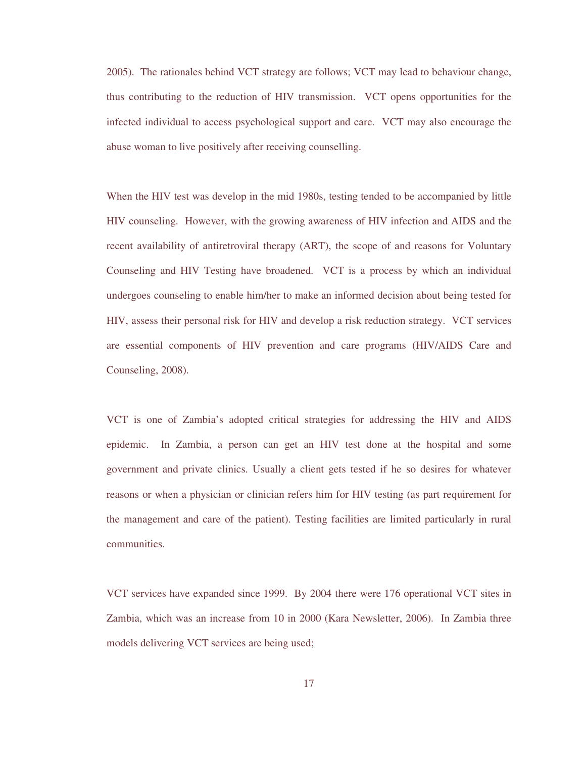2005). The rationales behind VCT strategy are follows; VCT may lead to behaviour change, thus contributing to the reduction of HIV transmission. VCT opens opportunities for the infected individual to access psychological support and care. VCT may also encourage the abuse woman to live positively after receiving counselling.

When the HIV test was develop in the mid 1980s, testing tended to be accompanied by little HIV counseling. However, with the growing awareness of HIV infection and AIDS and the recent availability of antiretroviral therapy (ART), the scope of and reasons for Voluntary Counseling and HIV Testing have broadened. VCT is a process by which an individual undergoes counseling to enable him/her to make an informed decision about being tested for HIV, assess their personal risk for HIV and develop a risk reduction strategy. VCT services are essential components of HIV prevention and care programs (HIV/AIDS Care and Counseling, 2008).

VCT is one of Zambia's adopted critical strategies for addressing the HIV and AIDS epidemic. In Zambia, a person can get an HIV test done at the hospital and some government and private clinics. Usually a client gets tested if he so desires for whatever reasons or when a physician or clinician refers him for HIV testing (as part requirement for the management and care of the patient). Testing facilities are limited particularly in rural communities.

VCT services have expanded since 1999. By 2004 there were 176 operational VCT sites in Zambia, which was an increase from 10 in 2000 (Kara Newsletter, 2006). In Zambia three models delivering VCT services are being used;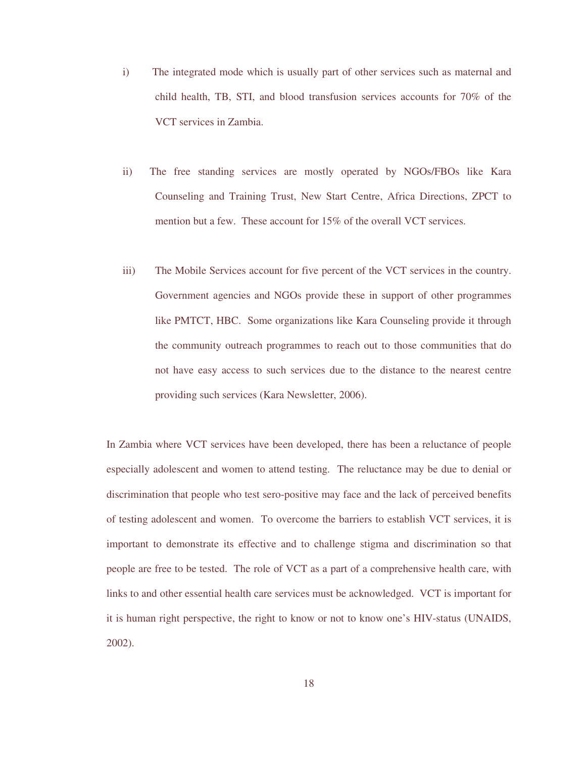- i) The integrated mode which is usually part of other services such as maternal and child health, TB, STI, and blood transfusion services accounts for 70% of the VCT services in Zambia.
- ii) The free standing services are mostly operated by NGOs/FBOs like Kara Counseling and Training Trust, New Start Centre, Africa Directions, ZPCT to mention but a few. These account for 15% of the overall VCT services.
- iii) The Mobile Services account for five percent of the VCT services in the country. Government agencies and NGOs provide these in support of other programmes like PMTCT, HBC. Some organizations like Kara Counseling provide it through the community outreach programmes to reach out to those communities that do not have easy access to such services due to the distance to the nearest centre providing such services (Kara Newsletter, 2006).

In Zambia where VCT services have been developed, there has been a reluctance of people especially adolescent and women to attend testing. The reluctance may be due to denial or discrimination that people who test sero-positive may face and the lack of perceived benefits of testing adolescent and women. To overcome the barriers to establish VCT services, it is important to demonstrate its effective and to challenge stigma and discrimination so that people are free to be tested. The role of VCT as a part of a comprehensive health care, with links to and other essential health care services must be acknowledged. VCT is important for it is human right perspective, the right to know or not to know one's HIV-status (UNAIDS, 2002).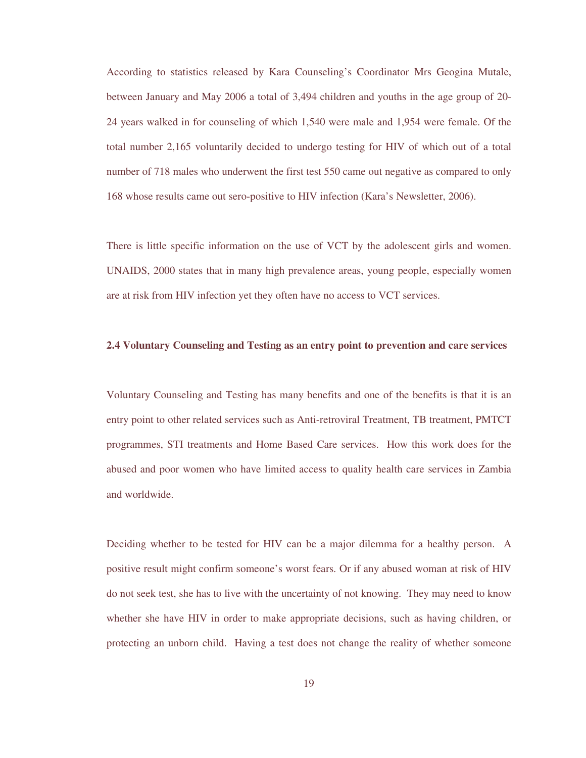According to statistics released by Kara Counseling's Coordinator Mrs Geogina Mutale, between January and May 2006 a total of 3,494 children and youths in the age group of 20- 24 years walked in for counseling of which 1,540 were male and 1,954 were female. Of the total number 2,165 voluntarily decided to undergo testing for HIV of which out of a total number of 718 males who underwent the first test 550 came out negative as compared to only 168 whose results came out sero-positive to HIV infection (Kara's Newsletter, 2006).

There is little specific information on the use of VCT by the adolescent girls and women. UNAIDS, 2000 states that in many high prevalence areas, young people, especially women are at risk from HIV infection yet they often have no access to VCT services.

## **2.4 Voluntary Counseling and Testing as an entry point to prevention and care services**

Voluntary Counseling and Testing has many benefits and one of the benefits is that it is an entry point to other related services such as Anti-retroviral Treatment, TB treatment, PMTCT programmes, STI treatments and Home Based Care services. How this work does for the abused and poor women who have limited access to quality health care services in Zambia and worldwide.

Deciding whether to be tested for HIV can be a major dilemma for a healthy person. A positive result might confirm someone's worst fears. Or if any abused woman at risk of HIV do not seek test, she has to live with the uncertainty of not knowing. They may need to know whether she have HIV in order to make appropriate decisions, such as having children, or protecting an unborn child. Having a test does not change the reality of whether someone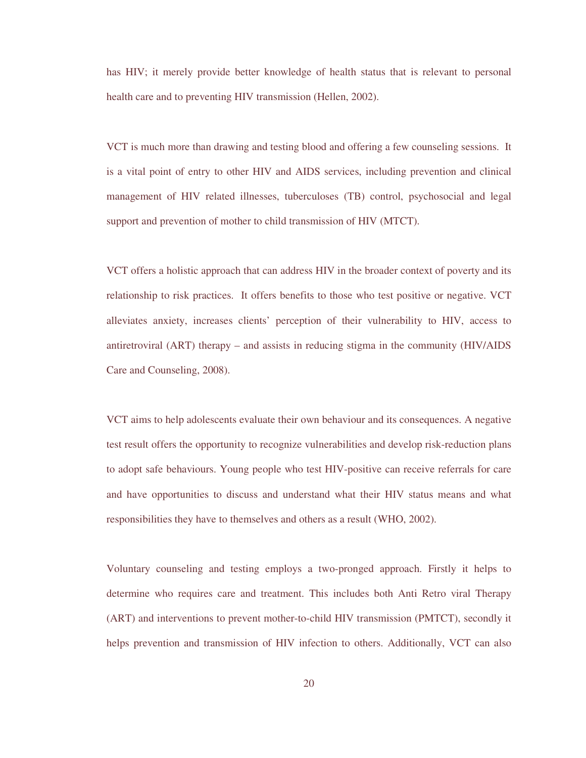has HIV; it merely provide better knowledge of health status that is relevant to personal health care and to preventing HIV transmission (Hellen, 2002).

VCT is much more than drawing and testing blood and offering a few counseling sessions. It is a vital point of entry to other HIV and AIDS services, including prevention and clinical management of HIV related illnesses, tuberculoses (TB) control, psychosocial and legal support and prevention of mother to child transmission of HIV (MTCT).

VCT offers a holistic approach that can address HIV in the broader context of poverty and its relationship to risk practices. It offers benefits to those who test positive or negative. VCT alleviates anxiety, increases clients' perception of their vulnerability to HIV, access to antiretroviral (ART) therapy – and assists in reducing stigma in the community (HIV/AIDS Care and Counseling, 2008).

VCT aims to help adolescents evaluate their own behaviour and its consequences. A negative test result offers the opportunity to recognize vulnerabilities and develop risk-reduction plans to adopt safe behaviours. Young people who test HIV-positive can receive referrals for care and have opportunities to discuss and understand what their HIV status means and what responsibilities they have to themselves and others as a result (WHO, 2002).

Voluntary counseling and testing employs a two-pronged approach. Firstly it helps to determine who requires care and treatment. This includes both Anti Retro viral Therapy (ART) and interventions to prevent mother-to-child HIV transmission (PMTCT), secondly it helps prevention and transmission of HIV infection to others. Additionally, VCT can also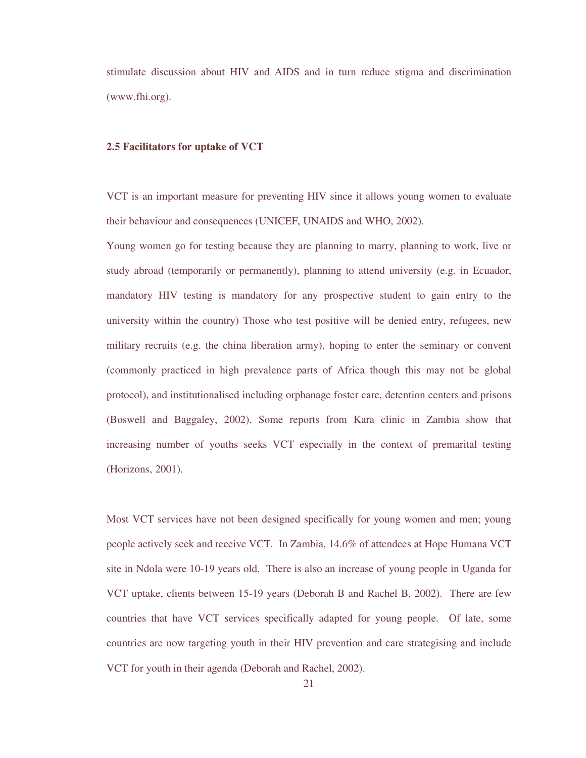stimulate discussion about HIV and AIDS and in turn reduce stigma and discrimination (www.fhi.org).

## **2.5 Facilitators for uptake of VCT**

VCT is an important measure for preventing HIV since it allows young women to evaluate their behaviour and consequences (UNICEF, UNAIDS and WHO, 2002).

Young women go for testing because they are planning to marry, planning to work, live or study abroad (temporarily or permanently), planning to attend university (e.g. in Ecuador, mandatory HIV testing is mandatory for any prospective student to gain entry to the university within the country) Those who test positive will be denied entry, refugees, new military recruits (e.g. the china liberation army), hoping to enter the seminary or convent (commonly practiced in high prevalence parts of Africa though this may not be global protocol), and institutionalised including orphanage foster care, detention centers and prisons (Boswell and Baggaley, 2002). Some reports from Kara clinic in Zambia show that increasing number of youths seeks VCT especially in the context of premarital testing (Horizons, 2001).

Most VCT services have not been designed specifically for young women and men; young people actively seek and receive VCT. In Zambia, 14.6% of attendees at Hope Humana VCT site in Ndola were 10-19 years old. There is also an increase of young people in Uganda for VCT uptake, clients between 15-19 years (Deborah B and Rachel B, 2002). There are few countries that have VCT services specifically adapted for young people. Of late, some countries are now targeting youth in their HIV prevention and care strategising and include VCT for youth in their agenda (Deborah and Rachel, 2002).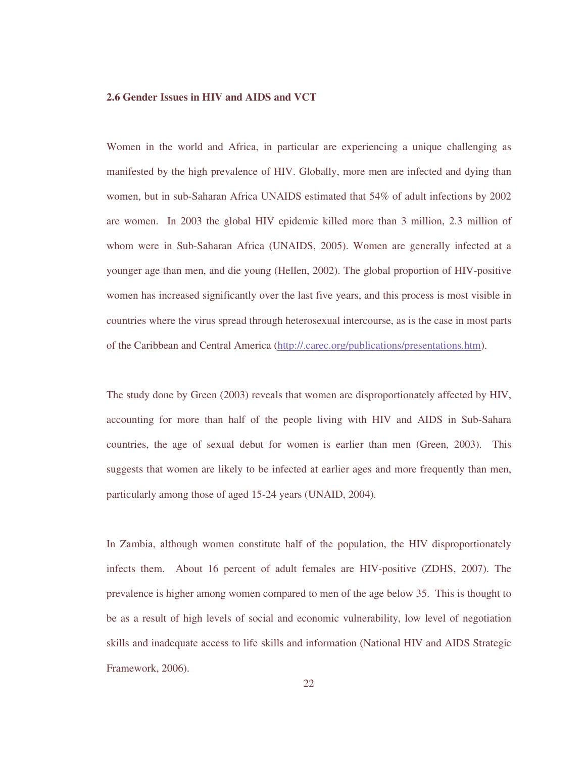### **2.6 Gender Issues in HIV and AIDS and VCT**

Women in the world and Africa, in particular are experiencing a unique challenging as manifested by the high prevalence of HIV. Globally, more men are infected and dying than women, but in sub-Saharan Africa UNAIDS estimated that 54% of adult infections by 2002 are women. In 2003 the global HIV epidemic killed more than 3 million, 2.3 million of whom were in Sub-Saharan Africa (UNAIDS, 2005). Women are generally infected at a younger age than men, and die young (Hellen, 2002). The global proportion of HIV-positive women has increased significantly over the last five years, and this process is most visible in countries where the virus spread through heterosexual intercourse, as is the case in most parts of the Caribbean and Central America (http://.carec.org/publications/presentations.htm).

The study done by Green (2003) reveals that women are disproportionately affected by HIV, accounting for more than half of the people living with HIV and AIDS in Sub-Sahara countries, the age of sexual debut for women is earlier than men (Green, 2003). This suggests that women are likely to be infected at earlier ages and more frequently than men, particularly among those of aged 15-24 years (UNAID, 2004).

In Zambia, although women constitute half of the population, the HIV disproportionately infects them. About 16 percent of adult females are HIV-positive (ZDHS, 2007). The prevalence is higher among women compared to men of the age below 35. This is thought to be as a result of high levels of social and economic vulnerability, low level of negotiation skills and inadequate access to life skills and information (National HIV and AIDS Strategic Framework, 2006).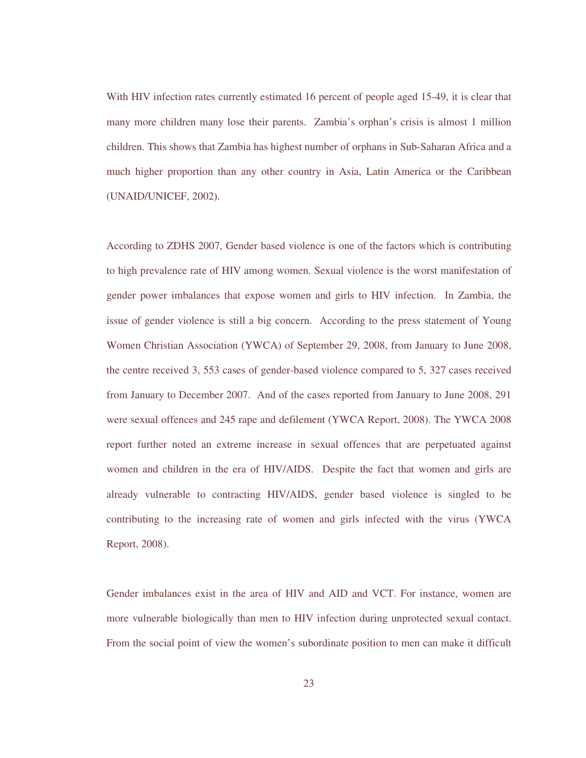With HIV infection rates currently estimated 16 percent of people aged 15-49, it is clear that many more children many lose their parents. Zambia's orphan's crisis is almost 1 million children. This shows that Zambia has highest number of orphans in Sub-Saharan Africa and a much higher proportion than any other country in Asia, Latin America or the Caribbean (UNAID/UNICEF, 2002).

According to ZDHS 2007, Gender based violence is one of the factors which is contributing to high prevalence rate of HIV among women. Sexual violence is the worst manifestation of gender power imbalances that expose women and girls to HIV infection. In Zambia, the issue of gender violence is still a big concern. According to the press statement of Young Women Christian Association (YWCA) of September 29, 2008, from January to June 2008, the centre received 3, 553 cases of gender-based violence compared to 5, 327 cases received from January to December 2007. And of the cases reported from January to June 2008, 291 were sexual offences and 245 rape and defilement (YWCA Report, 2008). The YWCA 2008 report further noted an extreme increase in sexual offences that are perpetuated against women and children in the era of HIV/AIDS. Despite the fact that women and girls are already vulnerable to contracting HIV/AIDS, gender based violence is singled to be contributing to the increasing rate of women and girls infected with the virus (YWCA Report, 2008).

Gender imbalances exist in the area of HIV and AID and VCT. For instance, women are more vulnerable biologically than men to HIV infection during unprotected sexual contact. From the social point of view the women's subordinate position to men can make it difficult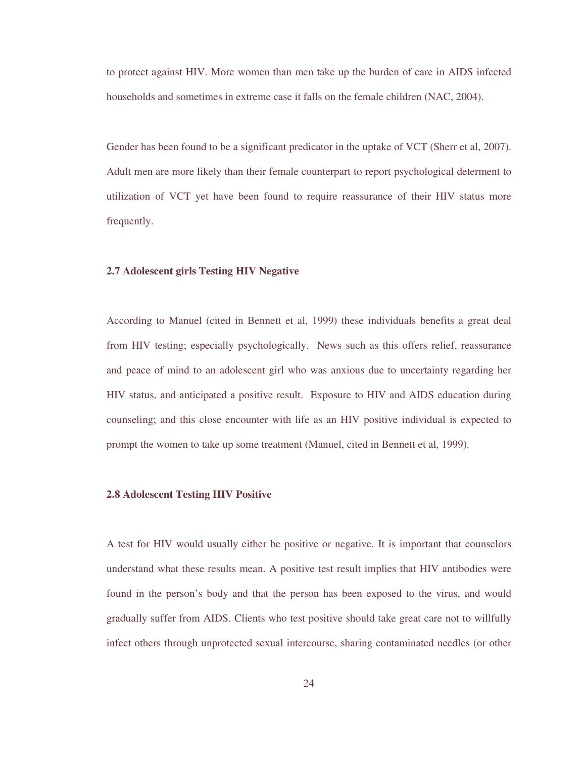to protect against HIV. More women than men take up the burden of care in AIDS infected households and sometimes in extreme case it falls on the female children (NAC, 2004).

Gender has been found to be a significant predicator in the uptake of VCT (Sherr et al, 2007). Adult men are more likely than their female counterpart to report psychological determent to utilization of VCT yet have been found to require reassurance of their HIV status more frequently.

## **2.7 Adolescent girls Testing HIV Negative**

According to Manuel (cited in Bennett et al, 1999) these individuals benefits a great deal from HIV testing; especially psychologically. News such as this offers relief, reassurance and peace of mind to an adolescent girl who was anxious due to uncertainty regarding her HIV status, and anticipated a positive result. Exposure to HIV and AIDS education during counseling; and this close encounter with life as an HIV positive individual is expected to prompt the women to take up some treatment (Manuel, cited in Bennett et al, 1999).

### **2.8 Adolescent Testing HIV Positive**

A test for HIV would usually either be positive or negative. It is important that counselors understand what these results mean. A positive test result implies that HIV antibodies were found in the person's body and that the person has been exposed to the virus, and would gradually suffer from AIDS. Clients who test positive should take great care not to willfully infect others through unprotected sexual intercourse, sharing contaminated needles (or other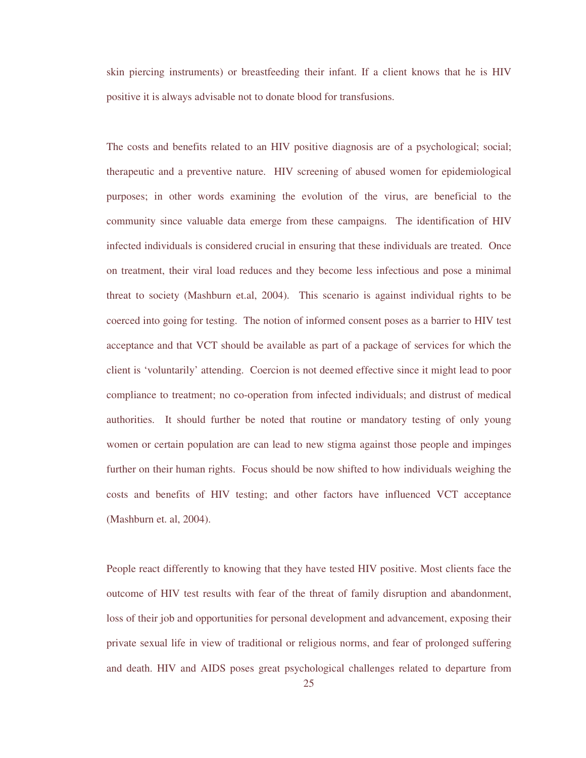skin piercing instruments) or breastfeeding their infant. If a client knows that he is HIV positive it is always advisable not to donate blood for transfusions.

The costs and benefits related to an HIV positive diagnosis are of a psychological; social; therapeutic and a preventive nature. HIV screening of abused women for epidemiological purposes; in other words examining the evolution of the virus, are beneficial to the community since valuable data emerge from these campaigns. The identification of HIV infected individuals is considered crucial in ensuring that these individuals are treated. Once on treatment, their viral load reduces and they become less infectious and pose a minimal threat to society (Mashburn et.al, 2004). This scenario is against individual rights to be coerced into going for testing. The notion of informed consent poses as a barrier to HIV test acceptance and that VCT should be available as part of a package of services for which the client is 'voluntarily' attending. Coercion is not deemed effective since it might lead to poor compliance to treatment; no co-operation from infected individuals; and distrust of medical authorities. It should further be noted that routine or mandatory testing of only young women or certain population are can lead to new stigma against those people and impinges further on their human rights. Focus should be now shifted to how individuals weighing the costs and benefits of HIV testing; and other factors have influenced VCT acceptance (Mashburn et. al, 2004).

People react differently to knowing that they have tested HIV positive. Most clients face the outcome of HIV test results with fear of the threat of family disruption and abandonment, loss of their job and opportunities for personal development and advancement, exposing their private sexual life in view of traditional or religious norms, and fear of prolonged suffering and death. HIV and AIDS poses great psychological challenges related to departure from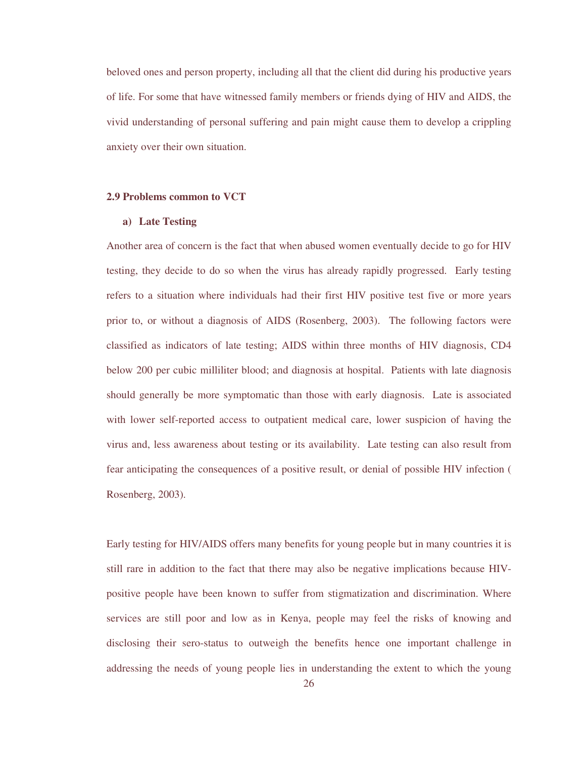beloved ones and person property, including all that the client did during his productive years of life. For some that have witnessed family members or friends dying of HIV and AIDS, the vivid understanding of personal suffering and pain might cause them to develop a crippling anxiety over their own situation.

#### **2.9 Problems common to VCT**

#### **a) Late Testing**

Another area of concern is the fact that when abused women eventually decide to go for HIV testing, they decide to do so when the virus has already rapidly progressed. Early testing refers to a situation where individuals had their first HIV positive test five or more years prior to, or without a diagnosis of AIDS (Rosenberg, 2003). The following factors were classified as indicators of late testing; AIDS within three months of HIV diagnosis, CD4 below 200 per cubic milliliter blood; and diagnosis at hospital. Patients with late diagnosis should generally be more symptomatic than those with early diagnosis. Late is associated with lower self-reported access to outpatient medical care, lower suspicion of having the virus and, less awareness about testing or its availability. Late testing can also result from fear anticipating the consequences of a positive result, or denial of possible HIV infection ( Rosenberg, 2003).

Early testing for HIV/AIDS offers many benefits for young people but in many countries it is still rare in addition to the fact that there may also be negative implications because HIVpositive people have been known to suffer from stigmatization and discrimination. Where services are still poor and low as in Kenya, people may feel the risks of knowing and disclosing their sero-status to outweigh the benefits hence one important challenge in addressing the needs of young people lies in understanding the extent to which the young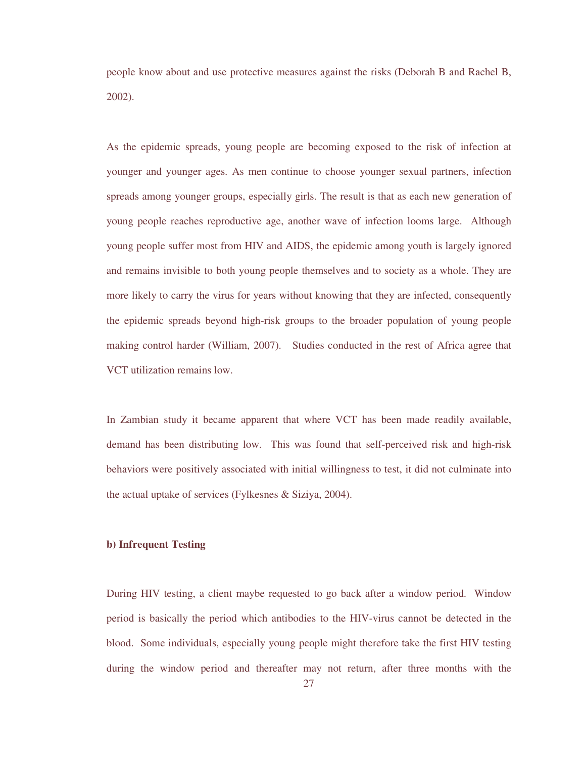people know about and use protective measures against the risks (Deborah B and Rachel B, 2002).

As the epidemic spreads, young people are becoming exposed to the risk of infection at younger and younger ages. As men continue to choose younger sexual partners, infection spreads among younger groups, especially girls. The result is that as each new generation of young people reaches reproductive age, another wave of infection looms large. Although young people suffer most from HIV and AIDS, the epidemic among youth is largely ignored and remains invisible to both young people themselves and to society as a whole. They are more likely to carry the virus for years without knowing that they are infected, consequently the epidemic spreads beyond high-risk groups to the broader population of young people making control harder (William, 2007). Studies conducted in the rest of Africa agree that VCT utilization remains low.

In Zambian study it became apparent that where VCT has been made readily available, demand has been distributing low. This was found that self-perceived risk and high-risk behaviors were positively associated with initial willingness to test, it did not culminate into the actual uptake of services (Fylkesnes & Siziya, 2004).

## **b) Infrequent Testing**

During HIV testing, a client maybe requested to go back after a window period. Window period is basically the period which antibodies to the HIV-virus cannot be detected in the blood. Some individuals, especially young people might therefore take the first HIV testing during the window period and thereafter may not return, after three months with the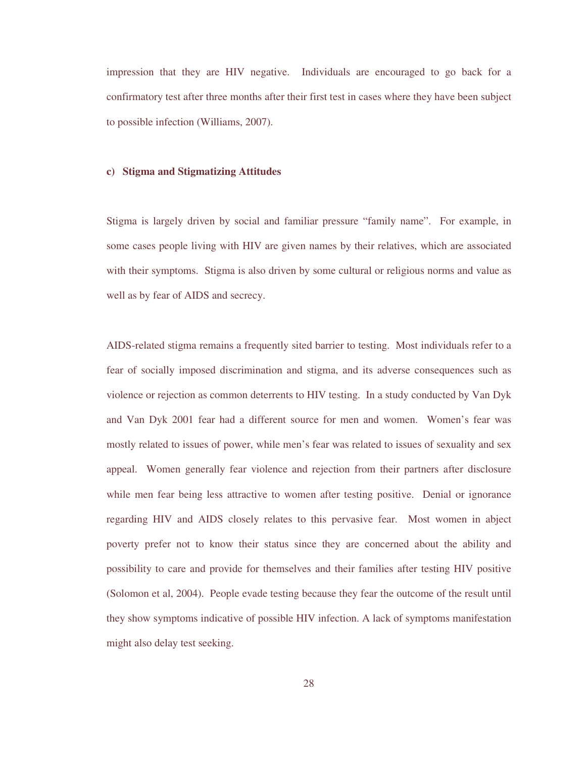impression that they are HIV negative. Individuals are encouraged to go back for a confirmatory test after three months after their first test in cases where they have been subject to possible infection (Williams, 2007).

### **c) Stigma and Stigmatizing Attitudes**

Stigma is largely driven by social and familiar pressure "family name". For example, in some cases people living with HIV are given names by their relatives, which are associated with their symptoms. Stigma is also driven by some cultural or religious norms and value as well as by fear of AIDS and secrecy.

AIDS-related stigma remains a frequently sited barrier to testing. Most individuals refer to a fear of socially imposed discrimination and stigma, and its adverse consequences such as violence or rejection as common deterrents to HIV testing. In a study conducted by Van Dyk and Van Dyk 2001 fear had a different source for men and women. Women's fear was mostly related to issues of power, while men's fear was related to issues of sexuality and sex appeal. Women generally fear violence and rejection from their partners after disclosure while men fear being less attractive to women after testing positive. Denial or ignorance regarding HIV and AIDS closely relates to this pervasive fear. Most women in abject poverty prefer not to know their status since they are concerned about the ability and possibility to care and provide for themselves and their families after testing HIV positive (Solomon et al, 2004). People evade testing because they fear the outcome of the result until they show symptoms indicative of possible HIV infection. A lack of symptoms manifestation might also delay test seeking.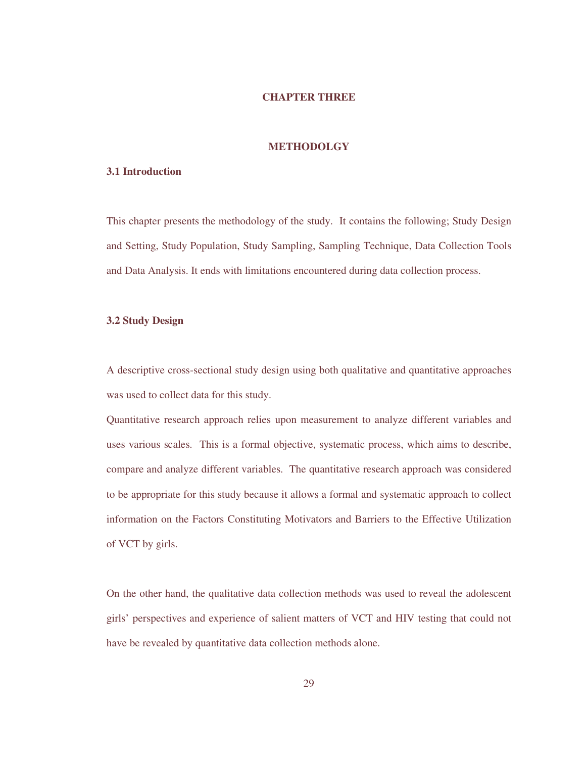# **CHAPTER THREE**

# **METHODOLGY**

## **3.1 Introduction**

This chapter presents the methodology of the study. It contains the following; Study Design and Setting, Study Population, Study Sampling, Sampling Technique, Data Collection Tools and Data Analysis. It ends with limitations encountered during data collection process.

# **3.2 Study Design**

A descriptive cross-sectional study design using both qualitative and quantitative approaches was used to collect data for this study.

Quantitative research approach relies upon measurement to analyze different variables and uses various scales. This is a formal objective, systematic process, which aims to describe, compare and analyze different variables. The quantitative research approach was considered to be appropriate for this study because it allows a formal and systematic approach to collect information on the Factors Constituting Motivators and Barriers to the Effective Utilization of VCT by girls.

On the other hand, the qualitative data collection methods was used to reveal the adolescent girls' perspectives and experience of salient matters of VCT and HIV testing that could not have be revealed by quantitative data collection methods alone.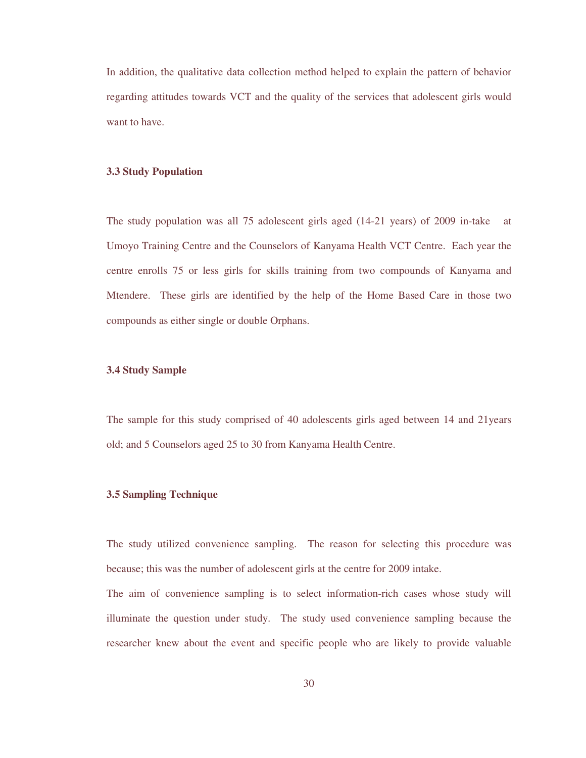In addition, the qualitative data collection method helped to explain the pattern of behavior regarding attitudes towards VCT and the quality of the services that adolescent girls would want to have.

### **3.3 Study Population**

The study population was all 75 adolescent girls aged (14-21 years) of 2009 in-take at Umoyo Training Centre and the Counselors of Kanyama Health VCT Centre. Each year the centre enrolls 75 or less girls for skills training from two compounds of Kanyama and Mtendere. These girls are identified by the help of the Home Based Care in those two compounds as either single or double Orphans.

## **3.4 Study Sample**

The sample for this study comprised of 40 adolescents girls aged between 14 and 21years old; and 5 Counselors aged 25 to 30 from Kanyama Health Centre.

## **3.5 Sampling Technique**

The study utilized convenience sampling. The reason for selecting this procedure was because; this was the number of adolescent girls at the centre for 2009 intake.

The aim of convenience sampling is to select information-rich cases whose study will illuminate the question under study. The study used convenience sampling because the researcher knew about the event and specific people who are likely to provide valuable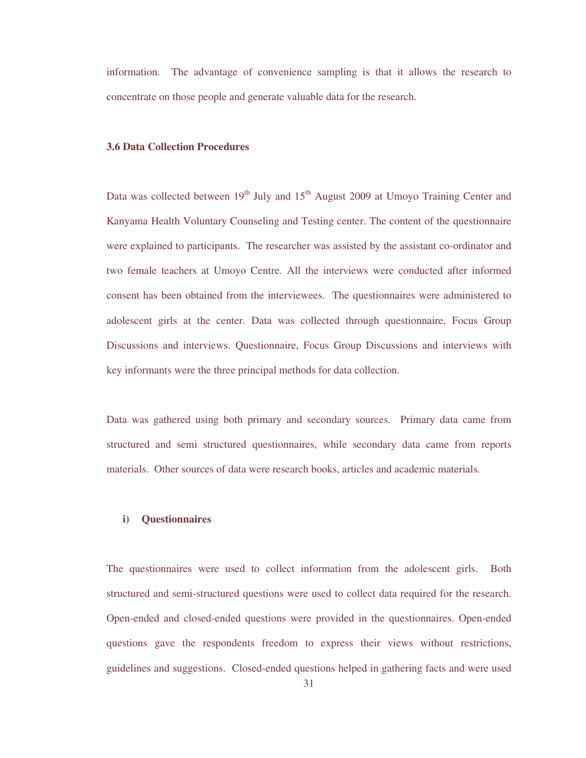information. The advantage of convenience sampling is that it allows the research to concentrate on those people and generate valuable data for the research.

## **3.6 Data Collection Procedures**

Data was collected between  $19<sup>th</sup>$  July and  $15<sup>th</sup>$  August 2009 at Umoyo Training Center and Kanyama Health Voluntary Counseling and Testing center. The content of the questionnaire were explained to participants. The researcher was assisted by the assistant co-ordinator and two female teachers at Umoyo Centre. All the interviews were conducted after informed consent has been obtained from the interviewees. The questionnaires were administered to adolescent girls at the center. Data was collected through questionnaire, Focus Group Discussions and interviews. Questionnaire, Focus Group Discussions and interviews with key informants were the three principal methods for data collection.

Data was gathered using both primary and secondary sources. Primary data came from structured and semi structured questionnaires, while secondary data came from reports materials. Other sources of data were research books, articles and academic materials.

## **i) Questionnaires**

The questionnaires were used to collect information from the adolescent girls. Both structured and semi-structured questions were used to collect data required for the research. Open-ended and closed-ended questions were provided in the questionnaires. Open-ended questions gave the respondents freedom to express their views without restrictions, guidelines and suggestions. Closed-ended questions helped in gathering facts and were used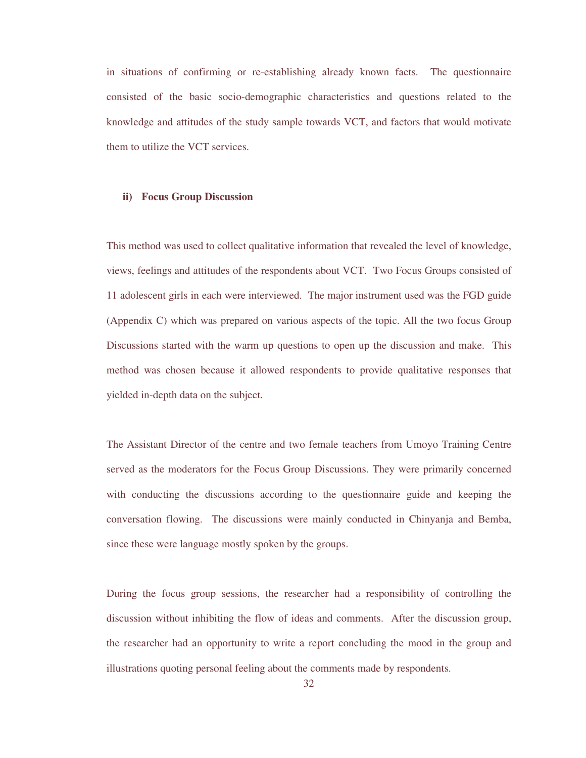in situations of confirming or re-establishing already known facts. The questionnaire consisted of the basic socio-demographic characteristics and questions related to the knowledge and attitudes of the study sample towards VCT, and factors that would motivate them to utilize the VCT services.

### **ii) Focus Group Discussion**

This method was used to collect qualitative information that revealed the level of knowledge, views, feelings and attitudes of the respondents about VCT. Two Focus Groups consisted of 11 adolescent girls in each were interviewed. The major instrument used was the FGD guide (Appendix C) which was prepared on various aspects of the topic. All the two focus Group Discussions started with the warm up questions to open up the discussion and make. This method was chosen because it allowed respondents to provide qualitative responses that yielded in-depth data on the subject.

The Assistant Director of the centre and two female teachers from Umoyo Training Centre served as the moderators for the Focus Group Discussions. They were primarily concerned with conducting the discussions according to the questionnaire guide and keeping the conversation flowing. The discussions were mainly conducted in Chinyanja and Bemba, since these were language mostly spoken by the groups.

During the focus group sessions, the researcher had a responsibility of controlling the discussion without inhibiting the flow of ideas and comments. After the discussion group, the researcher had an opportunity to write a report concluding the mood in the group and illustrations quoting personal feeling about the comments made by respondents.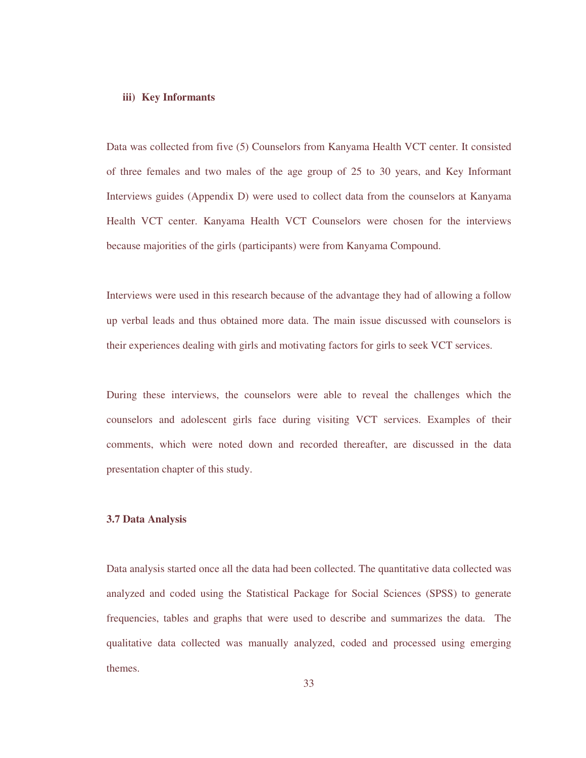#### **iii) Key Informants**

Data was collected from five (5) Counselors from Kanyama Health VCT center. It consisted of three females and two males of the age group of 25 to 30 years, and Key Informant Interviews guides (Appendix D) were used to collect data from the counselors at Kanyama Health VCT center. Kanyama Health VCT Counselors were chosen for the interviews because majorities of the girls (participants) were from Kanyama Compound.

Interviews were used in this research because of the advantage they had of allowing a follow up verbal leads and thus obtained more data. The main issue discussed with counselors is their experiences dealing with girls and motivating factors for girls to seek VCT services.

During these interviews, the counselors were able to reveal the challenges which the counselors and adolescent girls face during visiting VCT services. Examples of their comments, which were noted down and recorded thereafter, are discussed in the data presentation chapter of this study.

## **3.7 Data Analysis**

Data analysis started once all the data had been collected. The quantitative data collected was analyzed and coded using the Statistical Package for Social Sciences (SPSS) to generate frequencies, tables and graphs that were used to describe and summarizes the data. The qualitative data collected was manually analyzed, coded and processed using emerging themes.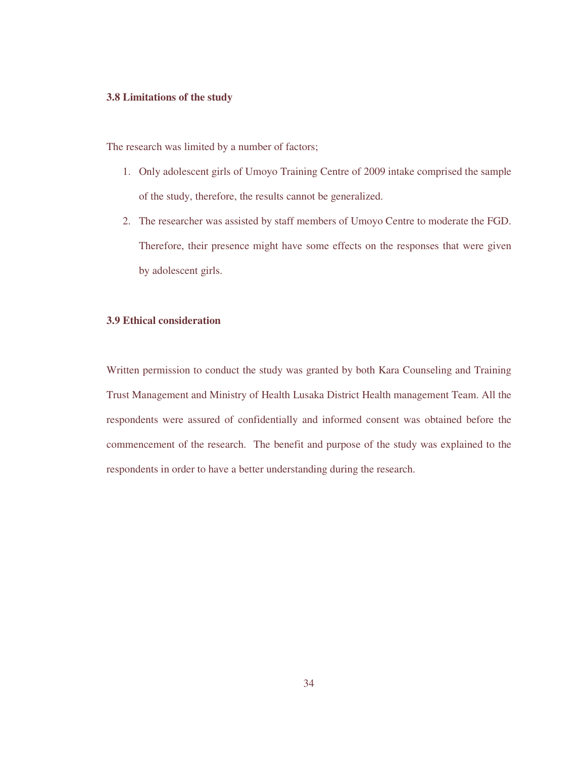## **3.8 Limitations of the study**

The research was limited by a number of factors;

- 1. Only adolescent girls of Umoyo Training Centre of 2009 intake comprised the sample of the study, therefore, the results cannot be generalized.
- 2. The researcher was assisted by staff members of Umoyo Centre to moderate the FGD. Therefore, their presence might have some effects on the responses that were given by adolescent girls.

# **3.9 Ethical consideration**

Written permission to conduct the study was granted by both Kara Counseling and Training Trust Management and Ministry of Health Lusaka District Health management Team. All the respondents were assured of confidentially and informed consent was obtained before the commencement of the research. The benefit and purpose of the study was explained to the respondents in order to have a better understanding during the research.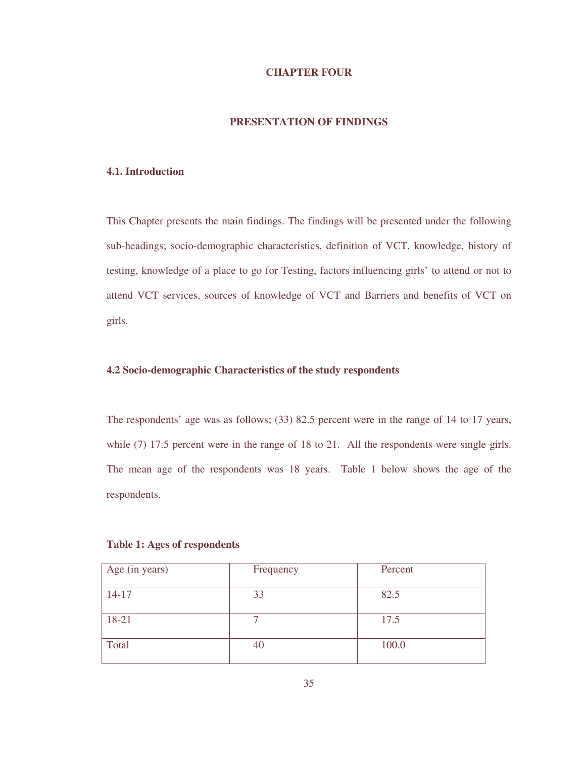# **CHAPTER FOUR**

# **PRESENTATION OF FINDINGS**

## **4.1. Introduction**

This Chapter presents the main findings. The findings will be presented under the following sub-headings; socio-demographic characteristics, definition of VCT, knowledge, history of testing, knowledge of a place to go for Testing, factors influencing girls' to attend or not to attend VCT services, sources of knowledge of VCT and Barriers and benefits of VCT on girls.

# **4.2 Socio-demographic Characteristics of the study respondents**

The respondents' age was as follows; (33) 82.5 percent were in the range of 14 to 17 years, while (7) 17.5 percent were in the range of 18 to 21. All the respondents were single girls. The mean age of the respondents was 18 years. Table 1 below shows the age of the respondents.

## **Table 1: Ages of respondents**

| Age (in years) | Frequency | Percent |
|----------------|-----------|---------|
| $14-17$        | 33        | 82.5    |
| 18-21          |           | 17.5    |
| Total          | 40        | 100.0   |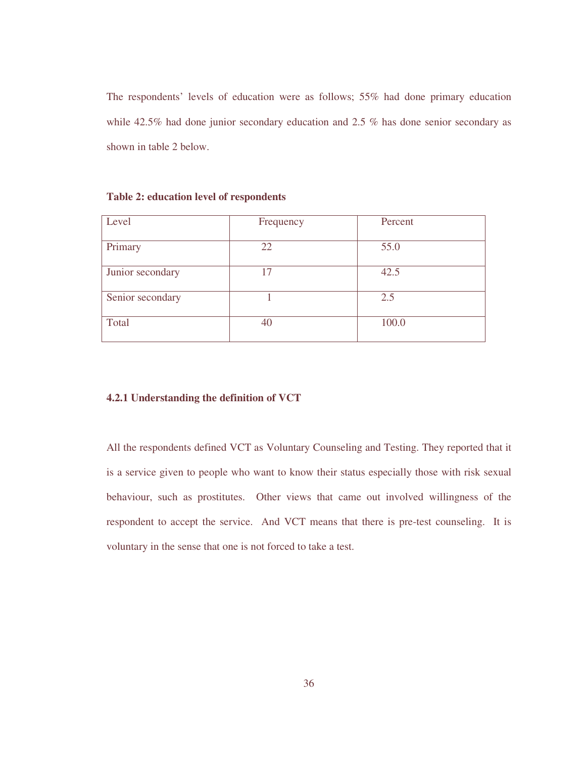The respondents' levels of education were as follows; 55% had done primary education while 42.5% had done junior secondary education and 2.5 % has done senior secondary as shown in table 2 below.

| Level            | Frequency | Percent |
|------------------|-----------|---------|
| Primary          | 22        | 55.0    |
| Junior secondary | 17        | 42.5    |
| Senior secondary |           | 2.5     |
| Total            | 40        | 100.0   |

**Table 2: education level of respondents** 

## **4.2.1 Understanding the definition of VCT**

All the respondents defined VCT as Voluntary Counseling and Testing. They reported that it is a service given to people who want to know their status especially those with risk sexual behaviour, such as prostitutes. Other views that came out involved willingness of the respondent to accept the service. And VCT means that there is pre-test counseling. It is voluntary in the sense that one is not forced to take a test.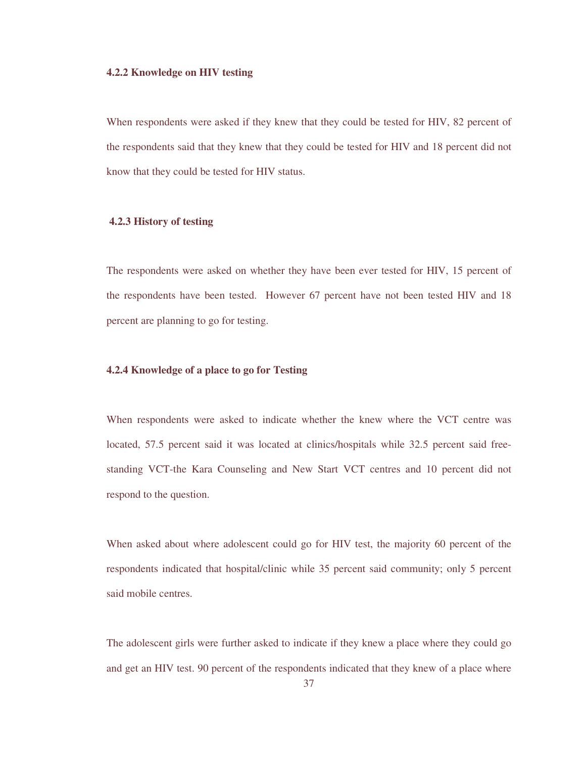### **4.2.2 Knowledge on HIV testing**

When respondents were asked if they knew that they could be tested for HIV, 82 percent of the respondents said that they knew that they could be tested for HIV and 18 percent did not know that they could be tested for HIV status.

## **4.2.3 History of testing**

The respondents were asked on whether they have been ever tested for HIV, 15 percent of the respondents have been tested. However 67 percent have not been tested HIV and 18 percent are planning to go for testing.

## **4.2.4 Knowledge of a place to go for Testing**

When respondents were asked to indicate whether the knew where the VCT centre was located, 57.5 percent said it was located at clinics/hospitals while 32.5 percent said freestanding VCT-the Kara Counseling and New Start VCT centres and 10 percent did not respond to the question.

When asked about where adolescent could go for HIV test, the majority 60 percent of the respondents indicated that hospital/clinic while 35 percent said community; only 5 percent said mobile centres.

The adolescent girls were further asked to indicate if they knew a place where they could go and get an HIV test. 90 percent of the respondents indicated that they knew of a place where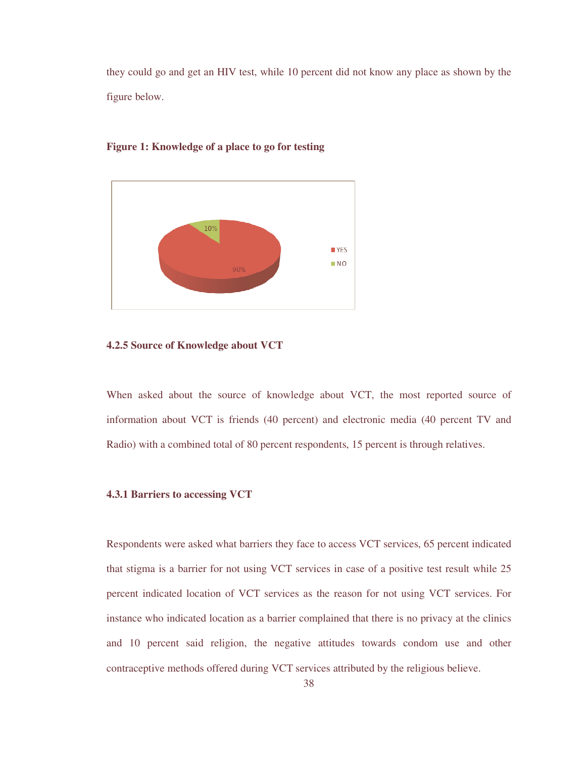they could go and get an HIV test, while 10 percent did not know any place as shown by the figure below.



# **Figure 1: Knowledge of a place to go for testing**

## **4.2.5 Source of Knowledge about VCT**

When asked about the source of knowledge about VCT, the most reported source of information about VCT is friends (40 percent) and electronic media (40 percent TV and Radio) with a combined total of 80 percent respondents, 15 percent is through relatives.

## **4.3.1 Barriers to accessing VCT**

Respondents were asked what barriers they face to access VCT services, 65 percent indicated that stigma is a barrier for not using VCT services in case of a positive test result while 25 percent indicated location of VCT services as the reason for not using VCT services. For instance who indicated location as a barrier complained that there is no privacy at the clinics and 10 percent said religion, the negative attitudes towards condom use and other contraceptive methods offered during VCT services attributed by the religious believe.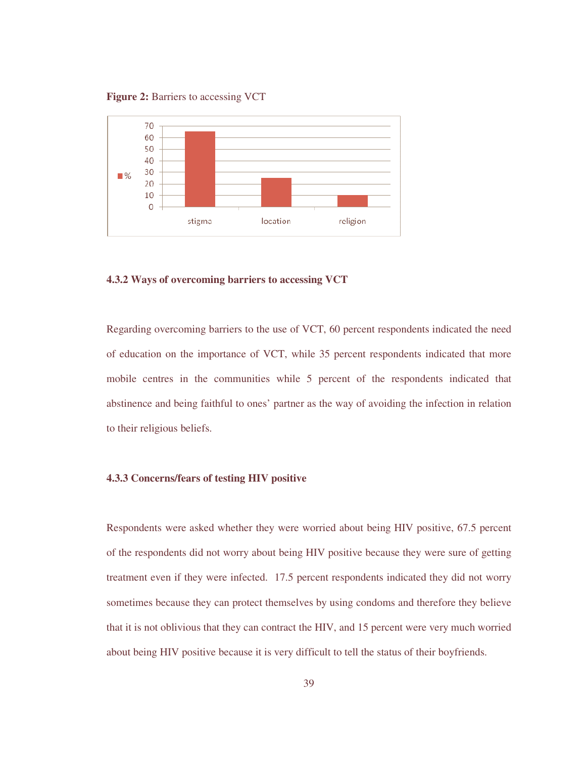**Figure 2: Barriers to accessing VCT** 



## **4.3.2 Ways of overcoming barriers to accessing VCT**

Regarding overcoming barriers to the use of VCT, 60 percent respondents indicated the need of education on the importance of VCT, while 35 percent respondents indicated that more mobile centres in the communities while 5 percent of the respondents indicated that abstinence and being faithful to ones' partner as the way of avoiding the infection in relation to their religious beliefs.

#### **4.3.3 Concerns/fears of testing HIV positive**

Respondents were asked whether they were worried about being HIV positive, 67.5 percent of the respondents did not worry about being HIV positive because they were sure of getting treatment even if they were infected. 17.5 percent respondents indicated they did not worry sometimes because they can protect themselves by using condoms and therefore they believe that it is not oblivious that they can contract the HIV, and 15 percent were very much worried about being HIV positive because it is very difficult to tell the status of their boyfriends.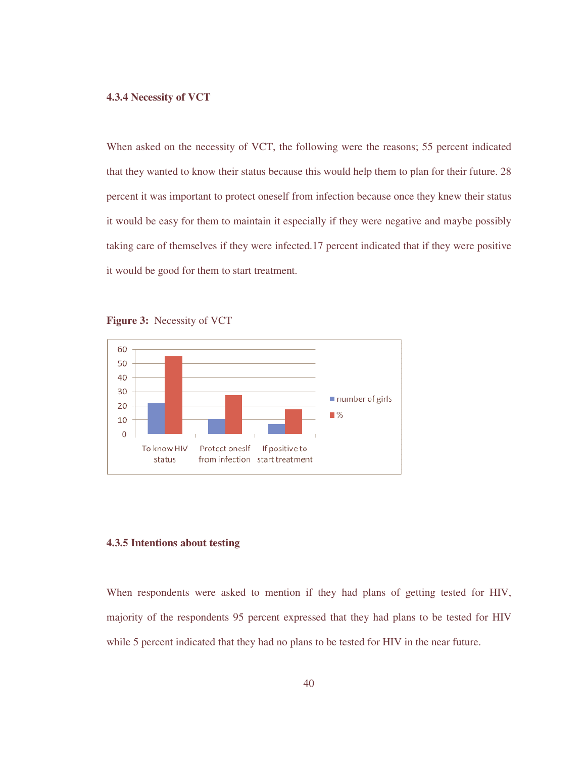## **4.3.4 Necessity of VCT**

When asked on the necessity of VCT, the following were the reasons; 55 percent indicated that they wanted to know their status because this would help them to plan for their future. 28 percent it was important to protect oneself from infection because once they knew their status it would be easy for them to maintain it especially if they were negative and maybe possibly taking care of themselves if they were infected.17 percent indicated that if they were positive it would be good for them to start treatment.





## **4.3.5 Intentions about testing**

When respondents were asked to mention if they had plans of getting tested for HIV, majority of the respondents 95 percent expressed that they had plans to be tested for HIV while 5 percent indicated that they had no plans to be tested for HIV in the near future.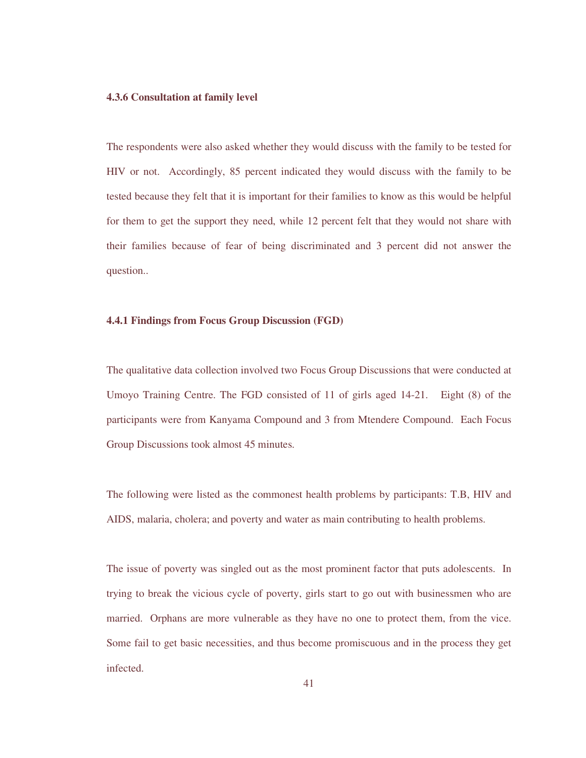### **4.3.6 Consultation at family level**

The respondents were also asked whether they would discuss with the family to be tested for HIV or not. Accordingly, 85 percent indicated they would discuss with the family to be tested because they felt that it is important for their families to know as this would be helpful for them to get the support they need, while 12 percent felt that they would not share with their families because of fear of being discriminated and 3 percent did not answer the question..

## **4.4.1 Findings from Focus Group Discussion (FGD)**

The qualitative data collection involved two Focus Group Discussions that were conducted at Umoyo Training Centre. The FGD consisted of 11 of girls aged 14-21. Eight (8) of the participants were from Kanyama Compound and 3 from Mtendere Compound. Each Focus Group Discussions took almost 45 minutes.

The following were listed as the commonest health problems by participants: T.B, HIV and AIDS, malaria, cholera; and poverty and water as main contributing to health problems.

The issue of poverty was singled out as the most prominent factor that puts adolescents. In trying to break the vicious cycle of poverty, girls start to go out with businessmen who are married. Orphans are more vulnerable as they have no one to protect them, from the vice. Some fail to get basic necessities, and thus become promiscuous and in the process they get infected.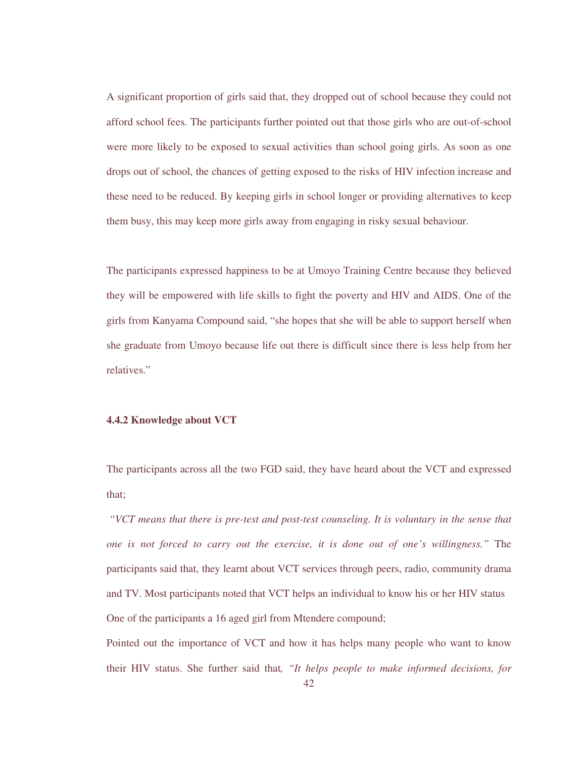A significant proportion of girls said that, they dropped out of school because they could not afford school fees. The participants further pointed out that those girls who are out-of-school were more likely to be exposed to sexual activities than school going girls. As soon as one drops out of school, the chances of getting exposed to the risks of HIV infection increase and these need to be reduced. By keeping girls in school longer or providing alternatives to keep them busy, this may keep more girls away from engaging in risky sexual behaviour.

The participants expressed happiness to be at Umoyo Training Centre because they believed they will be empowered with life skills to fight the poverty and HIV and AIDS. One of the girls from Kanyama Compound said, "she hopes that she will be able to support herself when she graduate from Umoyo because life out there is difficult since there is less help from her relatives."

### **4.4.2 Knowledge about VCT**

The participants across all the two FGD said, they have heard about the VCT and expressed that;

*"VCT means that there is pre-test and post-test counseling. It is voluntary in the sense that one is not forced to carry out the exercise, it is done out of one's willingness."* The participants said that, they learnt about VCT services through peers, radio, community drama and TV. Most participants noted that VCT helps an individual to know his or her HIV status One of the participants a 16 aged girl from Mtendere compound;

Pointed out the importance of VCT and how it has helps many people who want to know their HIV status. She further said that*, "It helps people to make informed decisions, for*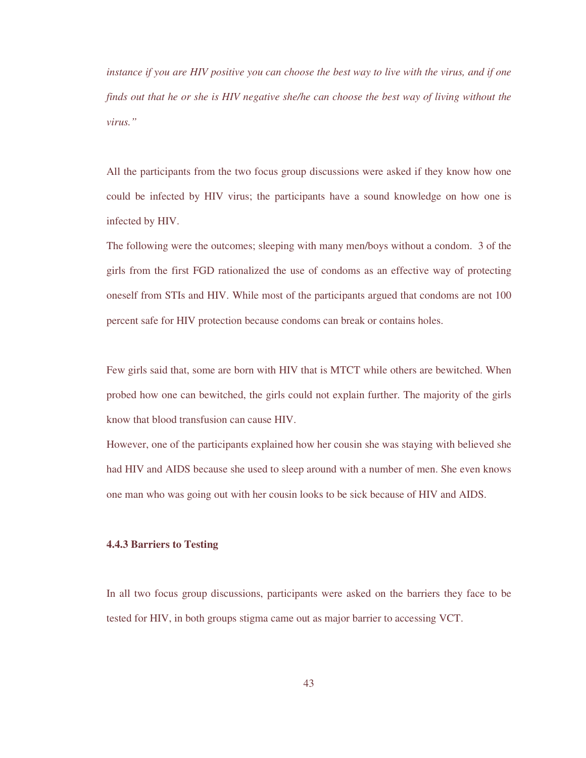*instance if you are HIV positive you can choose the best way to live with the virus, and if one finds out that he or she is HIV negative she/he can choose the best way of living without the virus."* 

All the participants from the two focus group discussions were asked if they know how one could be infected by HIV virus; the participants have a sound knowledge on how one is infected by HIV.

The following were the outcomes; sleeping with many men/boys without a condom. 3 of the girls from the first FGD rationalized the use of condoms as an effective way of protecting oneself from STIs and HIV. While most of the participants argued that condoms are not 100 percent safe for HIV protection because condoms can break or contains holes.

Few girls said that, some are born with HIV that is MTCT while others are bewitched. When probed how one can bewitched, the girls could not explain further. The majority of the girls know that blood transfusion can cause HIV.

However, one of the participants explained how her cousin she was staying with believed she had HIV and AIDS because she used to sleep around with a number of men. She even knows one man who was going out with her cousin looks to be sick because of HIV and AIDS.

# **4.4.3 Barriers to Testing**

In all two focus group discussions, participants were asked on the barriers they face to be tested for HIV, in both groups stigma came out as major barrier to accessing VCT.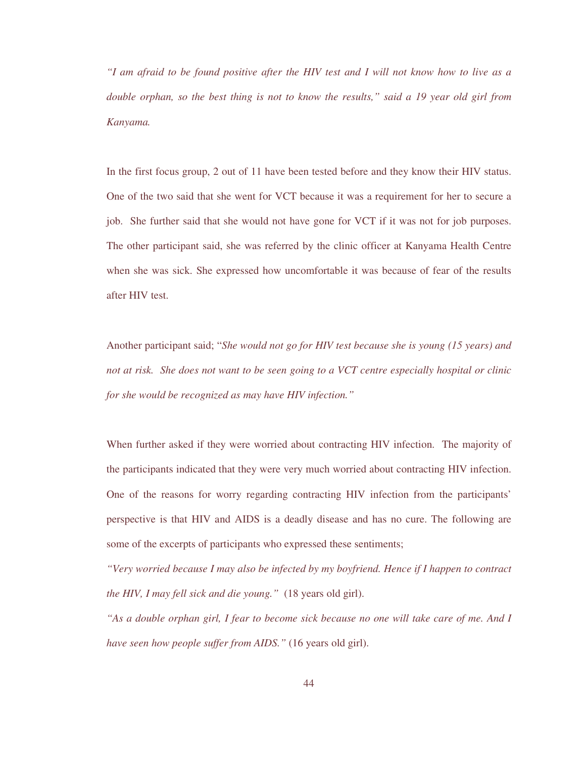*"I am afraid to be found positive after the HIV test and I will not know how to live as a double orphan, so the best thing is not to know the results," said a 19 year old girl from Kanyama.* 

In the first focus group, 2 out of 11 have been tested before and they know their HIV status. One of the two said that she went for VCT because it was a requirement for her to secure a job. She further said that she would not have gone for VCT if it was not for job purposes. The other participant said, she was referred by the clinic officer at Kanyama Health Centre when she was sick. She expressed how uncomfortable it was because of fear of the results after HIV test.

Another participant said; "*She would not go for HIV test because she is young (15 years) and not at risk. She does not want to be seen going to a VCT centre especially hospital or clinic for she would be recognized as may have HIV infection."*

When further asked if they were worried about contracting HIV infection. The majority of the participants indicated that they were very much worried about contracting HIV infection. One of the reasons for worry regarding contracting HIV infection from the participants' perspective is that HIV and AIDS is a deadly disease and has no cure. The following are some of the excerpts of participants who expressed these sentiments;

*"Very worried because I may also be infected by my boyfriend. Hence if I happen to contract the HIV, I may fell sick and die young."* (18 years old girl).

*"As a double orphan girl, I fear to become sick because no one will take care of me. And I have seen how people suffer from AIDS."* (16 years old girl).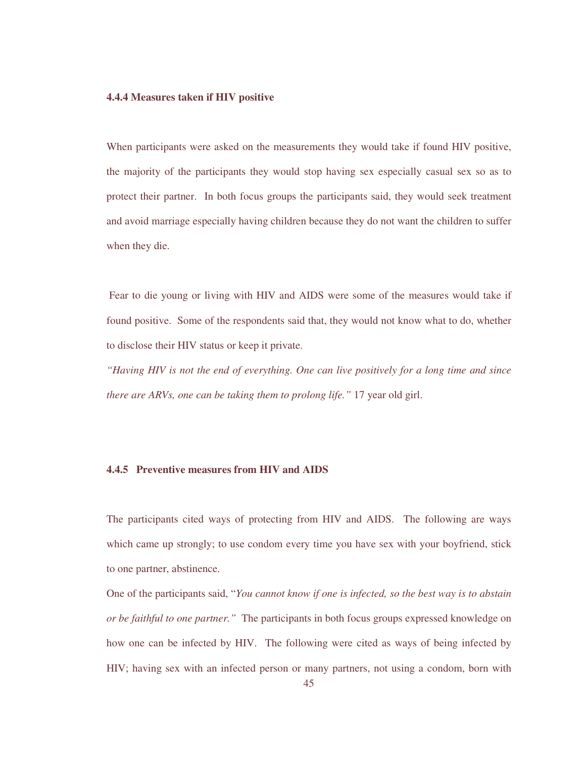### **4.4.4 Measures taken if HIV positive**

When participants were asked on the measurements they would take if found HIV positive, the majority of the participants they would stop having sex especially casual sex so as to protect their partner. In both focus groups the participants said, they would seek treatment and avoid marriage especially having children because they do not want the children to suffer when they die.

 Fear to die young or living with HIV and AIDS were some of the measures would take if found positive. Some of the respondents said that, they would not know what to do, whether to disclose their HIV status or keep it private.

*"Having HIV is not the end of everything. One can live positively for a long time and since there are ARVs, one can be taking them to prolong life."* 17 year old girl.

# **4.4.5 Preventive measures from HIV and AIDS**

The participants cited ways of protecting from HIV and AIDS. The following are ways which came up strongly; to use condom every time you have sex with your boyfriend, stick to one partner, abstinence.

One of the participants said, "*You cannot know if one is infected, so the best way is to abstain or be faithful to one partner."* The participants in both focus groups expressed knowledge on how one can be infected by HIV. The following were cited as ways of being infected by HIV; having sex with an infected person or many partners, not using a condom, born with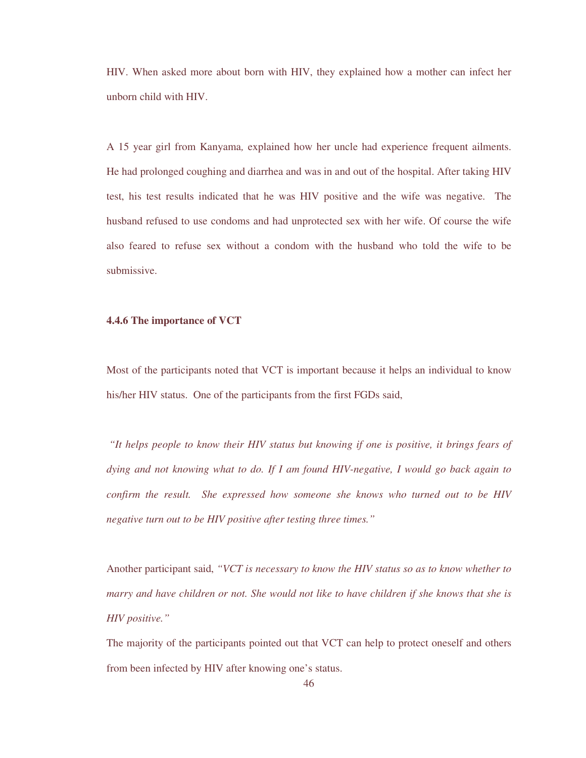HIV. When asked more about born with HIV, they explained how a mother can infect her unborn child with HIV.

A 15 year girl from Kanyama*,* explained how her uncle had experience frequent ailments. He had prolonged coughing and diarrhea and was in and out of the hospital. After taking HIV test, his test results indicated that he was HIV positive and the wife was negative. The husband refused to use condoms and had unprotected sex with her wife. Of course the wife also feared to refuse sex without a condom with the husband who told the wife to be submissive.

# **4.4.6 The importance of VCT**

Most of the participants noted that VCT is important because it helps an individual to know his/her HIV status. One of the participants from the first FGDs said,

*"It helps people to know their HIV status but knowing if one is positive, it brings fears of dying and not knowing what to do. If I am found HIV-negative, I would go back again to confirm the result. She expressed how someone she knows who turned out to be HIV negative turn out to be HIV positive after testing three times."* 

Another participant said, *"VCT is necessary to know the HIV status so as to know whether to marry and have children or not. She would not like to have children if she knows that she is HIV positive."* 

The majority of the participants pointed out that VCT can help to protect oneself and others from been infected by HIV after knowing one's status.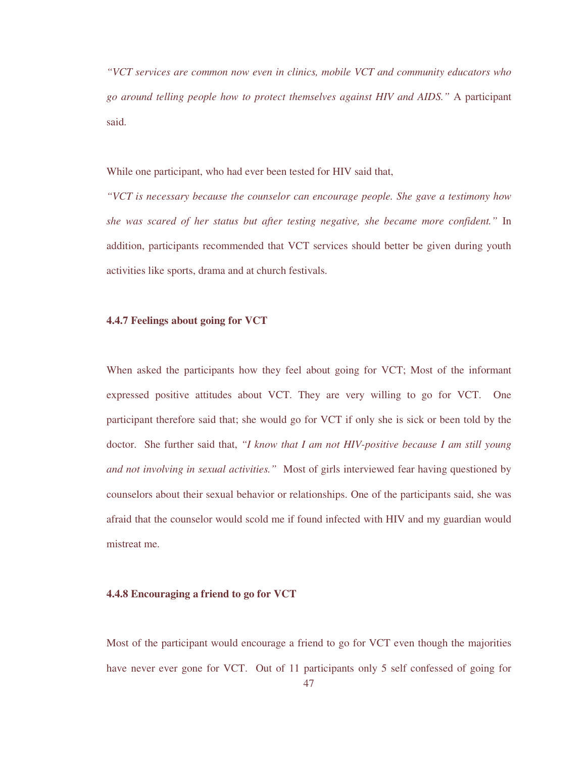*"VCT services are common now even in clinics, mobile VCT and community educators who go around telling people how to protect themselves against HIV and AIDS."* A participant said.

While one participant, who had ever been tested for HIV said that,

*"VCT is necessary because the counselor can encourage people. She gave a testimony how she was scared of her status but after testing negative, she became more confident."* In addition, participants recommended that VCT services should better be given during youth activities like sports, drama and at church festivals.

## **4.4.7 Feelings about going for VCT**

When asked the participants how they feel about going for VCT; Most of the informant expressed positive attitudes about VCT. They are very willing to go for VCT. One participant therefore said that; she would go for VCT if only she is sick or been told by the doctor. She further said that, *"I know that I am not HIV-positive because I am still young and not involving in sexual activities."* Most of girls interviewed fear having questioned by counselors about their sexual behavior or relationships. One of the participants said, she was afraid that the counselor would scold me if found infected with HIV and my guardian would mistreat me.

### **4.4.8 Encouraging a friend to go for VCT**

Most of the participant would encourage a friend to go for VCT even though the majorities have never ever gone for VCT. Out of 11 participants only 5 self confessed of going for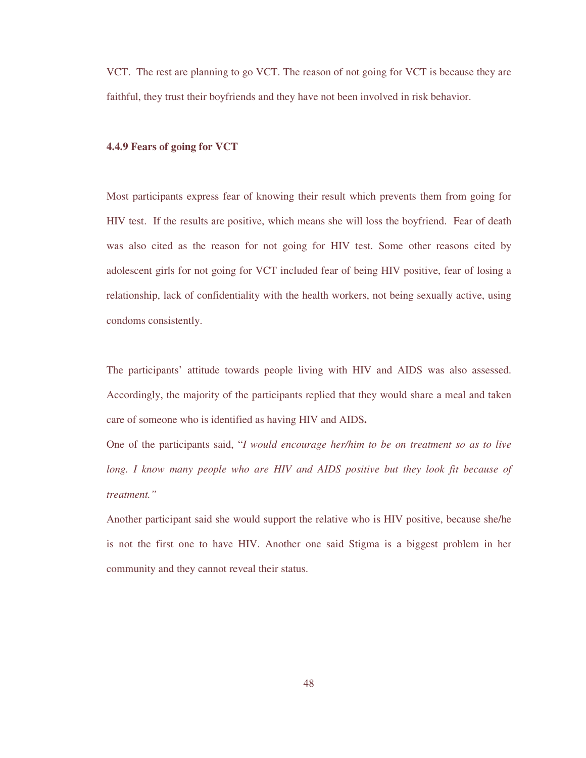VCT. The rest are planning to go VCT. The reason of not going for VCT is because they are faithful, they trust their boyfriends and they have not been involved in risk behavior.

## **4.4.9 Fears of going for VCT**

Most participants express fear of knowing their result which prevents them from going for HIV test. If the results are positive, which means she will loss the boyfriend. Fear of death was also cited as the reason for not going for HIV test. Some other reasons cited by adolescent girls for not going for VCT included fear of being HIV positive, fear of losing a relationship, lack of confidentiality with the health workers, not being sexually active, using condoms consistently.

The participants' attitude towards people living with HIV and AIDS was also assessed. Accordingly, the majority of the participants replied that they would share a meal and taken care of someone who is identified as having HIV and AIDS**.** 

One of the participants said, "*I would encourage her/him to be on treatment so as to live long. I know many people who are HIV and AIDS positive but they look fit because of treatment."*

Another participant said she would support the relative who is HIV positive, because she/he is not the first one to have HIV. Another one said Stigma is a biggest problem in her community and they cannot reveal their status.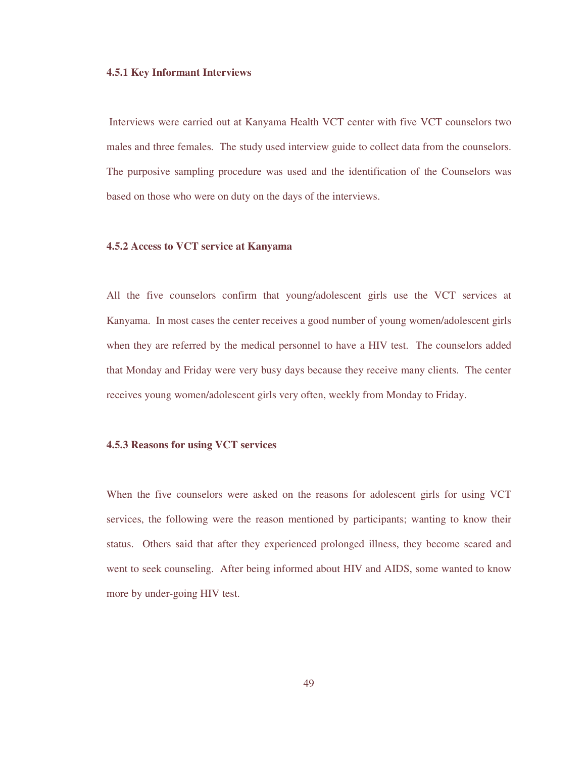#### **4.5.1 Key Informant Interviews**

 Interviews were carried out at Kanyama Health VCT center with five VCT counselors two males and three females. The study used interview guide to collect data from the counselors. The purposive sampling procedure was used and the identification of the Counselors was based on those who were on duty on the days of the interviews.

## **4.5.2 Access to VCT service at Kanyama**

All the five counselors confirm that young/adolescent girls use the VCT services at Kanyama. In most cases the center receives a good number of young women/adolescent girls when they are referred by the medical personnel to have a HIV test. The counselors added that Monday and Friday were very busy days because they receive many clients. The center receives young women/adolescent girls very often, weekly from Monday to Friday.

#### **4.5.3 Reasons for using VCT services**

When the five counselors were asked on the reasons for adolescent girls for using VCT services, the following were the reason mentioned by participants; wanting to know their status. Others said that after they experienced prolonged illness, they become scared and went to seek counseling. After being informed about HIV and AIDS, some wanted to know more by under-going HIV test.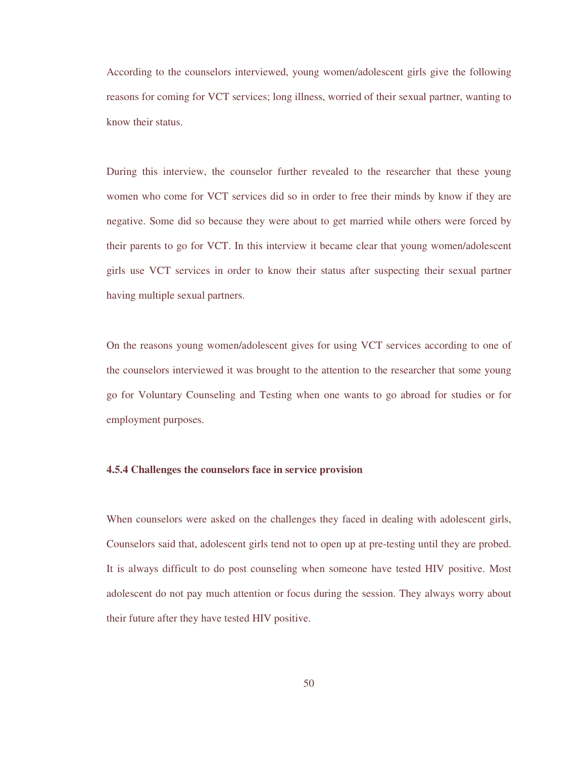According to the counselors interviewed, young women/adolescent girls give the following reasons for coming for VCT services; long illness, worried of their sexual partner, wanting to know their status.

During this interview, the counselor further revealed to the researcher that these young women who come for VCT services did so in order to free their minds by know if they are negative. Some did so because they were about to get married while others were forced by their parents to go for VCT. In this interview it became clear that young women/adolescent girls use VCT services in order to know their status after suspecting their sexual partner having multiple sexual partners.

On the reasons young women/adolescent gives for using VCT services according to one of the counselors interviewed it was brought to the attention to the researcher that some young go for Voluntary Counseling and Testing when one wants to go abroad for studies or for employment purposes.

## **4.5.4 Challenges the counselors face in service provision**

When counselors were asked on the challenges they faced in dealing with adolescent girls, Counselors said that, adolescent girls tend not to open up at pre-testing until they are probed. It is always difficult to do post counseling when someone have tested HIV positive. Most adolescent do not pay much attention or focus during the session. They always worry about their future after they have tested HIV positive.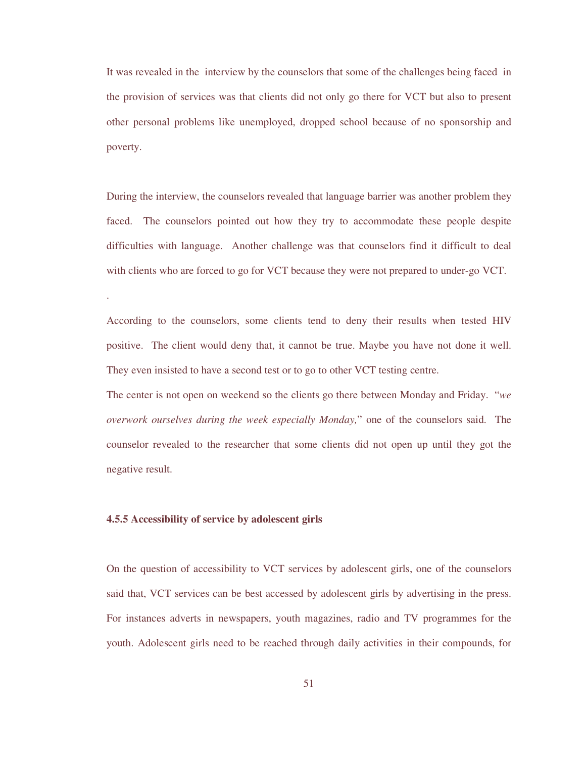It was revealed in the interview by the counselors that some of the challenges being faced in the provision of services was that clients did not only go there for VCT but also to present other personal problems like unemployed, dropped school because of no sponsorship and poverty.

During the interview, the counselors revealed that language barrier was another problem they faced. The counselors pointed out how they try to accommodate these people despite difficulties with language. Another challenge was that counselors find it difficult to deal with clients who are forced to go for VCT because they were not prepared to under-go VCT.

According to the counselors, some clients tend to deny their results when tested HIV positive. The client would deny that, it cannot be true. Maybe you have not done it well. They even insisted to have a second test or to go to other VCT testing centre.

The center is not open on weekend so the clients go there between Monday and Friday. "*we overwork ourselves during the week especially Monday,*" one of the counselors said. The counselor revealed to the researcher that some clients did not open up until they got the negative result.

### **4.5.5 Accessibility of service by adolescent girls**

.

On the question of accessibility to VCT services by adolescent girls, one of the counselors said that, VCT services can be best accessed by adolescent girls by advertising in the press. For instances adverts in newspapers, youth magazines, radio and TV programmes for the youth. Adolescent girls need to be reached through daily activities in their compounds, for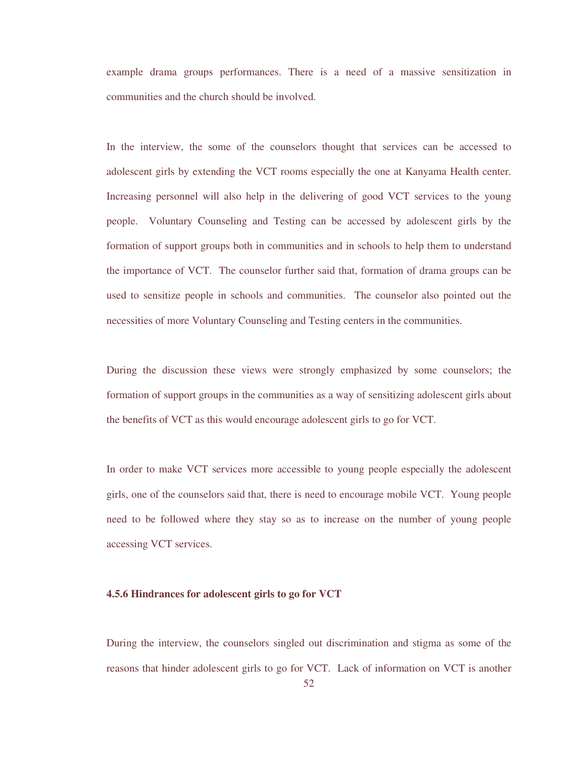example drama groups performances. There is a need of a massive sensitization in communities and the church should be involved.

In the interview, the some of the counselors thought that services can be accessed to adolescent girls by extending the VCT rooms especially the one at Kanyama Health center. Increasing personnel will also help in the delivering of good VCT services to the young people. Voluntary Counseling and Testing can be accessed by adolescent girls by the formation of support groups both in communities and in schools to help them to understand the importance of VCT. The counselor further said that, formation of drama groups can be used to sensitize people in schools and communities. The counselor also pointed out the necessities of more Voluntary Counseling and Testing centers in the communities.

During the discussion these views were strongly emphasized by some counselors; the formation of support groups in the communities as a way of sensitizing adolescent girls about the benefits of VCT as this would encourage adolescent girls to go for VCT.

In order to make VCT services more accessible to young people especially the adolescent girls, one of the counselors said that, there is need to encourage mobile VCT. Young people need to be followed where they stay so as to increase on the number of young people accessing VCT services.

### **4.5.6 Hindrances for adolescent girls to go for VCT**

During the interview, the counselors singled out discrimination and stigma as some of the reasons that hinder adolescent girls to go for VCT. Lack of information on VCT is another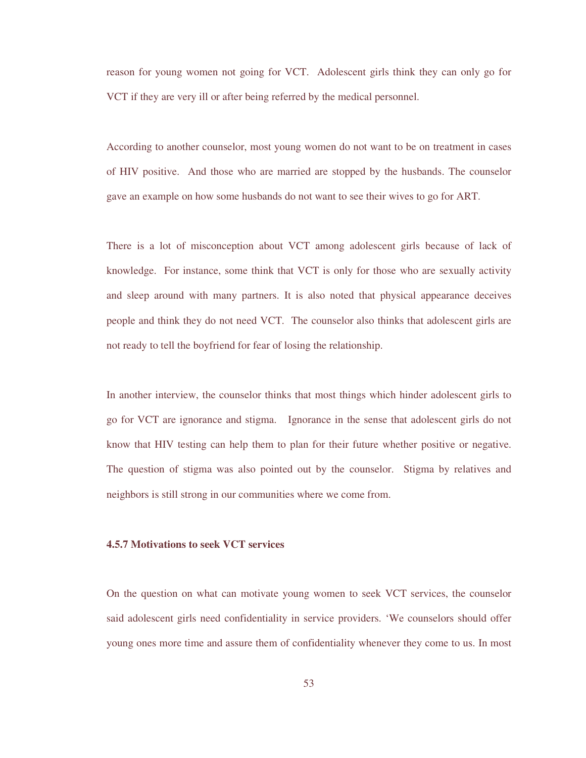reason for young women not going for VCT. Adolescent girls think they can only go for VCT if they are very ill or after being referred by the medical personnel.

According to another counselor, most young women do not want to be on treatment in cases of HIV positive. And those who are married are stopped by the husbands. The counselor gave an example on how some husbands do not want to see their wives to go for ART.

There is a lot of misconception about VCT among adolescent girls because of lack of knowledge. For instance, some think that VCT is only for those who are sexually activity and sleep around with many partners. It is also noted that physical appearance deceives people and think they do not need VCT. The counselor also thinks that adolescent girls are not ready to tell the boyfriend for fear of losing the relationship.

In another interview, the counselor thinks that most things which hinder adolescent girls to go for VCT are ignorance and stigma. Ignorance in the sense that adolescent girls do not know that HIV testing can help them to plan for their future whether positive or negative. The question of stigma was also pointed out by the counselor. Stigma by relatives and neighbors is still strong in our communities where we come from.

### **4.5.7 Motivations to seek VCT services**

On the question on what can motivate young women to seek VCT services, the counselor said adolescent girls need confidentiality in service providers. 'We counselors should offer young ones more time and assure them of confidentiality whenever they come to us. In most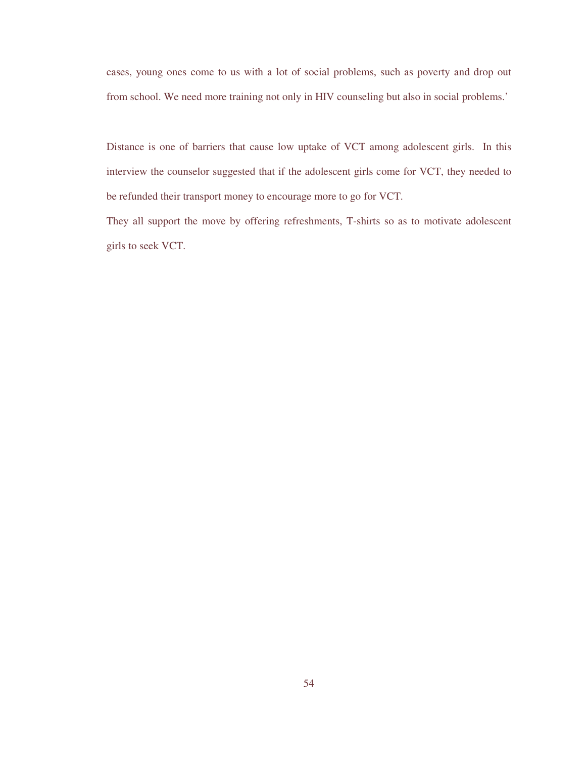cases, young ones come to us with a lot of social problems, such as poverty and drop out from school. We need more training not only in HIV counseling but also in social problems.'

Distance is one of barriers that cause low uptake of VCT among adolescent girls. In this interview the counselor suggested that if the adolescent girls come for VCT, they needed to be refunded their transport money to encourage more to go for VCT.

They all support the move by offering refreshments, T-shirts so as to motivate adolescent girls to seek VCT.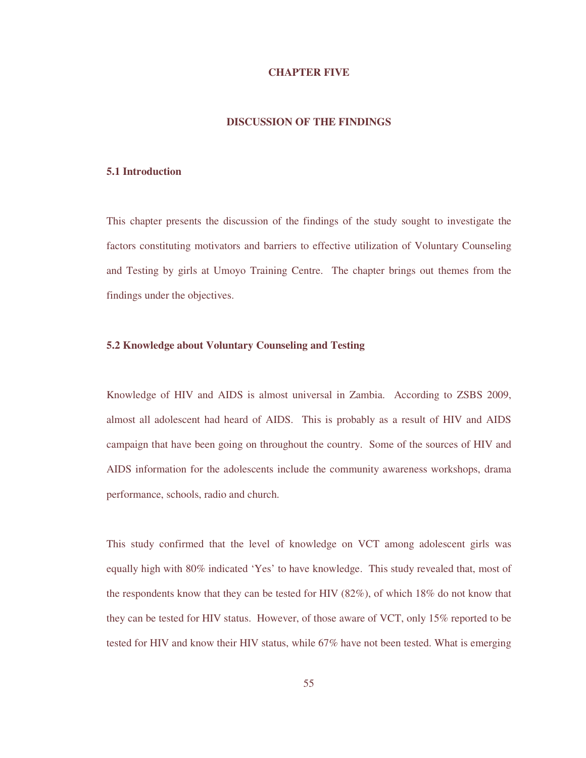#### **CHAPTER FIVE**

## **DISCUSSION OF THE FINDINGS**

## **5.1 Introduction**

This chapter presents the discussion of the findings of the study sought to investigate the factors constituting motivators and barriers to effective utilization of Voluntary Counseling and Testing by girls at Umoyo Training Centre. The chapter brings out themes from the findings under the objectives.

## **5.2 Knowledge about Voluntary Counseling and Testing**

Knowledge of HIV and AIDS is almost universal in Zambia. According to ZSBS 2009, almost all adolescent had heard of AIDS. This is probably as a result of HIV and AIDS campaign that have been going on throughout the country. Some of the sources of HIV and AIDS information for the adolescents include the community awareness workshops, drama performance, schools, radio and church.

This study confirmed that the level of knowledge on VCT among adolescent girls was equally high with 80% indicated 'Yes' to have knowledge. This study revealed that, most of the respondents know that they can be tested for HIV (82%), of which 18% do not know that they can be tested for HIV status. However, of those aware of VCT, only 15% reported to be tested for HIV and know their HIV status, while 67% have not been tested. What is emerging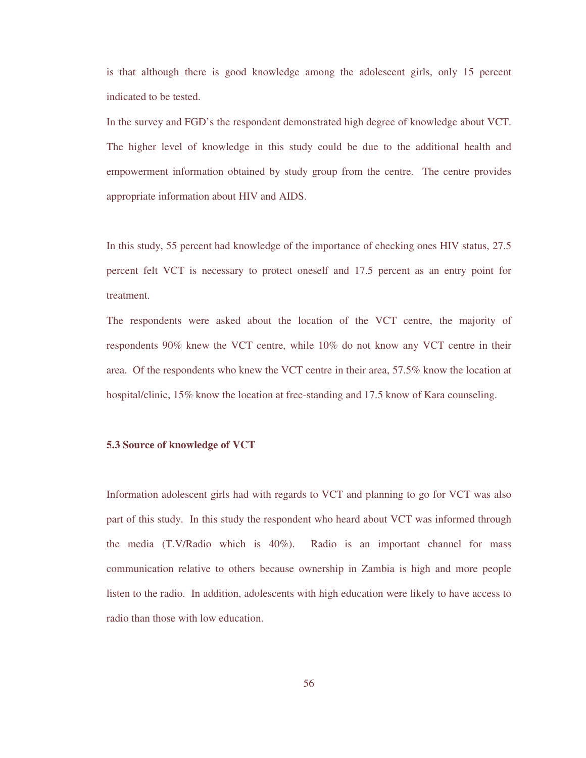is that although there is good knowledge among the adolescent girls, only 15 percent indicated to be tested.

In the survey and FGD's the respondent demonstrated high degree of knowledge about VCT. The higher level of knowledge in this study could be due to the additional health and empowerment information obtained by study group from the centre. The centre provides appropriate information about HIV and AIDS.

In this study, 55 percent had knowledge of the importance of checking ones HIV status, 27.5 percent felt VCT is necessary to protect oneself and 17.5 percent as an entry point for treatment.

The respondents were asked about the location of the VCT centre, the majority of respondents 90% knew the VCT centre, while 10% do not know any VCT centre in their area. Of the respondents who knew the VCT centre in their area, 57.5% know the location at hospital/clinic, 15% know the location at free-standing and 17.5 know of Kara counseling.

### **5.3 Source of knowledge of VCT**

Information adolescent girls had with regards to VCT and planning to go for VCT was also part of this study. In this study the respondent who heard about VCT was informed through the media (T.V/Radio which is 40%). Radio is an important channel for mass communication relative to others because ownership in Zambia is high and more people listen to the radio. In addition, adolescents with high education were likely to have access to radio than those with low education.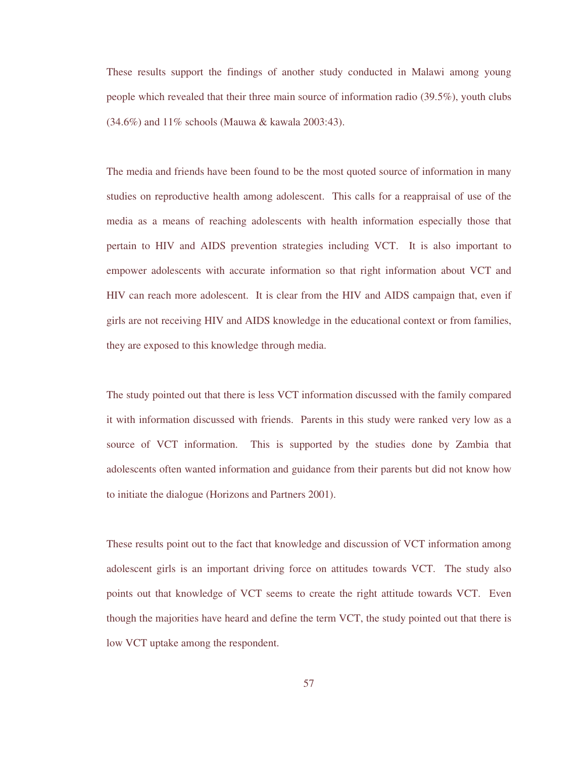These results support the findings of another study conducted in Malawi among young people which revealed that their three main source of information radio (39.5%), youth clubs (34.6%) and 11% schools (Mauwa & kawala 2003:43).

The media and friends have been found to be the most quoted source of information in many studies on reproductive health among adolescent. This calls for a reappraisal of use of the media as a means of reaching adolescents with health information especially those that pertain to HIV and AIDS prevention strategies including VCT. It is also important to empower adolescents with accurate information so that right information about VCT and HIV can reach more adolescent. It is clear from the HIV and AIDS campaign that, even if girls are not receiving HIV and AIDS knowledge in the educational context or from families, they are exposed to this knowledge through media.

The study pointed out that there is less VCT information discussed with the family compared it with information discussed with friends. Parents in this study were ranked very low as a source of VCT information. This is supported by the studies done by Zambia that adolescents often wanted information and guidance from their parents but did not know how to initiate the dialogue (Horizons and Partners 2001).

These results point out to the fact that knowledge and discussion of VCT information among adolescent girls is an important driving force on attitudes towards VCT. The study also points out that knowledge of VCT seems to create the right attitude towards VCT. Even though the majorities have heard and define the term VCT, the study pointed out that there is low VCT uptake among the respondent.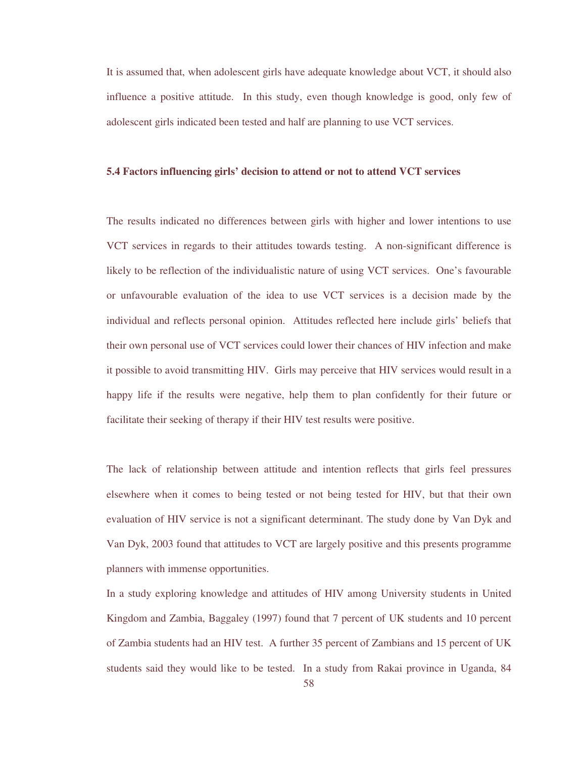It is assumed that, when adolescent girls have adequate knowledge about VCT, it should also influence a positive attitude. In this study, even though knowledge is good, only few of adolescent girls indicated been tested and half are planning to use VCT services.

#### **5.4 Factors influencing girls' decision to attend or not to attend VCT services**

The results indicated no differences between girls with higher and lower intentions to use VCT services in regards to their attitudes towards testing. A non-significant difference is likely to be reflection of the individualistic nature of using VCT services. One's favourable or unfavourable evaluation of the idea to use VCT services is a decision made by the individual and reflects personal opinion. Attitudes reflected here include girls' beliefs that their own personal use of VCT services could lower their chances of HIV infection and make it possible to avoid transmitting HIV. Girls may perceive that HIV services would result in a happy life if the results were negative, help them to plan confidently for their future or facilitate their seeking of therapy if their HIV test results were positive.

The lack of relationship between attitude and intention reflects that girls feel pressures elsewhere when it comes to being tested or not being tested for HIV, but that their own evaluation of HIV service is not a significant determinant. The study done by Van Dyk and Van Dyk, 2003 found that attitudes to VCT are largely positive and this presents programme planners with immense opportunities.

In a study exploring knowledge and attitudes of HIV among University students in United Kingdom and Zambia, Baggaley (1997) found that 7 percent of UK students and 10 percent of Zambia students had an HIV test. A further 35 percent of Zambians and 15 percent of UK students said they would like to be tested. In a study from Rakai province in Uganda, 84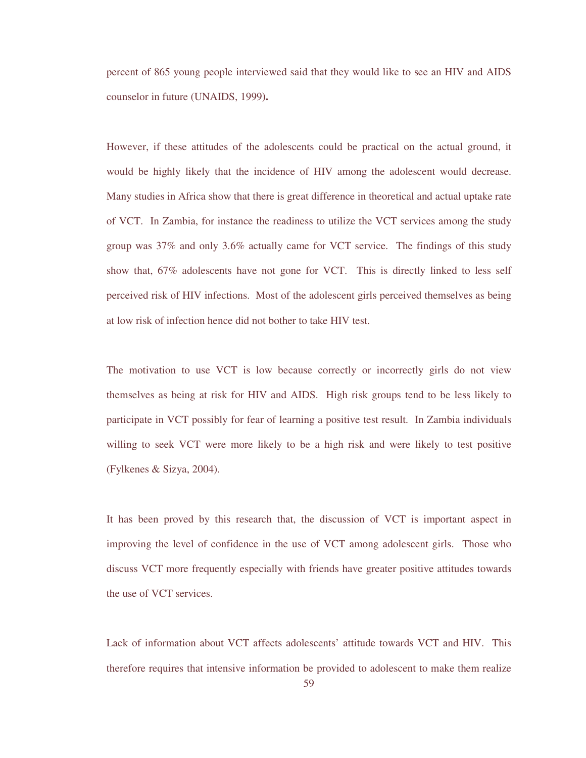percent of 865 young people interviewed said that they would like to see an HIV and AIDS counselor in future (UNAIDS, 1999**).** 

However, if these attitudes of the adolescents could be practical on the actual ground, it would be highly likely that the incidence of HIV among the adolescent would decrease. Many studies in Africa show that there is great difference in theoretical and actual uptake rate of VCT. In Zambia, for instance the readiness to utilize the VCT services among the study group was 37% and only 3.6% actually came for VCT service. The findings of this study show that, 67% adolescents have not gone for VCT. This is directly linked to less self perceived risk of HIV infections. Most of the adolescent girls perceived themselves as being at low risk of infection hence did not bother to take HIV test.

The motivation to use VCT is low because correctly or incorrectly girls do not view themselves as being at risk for HIV and AIDS. High risk groups tend to be less likely to participate in VCT possibly for fear of learning a positive test result. In Zambia individuals willing to seek VCT were more likely to be a high risk and were likely to test positive (Fylkenes & Sizya, 2004).

It has been proved by this research that, the discussion of VCT is important aspect in improving the level of confidence in the use of VCT among adolescent girls. Those who discuss VCT more frequently especially with friends have greater positive attitudes towards the use of VCT services.

Lack of information about VCT affects adolescents' attitude towards VCT and HIV. This therefore requires that intensive information be provided to adolescent to make them realize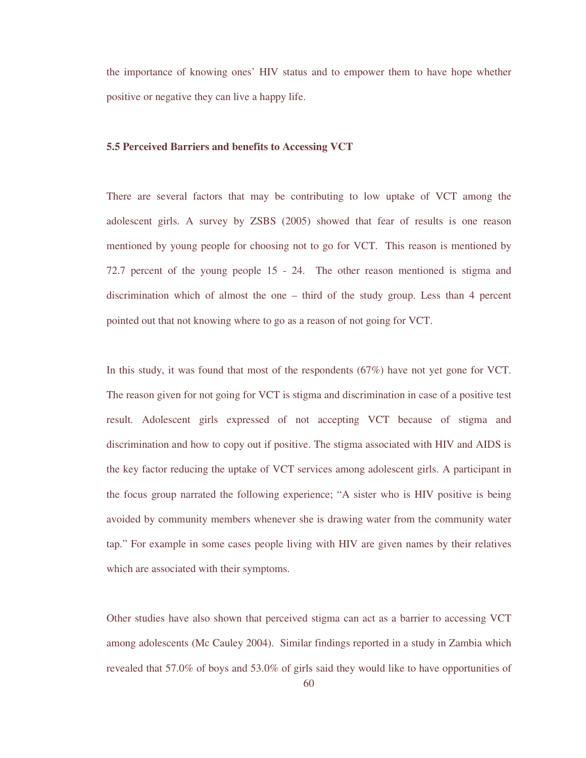the importance of knowing ones' HIV status and to empower them to have hope whether positive or negative they can live a happy life.

# **5.5 Perceived Barriers and benefits to Accessing VCT**

There are several factors that may be contributing to low uptake of VCT among the adolescent girls. A survey by ZSBS (2005) showed that fear of results is one reason mentioned by young people for choosing not to go for VCT. This reason is mentioned by 72.7 percent of the young people 15 - 24. The other reason mentioned is stigma and discrimination which of almost the one – third of the study group. Less than 4 percent pointed out that not knowing where to go as a reason of not going for VCT.

In this study, it was found that most of the respondents (67%) have not yet gone for VCT. The reason given for not going for VCT is stigma and discrimination in case of a positive test result. Adolescent girls expressed of not accepting VCT because of stigma and discrimination and how to copy out if positive. The stigma associated with HIV and AIDS is the key factor reducing the uptake of VCT services among adolescent girls. A participant in the focus group narrated the following experience; "A sister who is HIV positive is being avoided by community members whenever she is drawing water from the community water tap." For example in some cases people living with HIV are given names by their relatives which are associated with their symptoms.

Other studies have also shown that perceived stigma can act as a barrier to accessing VCT among adolescents (Mc Cauley 2004). Similar findings reported in a study in Zambia which revealed that 57.0% of boys and 53.0% of girls said they would like to have opportunities of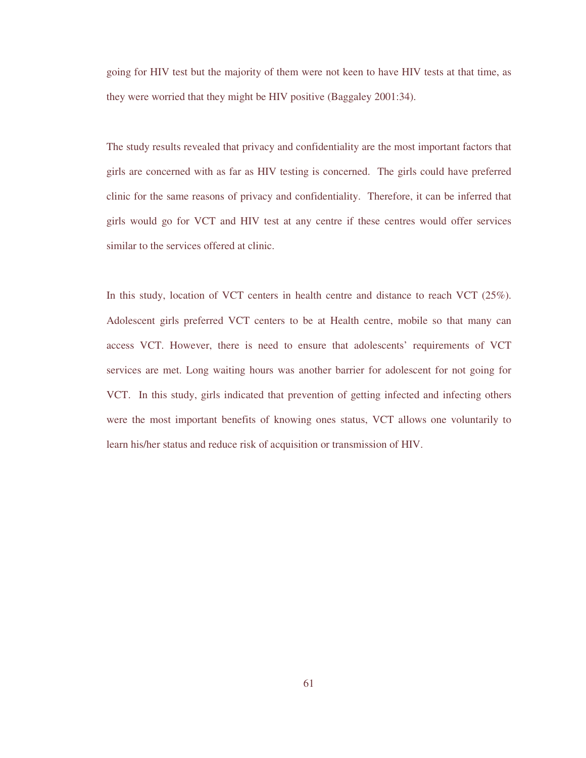going for HIV test but the majority of them were not keen to have HIV tests at that time, as they were worried that they might be HIV positive (Baggaley 2001:34).

The study results revealed that privacy and confidentiality are the most important factors that girls are concerned with as far as HIV testing is concerned. The girls could have preferred clinic for the same reasons of privacy and confidentiality. Therefore, it can be inferred that girls would go for VCT and HIV test at any centre if these centres would offer services similar to the services offered at clinic.

In this study, location of VCT centers in health centre and distance to reach VCT (25%). Adolescent girls preferred VCT centers to be at Health centre, mobile so that many can access VCT. However, there is need to ensure that adolescents' requirements of VCT services are met. Long waiting hours was another barrier for adolescent for not going for VCT. In this study, girls indicated that prevention of getting infected and infecting others were the most important benefits of knowing ones status, VCT allows one voluntarily to learn his/her status and reduce risk of acquisition or transmission of HIV.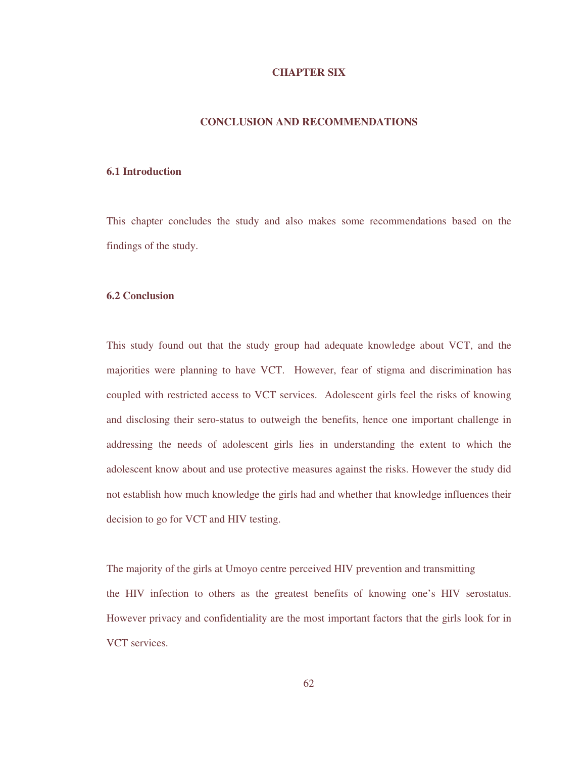#### **CHAPTER SIX**

### **CONCLUSION AND RECOMMENDATIONS**

#### **6.1 Introduction**

This chapter concludes the study and also makes some recommendations based on the findings of the study.

#### **6.2 Conclusion**

This study found out that the study group had adequate knowledge about VCT, and the majorities were planning to have VCT. However, fear of stigma and discrimination has coupled with restricted access to VCT services. Adolescent girls feel the risks of knowing and disclosing their sero-status to outweigh the benefits, hence one important challenge in addressing the needs of adolescent girls lies in understanding the extent to which the adolescent know about and use protective measures against the risks. However the study did not establish how much knowledge the girls had and whether that knowledge influences their decision to go for VCT and HIV testing.

The majority of the girls at Umoyo centre perceived HIV prevention and transmitting the HIV infection to others as the greatest benefits of knowing one's HIV serostatus. However privacy and confidentiality are the most important factors that the girls look for in VCT services.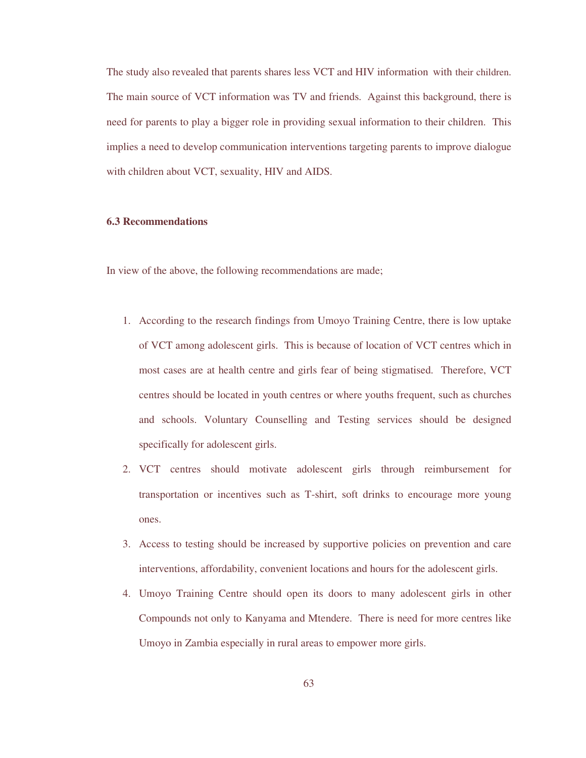The study also revealed that parents shares less VCT and HIV information with their children. The main source of VCT information was TV and friends. Against this background, there is need for parents to play a bigger role in providing sexual information to their children. This implies a need to develop communication interventions targeting parents to improve dialogue with children about VCT, sexuality, HIV and AIDS.

### **6.3 Recommendations**

In view of the above, the following recommendations are made;

- 1. According to the research findings from Umoyo Training Centre, there is low uptake of VCT among adolescent girls. This is because of location of VCT centres which in most cases are at health centre and girls fear of being stigmatised. Therefore, VCT centres should be located in youth centres or where youths frequent, such as churches and schools. Voluntary Counselling and Testing services should be designed specifically for adolescent girls.
- 2. VCT centres should motivate adolescent girls through reimbursement for transportation or incentives such as T-shirt, soft drinks to encourage more young ones.
- 3. Access to testing should be increased by supportive policies on prevention and care interventions, affordability, convenient locations and hours for the adolescent girls.
- 4. Umoyo Training Centre should open its doors to many adolescent girls in other Compounds not only to Kanyama and Mtendere. There is need for more centres like Umoyo in Zambia especially in rural areas to empower more girls.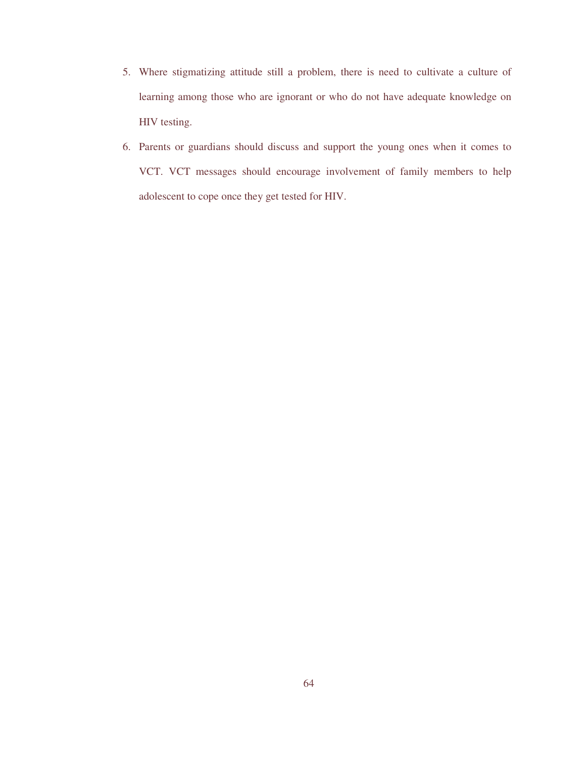- 5. Where stigmatizing attitude still a problem, there is need to cultivate a culture of learning among those who are ignorant or who do not have adequate knowledge on HIV testing.
- 6. Parents or guardians should discuss and support the young ones when it comes to VCT. VCT messages should encourage involvement of family members to help adolescent to cope once they get tested for HIV.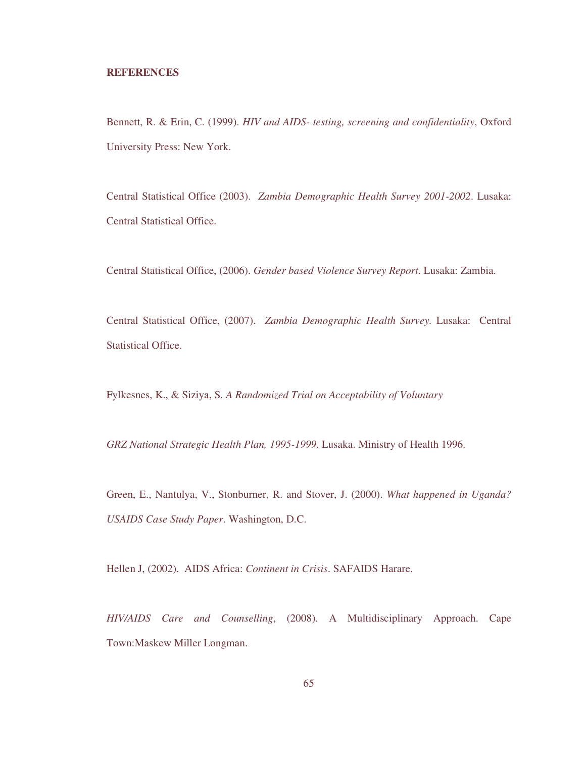#### **REFERENCES**

Bennett, R. & Erin, C. (1999). *HIV and AIDS- testing, screening and confidentiality*, Oxford University Press: New York.

Central Statistical Office (2003). *Zambia Demographic Health Survey 2001-2002*. Lusaka: Central Statistical Office.

Central Statistical Office, (2006). *Gender based Violence Survey Report*. Lusaka: Zambia.

Central Statistical Office, (2007). *Zambia Demographic Health Survey.* Lusaka: Central Statistical Office.

Fylkesnes, K., & Siziya, S. *A Randomized Trial on Acceptability of Voluntary* 

*GRZ National Strategic Health Plan, 1995-1999*. Lusaka. Ministry of Health 1996.

Green, E., Nantulya, V., Stonburner, R. and Stover, J. (2000). *What happened in Uganda? USAIDS Case Study Paper*. Washington, D.C.

Hellen J, (2002). AIDS Africa: *Continent in Crisis*. SAFAIDS Harare.

*HIV/AIDS Care and Counselling*, (2008). A Multidisciplinary Approach. Cape Town:Maskew Miller Longman.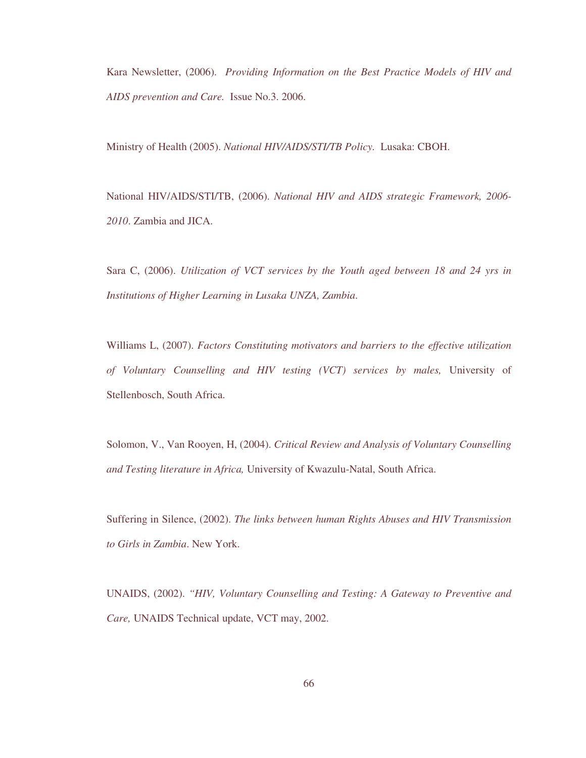Kara Newsletter, (2006). *Providing Information on the Best Practice Models of HIV and AIDS prevention and Care.* Issue No.3. 2006.

Ministry of Health (2005). *National HIV/AIDS/STI/TB Policy.* Lusaka: CBOH.

National HIV/AIDS/STI/TB, (2006). *National HIV and AIDS strategic Framework, 2006- 2010*. Zambia and JICA.

Sara C, (2006). *Utilization of VCT services by the Youth aged between 18 and 24 yrs in Institutions of Higher Learning in Lusaka UNZA, Zambia*.

Williams L, (2007). *Factors Constituting motivators and barriers to the effective utilization of Voluntary Counselling and HIV testing (VCT) services by males,* University of Stellenbosch, South Africa.

Solomon, V., Van Rooyen, H, (2004). *Critical Review and Analysis of Voluntary Counselling and Testing literature in Africa,* University of Kwazulu-Natal, South Africa.

Suffering in Silence, (2002). *The links between human Rights Abuses and HIV Transmission to Girls in Zambia*. New York.

UNAIDS, (2002). *"HIV, Voluntary Counselling and Testing: A Gateway to Preventive and Care,* UNAIDS Technical update, VCT may, 2002.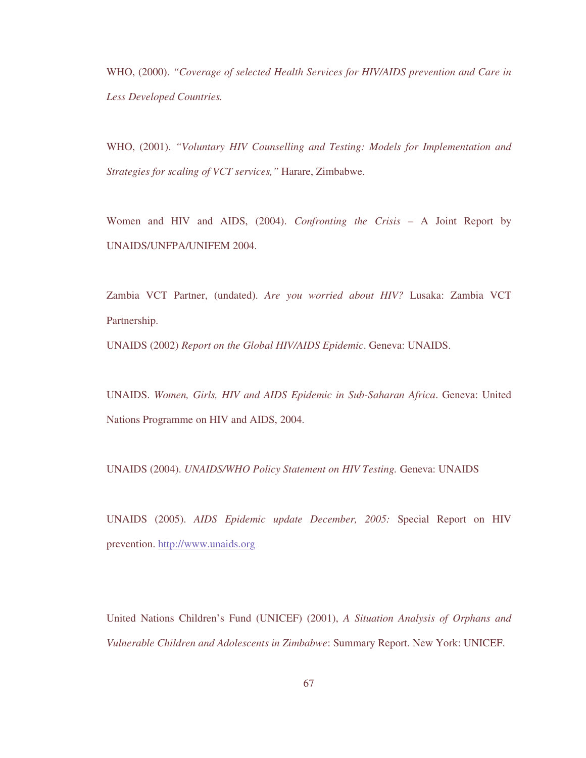WHO, (2000). *"Coverage of selected Health Services for HIV/AIDS prevention and Care in Less Developed Countries.*

WHO, (2001). *"Voluntary HIV Counselling and Testing: Models for Implementation and Strategies for scaling of VCT services,"* Harare, Zimbabwe.

Women and HIV and AIDS, (2004). *Confronting the Crisis* – A Joint Report by UNAIDS/UNFPA/UNIFEM 2004.

Zambia VCT Partner, (undated). *Are you worried about HIV?* Lusaka: Zambia VCT Partnership.

UNAIDS (2002) *Report on the Global HIV/AIDS Epidemic*. Geneva: UNAIDS.

UNAIDS. *Women, Girls, HIV and AIDS Epidemic in Sub-Saharan Africa*. Geneva: United Nations Programme on HIV and AIDS, 2004.

UNAIDS (2004). *UNAIDS/WHO Policy Statement on HIV Testing.* Geneva: UNAIDS

UNAIDS (2005). *AIDS Epidemic update December, 2005:* Special Report on HIV prevention. http://www.unaids.org

United Nations Children's Fund (UNICEF) (2001), *A Situation Analysis of Orphans and Vulnerable Children and Adolescents in Zimbabwe*: Summary Report. New York: UNICEF.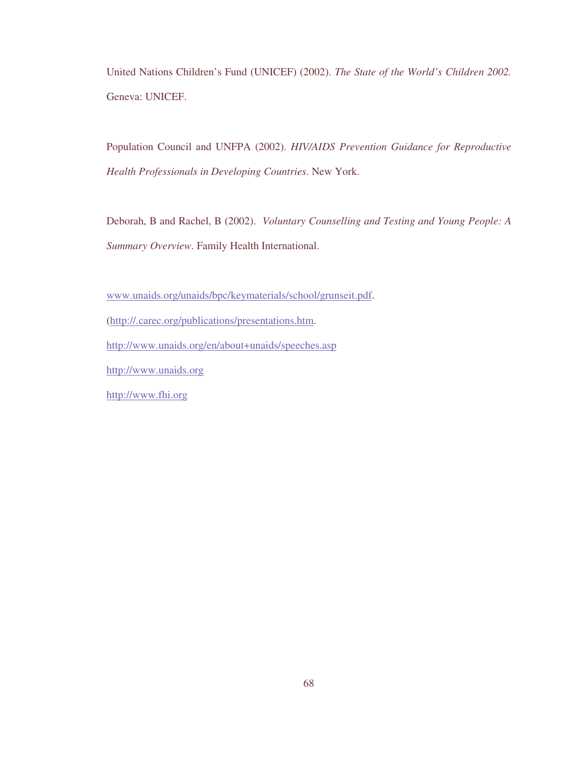United Nations Children's Fund (UNICEF) (2002). *The State of the World's Children 2002.* Geneva: UNICEF.

Population Council and UNFPA (2002). *HIV/AIDS Prevention Guidance for Reproductive Health Professionals in Developing Countries*. New York.

Deborah, B and Rachel, B (2002). *Voluntary Counselling and Testing and Young People: A Summary Overview*. Family Health International.

www.unaids.org/unaids/bpc/keymaterials/school/grunseit.pdf.

(http://.carec.org/publications/presentations.htm.

http://www.unaids.org/en/about+unaids/speeches.asp

http://www.unaids.org

http://www.fhi.org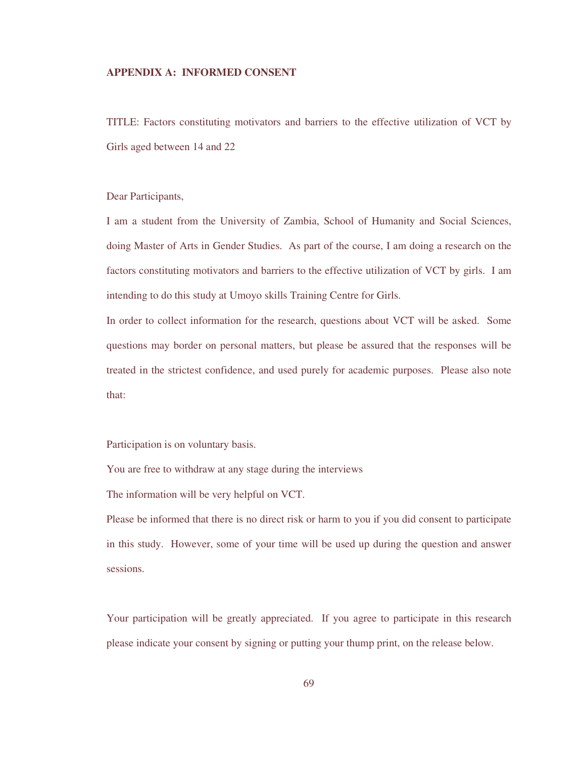### **APPENDIX A: INFORMED CONSENT**

TITLE: Factors constituting motivators and barriers to the effective utilization of VCT by Girls aged between 14 and 22

Dear Participants,

I am a student from the University of Zambia, School of Humanity and Social Sciences, doing Master of Arts in Gender Studies. As part of the course, I am doing a research on the factors constituting motivators and barriers to the effective utilization of VCT by girls. I am intending to do this study at Umoyo skills Training Centre for Girls.

In order to collect information for the research, questions about VCT will be asked. Some questions may border on personal matters, but please be assured that the responses will be treated in the strictest confidence, and used purely for academic purposes. Please also note that:

Participation is on voluntary basis.

You are free to withdraw at any stage during the interviews

The information will be very helpful on VCT.

Please be informed that there is no direct risk or harm to you if you did consent to participate in this study. However, some of your time will be used up during the question and answer sessions.

Your participation will be greatly appreciated. If you agree to participate in this research please indicate your consent by signing or putting your thump print, on the release below.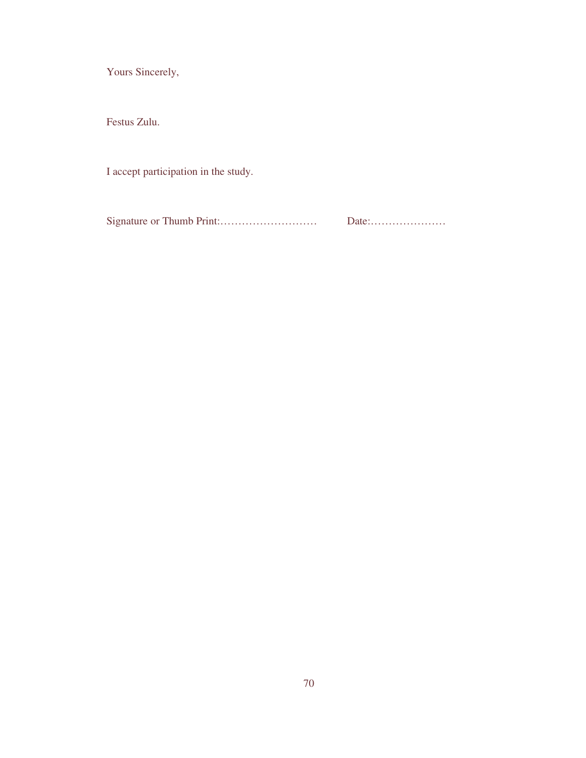Yours Sincerely,

Festus Zulu.

I accept participation in the study.

Signature or Thumb Print:……………………… Date:…………………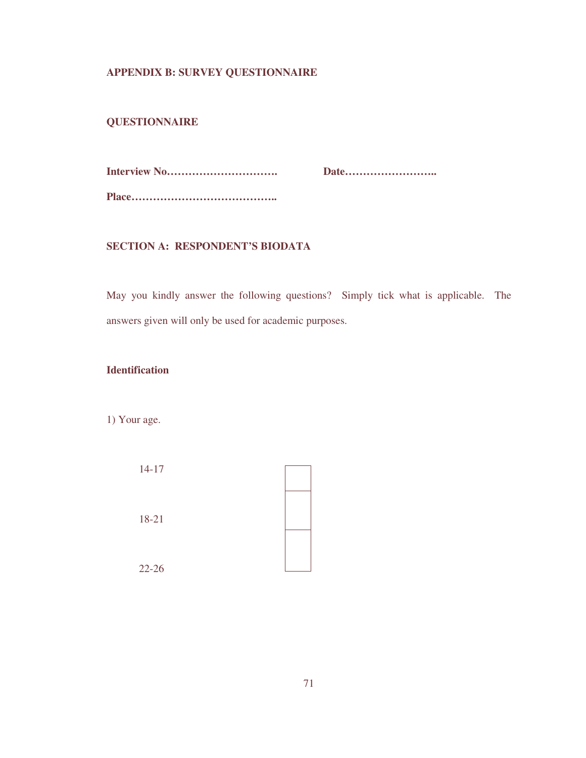# **APPENDIX B: SURVEY QUESTIONNAIRE**

# **QUESTIONNAIRE**

**Interview No…………………………. Date……………………..** 

### **SECTION A: RESPONDENT'S BIODATA**

May you kindly answer the following questions? Simply tick what is applicable. The answers given will only be used for academic purposes.

# **Identification**

1) Your age.

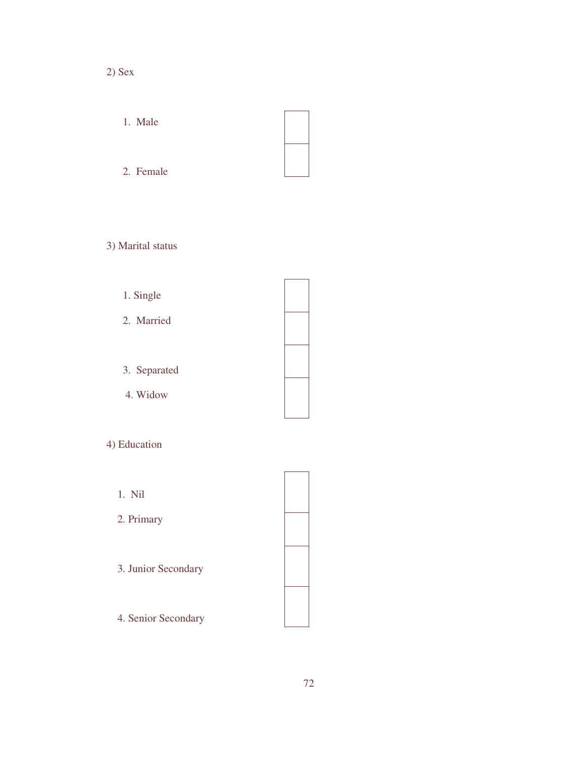- 2) Sex
	- 1. Male

# 2. Female

- 3) Marital status
	- 1. Single
	- 2. Married
	- 3. Separated
	- 4. Widow

# 4) Education

- 1. Nil
- 2. Primary
- 3. Junior Secondary
- 4. Senior Secondary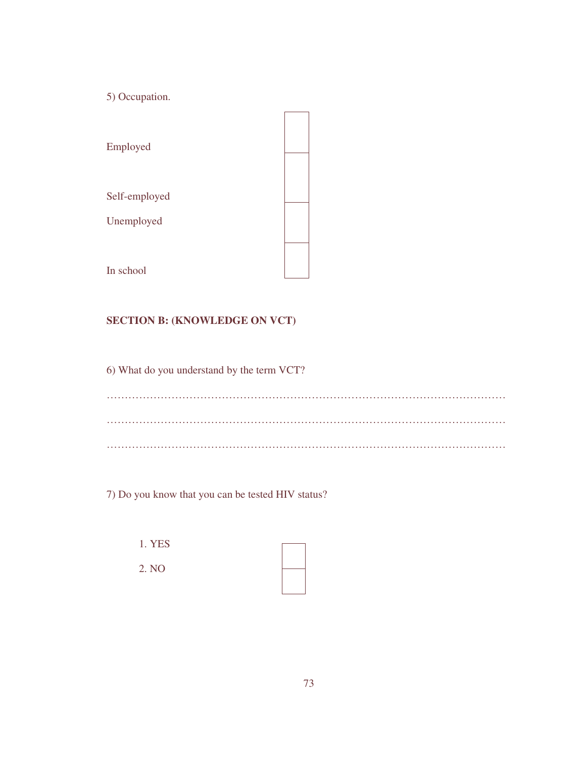5) Occupation.

| Employed      |  |
|---------------|--|
| Self-employed |  |
| Unemployed    |  |
|               |  |
| In school     |  |

# **SECTION B: (KNOWLEDGE ON VCT)**

6) What do you understand by the term VCT?

………………………………………………………………………………………………… ………………………………………………………………………………………………… …………………………………………………………………………………………………

7) Do you know that you can be tested HIV status?

| 1. YES |  |
|--------|--|
| 2. NO  |  |
|        |  |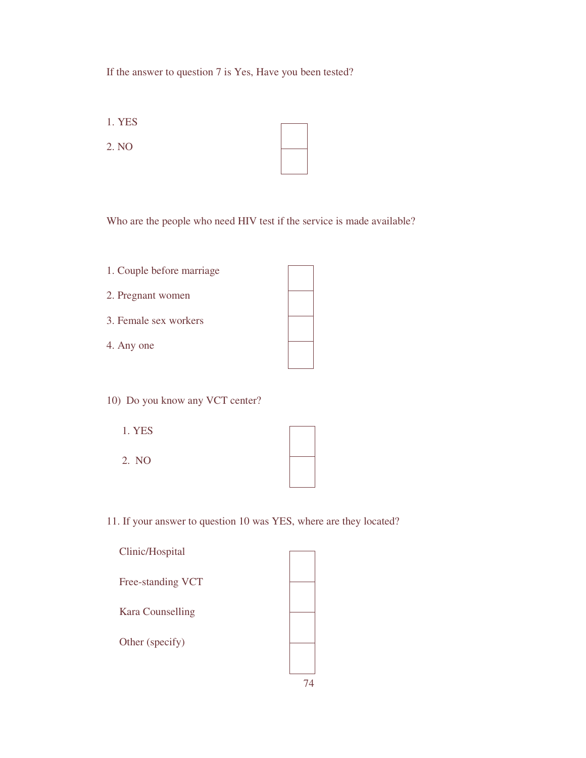# If the answer to question 7 is Yes, Have you been tested?

1. YES

2. NO

Who are the people who need HIV test if the service is made available?

- 1. Couple before marriage
- 2. Pregnant women
- 3. Female sex workers
- 4. Any one
- 10) Do you know any VCT center?
	- 1. YES
	- 2. NO

11. If your answer to question 10 was YES, where are they located?

| Clinic/Hospital          |  |
|--------------------------|--|
| <b>Free-standing VCT</b> |  |
| <b>Kara Counselling</b>  |  |
| Other (specify)          |  |
|                          |  |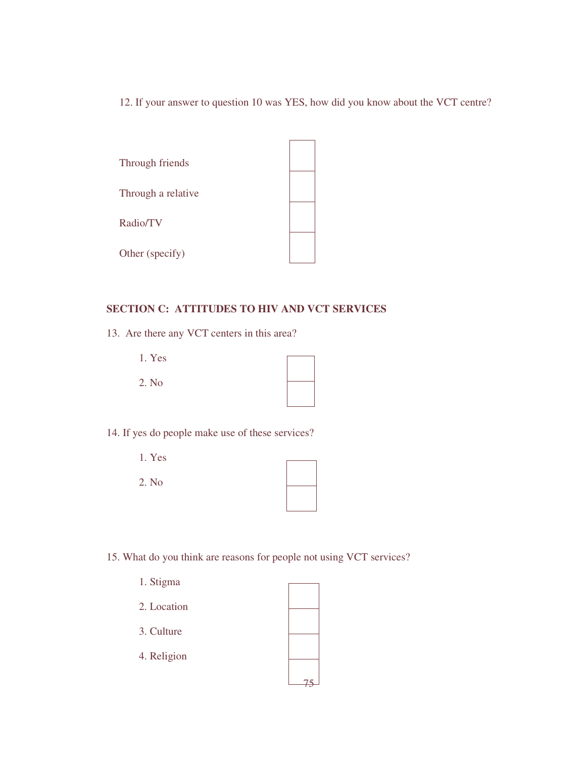12. If your answer to question 10 was YES, how did you know about the VCT centre?



### **SECTION C: ATTITUDES TO HIV AND VCT SERVICES**

13. Are there any VCT centers in this area?

| 1. Yes |  |
|--------|--|
| 2. No  |  |
|        |  |

14. If yes do people make use of these services?

- 1. Yes
- 2. No

 $\overline{\phantom{0}}$ 

15. What do you think are reasons for people not using VCT services?

- 1. Stigma
- 2. Location
- 3. Culture
- 4. Religion

| 75 |  |
|----|--|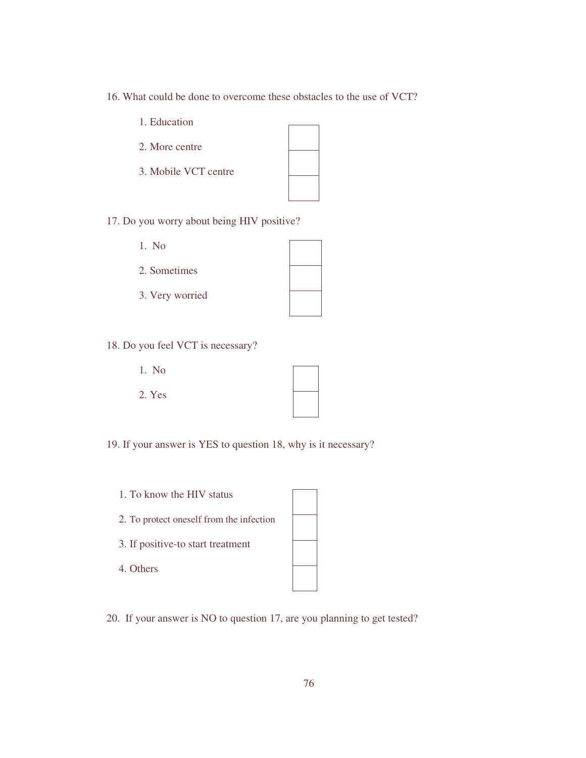- 16. What could be done to overcome these obstacles to the use of VCT?
	- 1. Education
	- 2. More centre
	- 3. Mobile VCT centre

 $\overline{\phantom{0}}$ 

17. Do you worry about being HIV positive?

- 1. No
- 2. Sometimes
- 3. Very worried

- 18. Do you feel VCT is necessary?
	- 1. No
	- 2. Yes

**The Common** 

19. If your answer is YES to question 18, why is it necessary?

1. To know the HIV status

2. To protect oneself from the infection

- 3. If positive-to start treatment
- 4. Others

20. If your answer is NO to question 17, are you planning to get tested?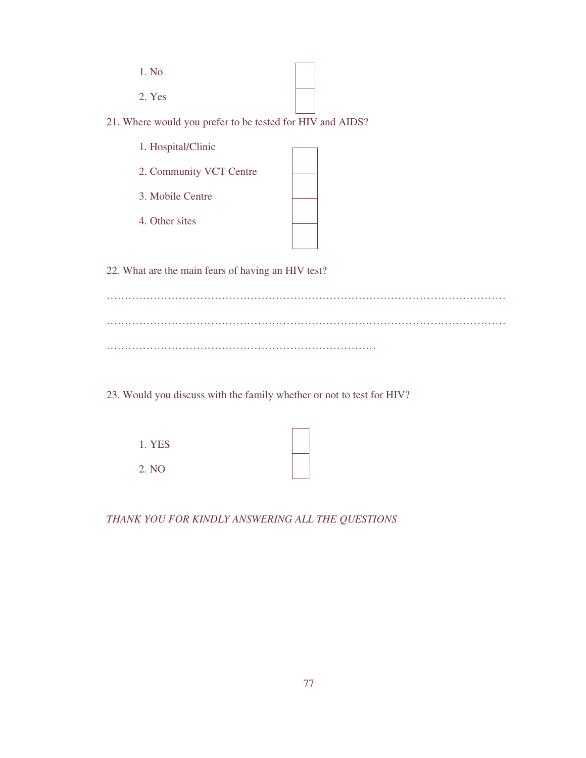| 1. No  |  |  |
|--------|--|--|
| 2. Yes |  |  |

21. Where would you prefer to be tested for HIV and AIDS?

1. Hospital/Clinic

2. Community VCT Centre

3. Mobile Centre

4. Other sites

22. What are the main fears of having an HIV test?

………………………………………………………………………………………………… ………………………………………………………………………………………………… …………………………………………………………………

23. Would you discuss with the family whether or not to test for HIV?

| 1. YES |  |  |  |
|--------|--|--|--|
| 2. NO  |  |  |  |

*THANK YOU FOR KINDLY ANSWERING ALL THE QUESTIONS*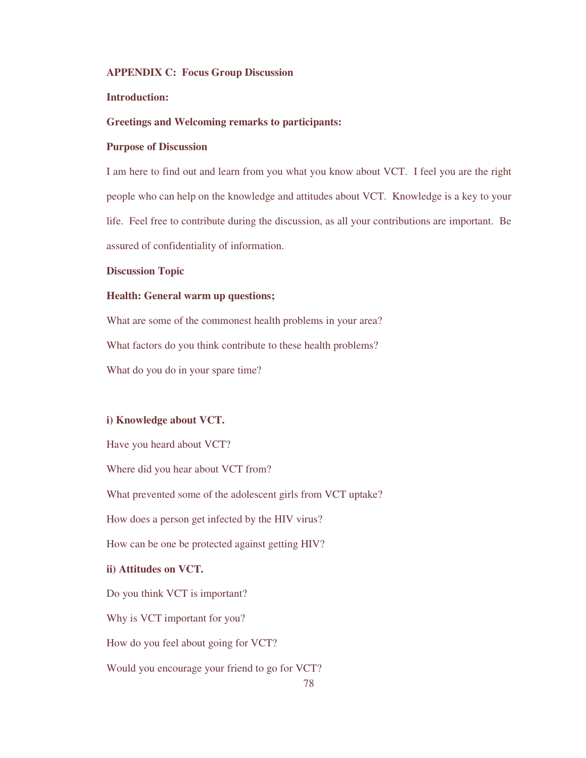#### **APPENDIX C: Focus Group Discussion**

### **Introduction:**

### **Greetings and Welcoming remarks to participants:**

### **Purpose of Discussion**

I am here to find out and learn from you what you know about VCT. I feel you are the right people who can help on the knowledge and attitudes about VCT. Knowledge is a key to your life. Feel free to contribute during the discussion, as all your contributions are important. Be assured of confidentiality of information.

#### **Discussion Topic**

#### **Health: General warm up questions;**

What are some of the commonest health problems in your area? What factors do you think contribute to these health problems? What do you do in your spare time?

#### **i) Knowledge about VCT.**

Have you heard about VCT? Where did you hear about VCT from? What prevented some of the adolescent girls from VCT uptake? How does a person get infected by the HIV virus? How can be one be protected against getting HIV? **ii) Attitudes on VCT.**  Do you think VCT is important? Why is VCT important for you? How do you feel about going for VCT? Would you encourage your friend to go for VCT?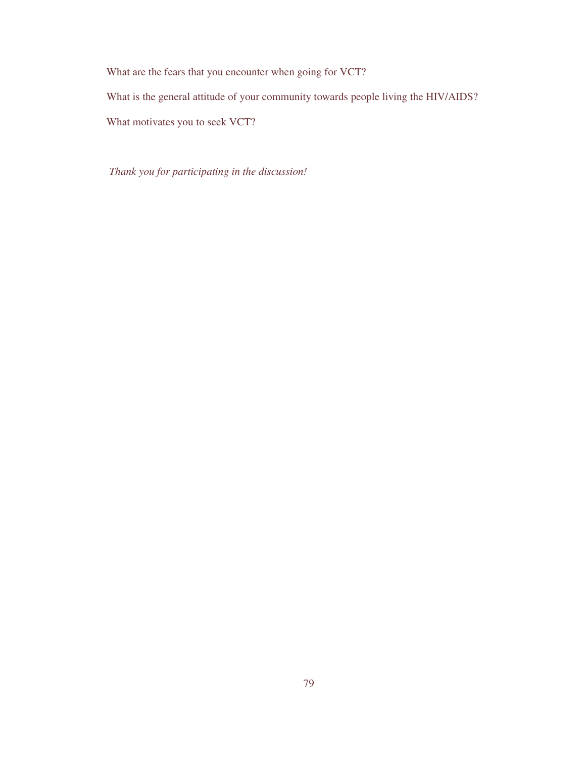What are the fears that you encounter when going for VCT?

What is the general attitude of your community towards people living the HIV/AIDS?

What motivates you to seek VCT?

 *Thank you for participating in the discussion!*